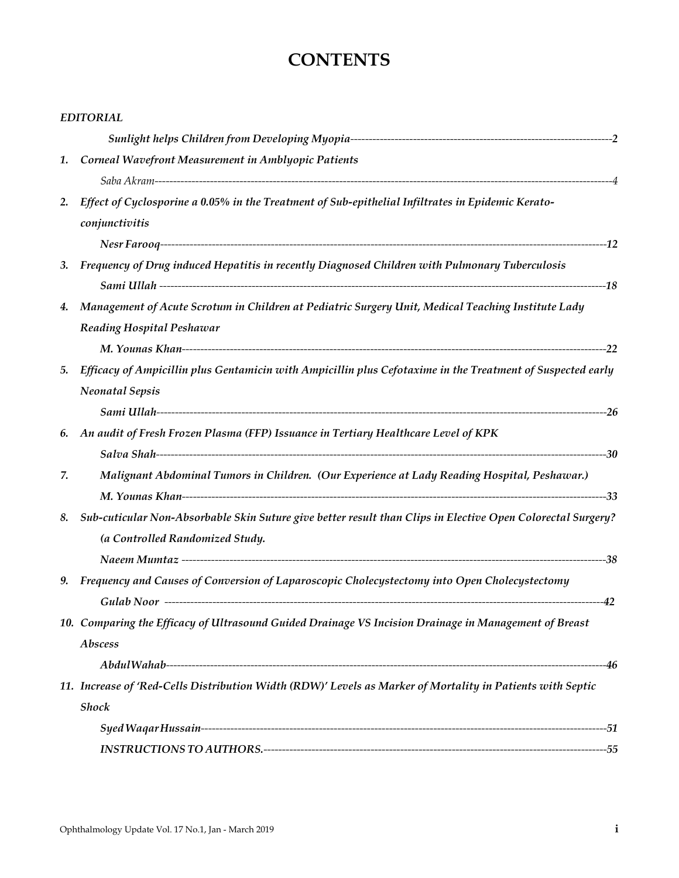# **CONTENTS**

|    | <b>EDITORIAL</b>                                                                                            |  |
|----|-------------------------------------------------------------------------------------------------------------|--|
|    |                                                                                                             |  |
|    | 1. Corneal Wavefront Measurement in Amblyopic Patients                                                      |  |
|    |                                                                                                             |  |
| 2. | Effect of Cyclosporine a 0.05% in the Treatment of Sub-epithelial Infiltrates in Epidemic Kerato-           |  |
|    | conjunctivitis                                                                                              |  |
|    |                                                                                                             |  |
| 3. | Frequency of Drug induced Hepatitis in recently Diagnosed Children with Pulmonary Tuberculosis              |  |
|    |                                                                                                             |  |
| 4. | Management of Acute Scrotum in Children at Pediatric Surgery Unit, Medical Teaching Institute Lady          |  |
|    | <b>Reading Hospital Peshawar</b>                                                                            |  |
|    |                                                                                                             |  |
| 5. | Efficacy of Ampicillin plus Gentamicin with Ampicillin plus Cefotaxime in the Treatment of Suspected early  |  |
|    | <b>Neonatal Sepsis</b>                                                                                      |  |
|    |                                                                                                             |  |
|    | 6. An audit of Fresh Frozen Plasma (FFP) Issuance in Tertiary Healthcare Level of KPK                       |  |
|    |                                                                                                             |  |
| 7. | Malignant Abdominal Tumors in Children. (Our Experience at Lady Reading Hospital, Peshawar.)                |  |
|    |                                                                                                             |  |
| 8. | Sub-cuticular Non-Absorbable Skin Suture give better result than Clips in Elective Open Colorectal Surgery? |  |
|    | (a Controlled Randomized Study.                                                                             |  |
|    |                                                                                                             |  |
| 9. | Frequency and Causes of Conversion of Laparoscopic Cholecystectomy into Open Cholecystectomy                |  |
|    |                                                                                                             |  |
|    | 10. Comparing the Efficacy of Ultrasound Guided Drainage VS Incision Drainage in Management of Breast       |  |
|    | Abscess                                                                                                     |  |
|    |                                                                                                             |  |
|    | 11. Increase of 'Red-Cells Distribution Width (RDW)' Levels as Marker of Mortality in Patients with Septic  |  |
|    | <b>Shock</b>                                                                                                |  |
|    |                                                                                                             |  |
|    |                                                                                                             |  |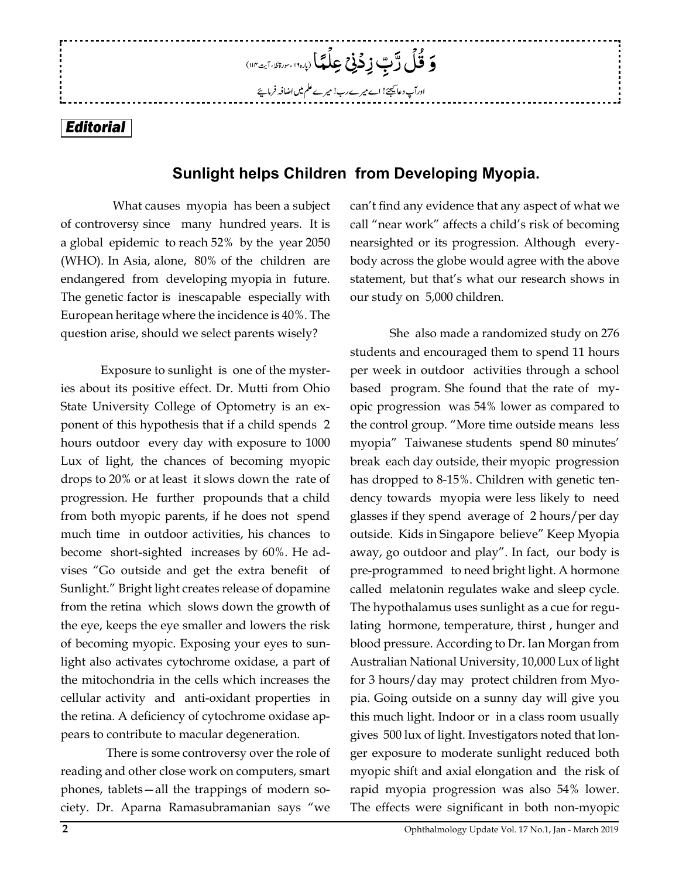# *Editorial*

# **Sunlight helps Children from Developing Myopia.**

وَ قُلْ رَّبِّ زِدۡوۡیۡ عِلۡمَمَا (بارہ١٠) سِرۃ اللہَ مَن اللہِ مِن

ادرآپ دعائیجئے! اے میرےرب! میرے علم میں اضافہ فرمایئے

 What causes myopia has been a subject of controversy since many hundred years. It is a global epidemic to reach 52% by the year 2050 (WHO). In Asia, alone, 80% of the children are endangered from developing myopia in future. The genetic factor is inescapable especially with European heritage where the incidence is 40%. The question arise, should we select parents wisely?

Exposure to sunlight is one of the mysteries about its positive effect. Dr. Mutti from Ohio State University College of Optometry is an exponent of this hypothesis that if a child spends 2 hours outdoor every day with exposure to 1000 Lux of light, the chances of becoming myopic drops to 20% or at least it slows down the rate of progression. He further propounds that a child from both myopic parents, if he does not spend much time in outdoor activities, his chances to become short-sighted increases by 60%. He advises "Go outside and get the extra benefit of Sunlight." Bright light creates release of dopamine from the retina which slows down the growth of the eye, keeps the eye smaller and lowers the risk of becoming myopic. Exposing your eyes to sunlight also activates cytochrome oxidase, a part of the mitochondria in the cells which increases the cellular activity and anti-oxidant properties in the retina. A deficiency of cytochrome oxidase appears to contribute to macular degeneration.

 There is some controversy over the role of reading and other close work on computers, smart phones, tablets—all the trappings of modern society. Dr. Aparna Ramasubramanian says "we

can't find any evidence that any aspect of what we call "near work" affects a child's risk of becoming nearsighted or its progression. Although everybody across the globe would agree with the above statement, but that's what our research shows in our study on 5,000 children.

She also made a randomized study on 276 students and encouraged them to spend 11 hours per week in outdoor activities through a school based program. She found that the rate of myopic progression was 54% lower as compared to the control group. "More time outside means less myopia" Taiwanese students spend 80 minutes' break each day outside, their myopic progression has dropped to 8-15%. Children with genetic tendency towards myopia were less likely to need glasses if they spend average of 2 hours/per day outside. Kids in Singapore believe" Keep Myopia away, go outdoor and play". In fact, our body is pre-programmed to need bright light. A hormone called melatonin regulates wake and sleep cycle. The hypothalamus uses sunlight as a cue for regulating hormone, temperature, thirst , hunger and blood pressure. According to Dr. Ian Morgan from Australian National University, 10,000 Lux of light for 3 hours/day may protect children from Myopia. Going outside on a sunny day will give you this much light. Indoor or in a class room usually gives 500 lux of light. Investigators noted that longer exposure to moderate sunlight reduced both myopic shift and axial elongation and the risk of rapid myopia progression was also 54% lower. The effects were significant in both non-myopic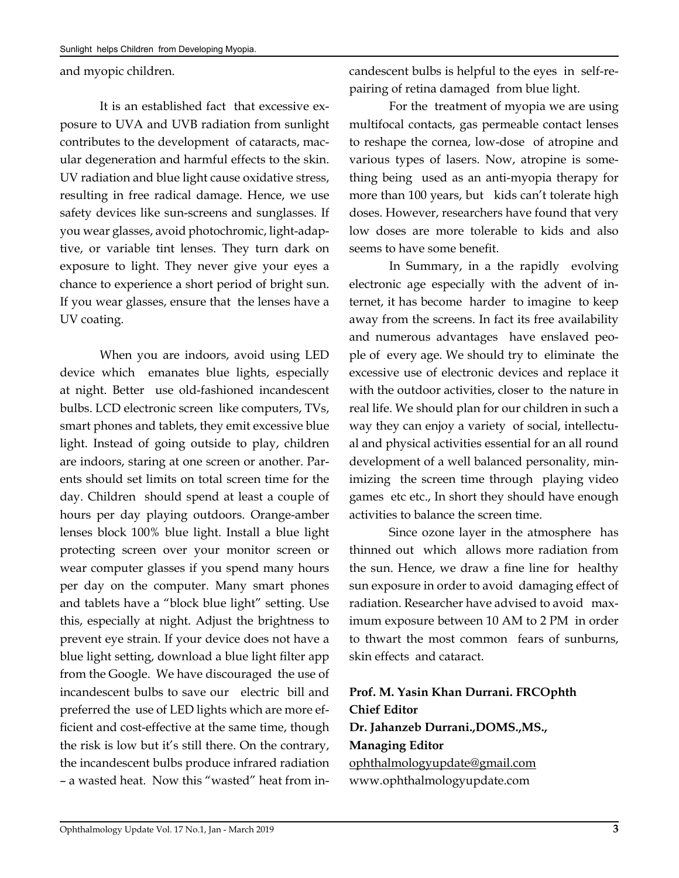and myopic children.

It is an established fact that excessive exposure to UVA and UVB radiation from sunlight contributes to the development of cataracts, macular degeneration and harmful effects to the skin. UV radiation and blue light cause oxidative stress, resulting in free radical damage. Hence, we use safety devices like sun-screens and sunglasses. If you wear glasses, avoid photochromic, light-adaptive, or variable tint lenses. They turn dark on exposure to light. They never give your eyes a chance to experience a short period of bright sun. If you wear glasses, ensure that the lenses have a UV coating.

When you are indoors, avoid using LED device which emanates blue lights, especially at night. Better use old-fashioned incandescent bulbs. LCD electronic screen like computers, TVs, smart phones and tablets, they emit excessive blue light. Instead of going outside to play, children are indoors, staring at one screen or another. Parents should set limits on total screen time for the day. Children should spend at least a couple of hours per day playing outdoors. Orange-amber lenses block 100% blue light. Install a blue light protecting screen over your monitor screen or wear computer glasses if you spend many hours per day on the computer. Many smart phones and tablets have a "block blue light" setting. Use this, especially at night. Adjust the brightness to prevent eye strain. If your device does not have a blue light setting, download a blue light filter app from the Google. We have discouraged the use of incandescent bulbs to save our electric bill and preferred the use of LED lights which are more efficient and cost-effective at the same time, though the risk is low but it's still there. On the contrary, the incandescent bulbs produce infrared radiation – a wasted heat. Now this "wasted" heat from incandescent bulbs is helpful to the eyes in self-repairing of retina damaged from blue light.

For the treatment of myopia we are using multifocal contacts, gas permeable contact lenses to reshape the cornea, low-dose of atropine and various types of lasers. Now, atropine is something being used as an anti-myopia therapy for more than 100 years, but kids can't tolerate high doses. However, researchers have found that very low doses are more tolerable to kids and also seems to have some benefit.

In Summary, in a the rapidly evolving electronic age especially with the advent of internet, it has become harder to imagine to keep away from the screens. In fact its free availability and numerous advantages have enslaved people of every age. We should try to eliminate the excessive use of electronic devices and replace it with the outdoor activities, closer to the nature in real life. We should plan for our children in such a way they can enjoy a variety of social, intellectual and physical activities essential for an all round development of a well balanced personality, minimizing the screen time through playing video games etc etc., In short they should have enough activities to balance the screen time.

Since ozone layer in the atmosphere has thinned out which allows more radiation from the sun. Hence, we draw a fine line for healthy sun exposure in order to avoid damaging effect of radiation. Researcher have advised to avoid maximum exposure between 10 AM to 2 PM in order to thwart the most common fears of sunburns, skin effects and cataract.

**Prof. M. Yasin Khan Durrani. FRCOphth Chief Editor Dr. Jahanzeb Durrani.,DOMS.,MS., Managing Editor** [ophthalmologyupdate@gmail.com](mailto:ophthalmologyupdate@gmail.com) www.ophthalmologyupdate.com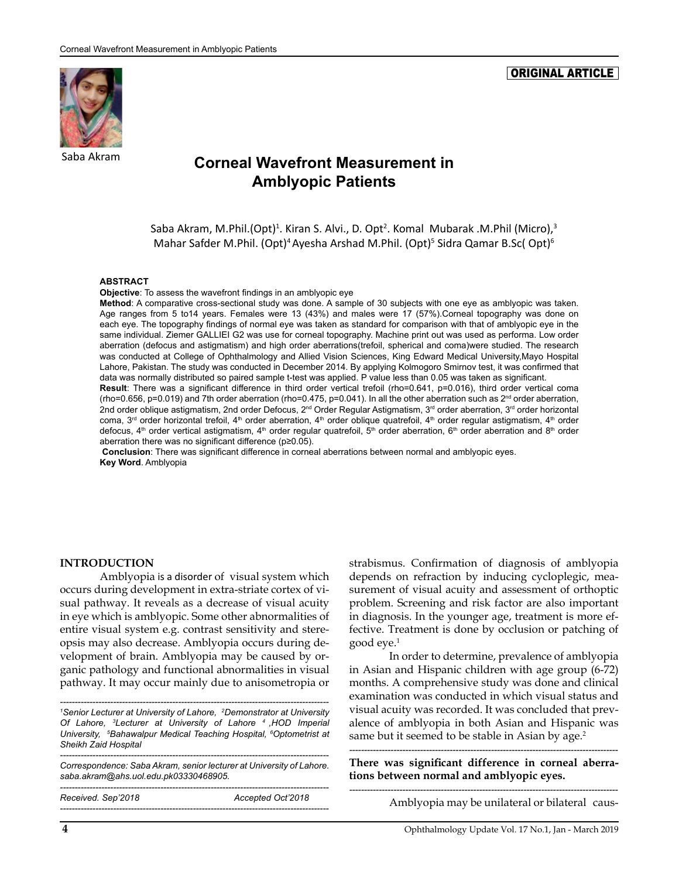# Saba Akram

#### ORIGINAL ARTICLE

# **Corneal Wavefront Measurement in Amblyopic Patients**

Saba Akram, M.Phil.(Opt)<sup>1</sup>. Kiran S. Alvi., D. Opt<sup>2</sup>. Komal Mubarak .M.Phil (Micro),<sup>3</sup> Mahar Safder M.Phil. (Opt)<sup>4</sup> Ayesha Arshad M.Phil. (Opt)<sup>5</sup> Sidra Qamar B.Sc( Opt)<sup>6</sup>

#### **ABSTRACT**

**Objective**: To assess the wavefront findings in an amblyopic eye

**Method**: A comparative cross-sectional study was done. A sample of 30 subjects with one eye as amblyopic was taken. Age ranges from 5 to14 years. Females were 13 (43%) and males were 17 (57%).Corneal topography was done on each eye. The topography findings of normal eye was taken as standard for comparison with that of amblyopic eye in the same individual. Ziemer GALLIEI G2 was use for corneal topography. Machine print out was used as performa. Low order aberration (defocus and astigmatism) and high order aberrations(trefoil, spherical and coma)were studied. The research was conducted at College of Ophthalmology and Allied Vision Sciences, King Edward Medical University,Mayo Hospital Lahore, Pakistan. The study was conducted in December 2014. By applying Kolmogoro Smirnov test, it was confirmed that data was normally distributed so paired sample t-test was applied. P value less than 0.05 was taken as significant.

**Result**: There was a significant difference in third order vertical trefoil (rho=0.641, p=0.016), third order vertical coma (rho=0.656, p=0.019) and 7th order aberration (rho=0.475, p=0.041). In all the other aberration such as  $2^{nd}$  order aberration, 2nd order oblique astigmatism, 2nd order Defocus, 2<sup>nd</sup> Order Regular Astigmatism, 3<sup>rd</sup> order aberration, 3<sup>rd</sup> order horizontal coma,  $3<sup>rd</sup>$  order horizontal trefoil, 4<sup>th</sup> order aberration, 4<sup>th</sup> order oblique quatrefoil, 4<sup>th</sup> order regular astigmatism, 4<sup>th</sup> order defocus, 4<sup>th</sup> order vertical astigmatism, 4<sup>th</sup> order regular quatrefoil, 5<sup>th</sup> order aberration, 6<sup>th</sup> order aberration and 8<sup>th</sup> order aberration there was no significant difference (p≥0.05).

**Conclusion**: There was significant difference in corneal aberrations between normal and amblyopic eyes. **Key Word**. Amblyopia

#### **INTRODUCTION**

Amblyopia is a disorder of visual system which occurs during development in extra-striate cortex of visual pathway. It reveals as a decrease of visual acuity in eye which is amblyopic. Some other abnormalities of entire visual system e.g. contrast sensitivity and stereopsis may also decrease. Amblyopia occurs during development of brain. Amblyopia may be caused by organic pathology and functional abnormalities in visual pathway. It may occur mainly due to anisometropia or

*-------------------------------------------------------------------------------------------* <sup>1</sup> Senior Lecturer at University of Lahore, 2Demonstrator at University *Of Lahore, 3 Lecturer at University of Lahore 4 ,HOD Imperial University, 5 Bahawalpur Medical Teaching Hospital, 6 Optometrist at Sheikh Zaid Hospital*

*------------------------------------------------------------------------------------------- Correspondence: Saba Akram, senior lecturer at University of Lahore. [saba.akram@ahs.uol.edu.pk03330468905.](mailto:saba.akram@ahs.uol.edu.pk03330468905) ------------------------------------------------------------------------------------------- Received. Sep'2018 Accepted Oct'2018*

*-------------------------------------------------------------------------------------------*

strabismus. Confirmation of diagnosis of amblyopia depends on refraction by inducing cycloplegic, measurement of visual acuity and assessment of orthoptic problem. Screening and risk factor are also important in diagnosis. In the younger age, treatment is more effective. Treatment is done by occlusion or patching of good eye.1

In order to determine, prevalence of amblyopia in Asian and Hispanic children with age group (6-72) months. A comprehensive study was done and clinical examination was conducted in which visual status and visual acuity was recorded. It was concluded that prevalence of amblyopia in both Asian and Hispanic was same but it seemed to be stable in Asian by age.<sup>2</sup>

*-------------------------------------------------------------------------------------------* **There was significant difference in corneal aberrations between normal and amblyopic eyes.** *-------------------------------------------------------------------------------------------*

Amblyopia may be unilateral or bilateral caus-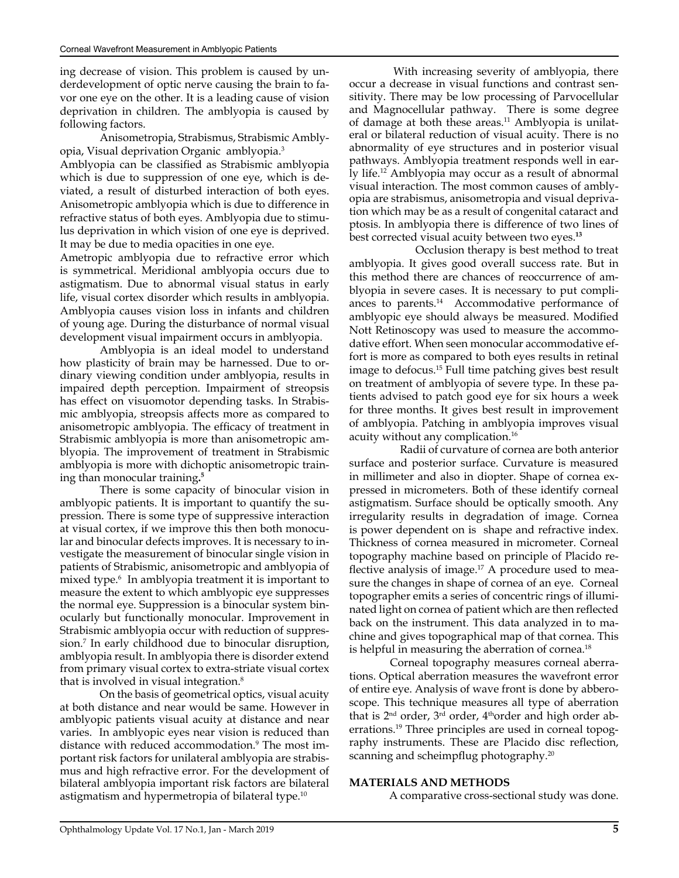ing decrease of vision. This problem is caused by underdevelopment of optic nerve causing the brain to favor one eye on the other. It is a leading cause of vision deprivation in children. The amblyopia is caused by following factors.

Anisometropia, Strabismus, Strabismic Amblyopia, Visual deprivation Organic amblyopia.3

Amblyopia can be classified as Strabismic amblyopia which is due to suppression of one eye, which is deviated, a result of disturbed interaction of both eyes. Anisometropic amblyopia which is due to difference in refractive status of both eyes. Amblyopia due to stimulus deprivation in which vision of one eye is deprived. It may be due to media opacities in one eye.

Ametropic amblyopia due to refractive error which is symmetrical. Meridional amblyopia occurs due to astigmatism. Due to abnormal visual status in early life, visual cortex disorder which results in amblyopia. Amblyopia causes vision loss in infants and children of young age. During the disturbance of normal visual development visual impairment occurs in amblyopia.

Amblyopia is an ideal model to understand how plasticity of brain may be harnessed. Due to ordinary viewing condition under amblyopia, results in impaired depth perception. Impairment of streopsis has effect on visuomotor depending tasks. In Strabismic amblyopia, streopsis affects more as compared to anisometropic amblyopia. The efficacy of treatment in Strabismic amblyopia is more than anisometropic amblyopia. The improvement of treatment in Strabismic amblyopia is more with dichoptic anisometropic training than monocular training**. 5**

There is some capacity of binocular vision in amblyopic patients. It is important to quantify the supression. There is some type of suppressive interaction at visual cortex, if we improve this then both monocular and binocular defects improves. It is necessary to investigate the measurement of binocular single vision in patients of Strabismic, anisometropic and amblyopia of mixed type.6 In amblyopia treatment it is important to measure the extent to which amblyopic eye suppresses the normal eye. Suppression is a binocular system binocularly but functionally monocular. Improvement in Strabismic amblyopia occur with reduction of suppression.7 In early childhood due to binocular disruption, amblyopia result. In amblyopia there is disorder extend from primary visual cortex to extra-striate visual cortex that is involved in visual integration.<sup>8</sup>

On the basis of geometrical optics, visual acuity at both distance and near would be same. However in amblyopic patients visual acuity at distance and near varies. In amblyopic eyes near vision is reduced than distance with reduced accommodation.<sup>9</sup> The most important risk factors for unilateral amblyopia are strabismus and high refractive error. For the development of bilateral amblyopia important risk factors are bilateral astigmatism and hypermetropia of bilateral type.10

 With increasing severity of amblyopia, there occur a decrease in visual functions and contrast sensitivity. There may be low processing of Parvocellular and Magnocellular pathway. There is some degree of damage at both these areas.<sup>11</sup> Amblyopia is unilateral or bilateral reduction of visual acuity. There is no abnormality of eye structures and in posterior visual pathways. Amblyopia treatment responds well in early life.12 Amblyopia may occur as a result of abnormal visual interaction. The most common causes of amblyopia are strabismus, anisometropia and visual deprivation which may be as a result of congenital cataract and ptosis. In amblyopia there is difference of two lines of best corrected visual acuity between two eyes.**<sup>13</sup>**

 Occlusion therapy is best method to treat amblyopia. It gives good overall success rate. But in this method there are chances of reoccurrence of amblyopia in severe cases. It is necessary to put compliances to parents.<sup>14</sup> Accommodative performance of amblyopic eye should always be measured. Modified Nott Retinoscopy was used to measure the accommodative effort. When seen monocular accommodative effort is more as compared to both eyes results in retinal image to defocus.15 Full time patching gives best result on treatment of amblyopia of severe type. In these patients advised to patch good eye for six hours a week for three months. It gives best result in improvement of amblyopia. Patching in amblyopia improves visual acuity without any complication.16

 Radii of curvature of cornea are both anterior surface and posterior surface. Curvature is measured in millimeter and also in diopter. Shape of cornea expressed in micrometers. Both of these identify corneal astigmatism. Surface should be optically smooth. Any irregularity results in degradation of image. Cornea is power dependent on is shape and refractive index. Thickness of cornea measured in micrometer. Corneal topography machine based on principle of Placido reflective analysis of image.<sup>17</sup> A procedure used to measure the changes in shape of cornea of an eye. Corneal topographer emits a series of concentric rings of illuminated light on cornea of patient which are then reflected back on the instrument. This data analyzed in to machine and gives topographical map of that cornea. This is helpful in measuring the aberration of cornea.<sup>18</sup>

 Corneal topography measures corneal aberrations. Optical aberration measures the wavefront error of entire eye. Analysis of wave front is done by abberoscope. This technique measures all type of aberration that is  $2<sup>nd</sup> order, 3<sup>rd</sup> order, 4<sup>th</sup> order and high order ab$ errations.<sup>19</sup> Three principles are used in corneal topography instruments. These are Placido disc reflection, scanning and scheimpflug photography.<sup>20</sup>

#### **MATERIALS AND METHODS**

A comparative cross-sectional study was done.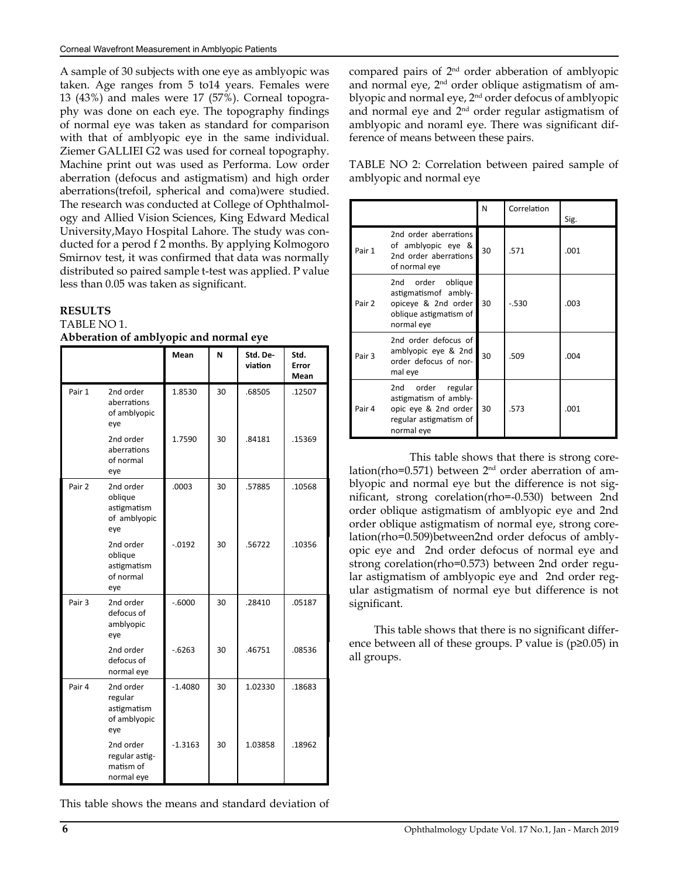A sample of 30 subjects with one eye as amblyopic was taken. Age ranges from 5 to14 years. Females were 13 (43%) and males were 17 (57%). Corneal topography was done on each eye. The topography findings of normal eye was taken as standard for comparison with that of amblyopic eye in the same individual. Ziemer GALLIEI G2 was used for corneal topography. Machine print out was used as Performa. Low order aberration (defocus and astigmatism) and high order aberrations(trefoil, spherical and coma)were studied. The research was conducted at College of Ophthalmology and Allied Vision Sciences, King Edward Medical University,Mayo Hospital Lahore. The study was conducted for a perod f 2 months. By applying Kolmogoro Smirnov test, it was confirmed that data was normally distributed so paired sample t-test was applied. P value less than 0.05 was taken as significant.

# **RESULTS**

TABLE NO 1. **Abberation of amblyopic and normal eye**

|        |                                                            | Mean      | N  | Std. De-<br>viation | Std.<br>Error<br>Mean |
|--------|------------------------------------------------------------|-----------|----|---------------------|-----------------------|
| Pair 1 | 2nd order<br>aberrations<br>of amblyopic<br>eye            | 1.8530    | 30 | .68505              | .12507                |
|        | 2nd order<br>aberrations<br>of normal<br>eye               | 1.7590    | 30 | .84181              | .15369                |
| Pair 2 | 2nd order<br>oblique<br>astigmatism<br>of amblyopic<br>eye | .0003     | 30 | .57885              | .10568                |
|        | 2nd order<br>oblique<br>astigmatism<br>of normal<br>eye    | $-0.0192$ | 30 | .56722              | .10356                |
| Pair 3 | 2nd order<br>defocus of<br>amblyopic<br>eye                | $-.6000$  | 30 | .28410              | .05187                |
|        | 2nd order<br>defocus of<br>normal eye                      | $-0.6263$ | 30 | .46751              | .08536                |
| Pair 4 | 2nd order<br>regular<br>astigmatism<br>of amblyopic<br>eye | $-1.4080$ | 30 | 1.02330             | .18683                |
|        | 2nd order<br>regular astig-<br>matism of<br>normal eye     | $-1.3163$ | 30 | 1.03858             | .18962                |

This table shows the means and standard deviation of

compared pairs of 2nd order abberation of amblyopic and normal eye,  $2<sup>nd</sup>$  order oblique astigmatism of amblyopic and normal eye, 2<sup>nd</sup> order defocus of amblyopic and normal eye and 2nd order regular astigmatism of amblyopic and noraml eye. There was significant difference of means between these pairs.

TABLE NO 2: Correlation between paired sample of amblyopic and normal eye

|        |                                                                                                                | N  | Correlation | Sig. |
|--------|----------------------------------------------------------------------------------------------------------------|----|-------------|------|
| Pair 1 | 2nd order aberrations<br>of amblyopic eye &<br>2nd order aberrations<br>of normal eye                          | 30 | .571        | .001 |
| Pair 2 | oblique<br>2nd<br>order<br>astigmatismof ambly-<br>opiceye & 2nd order<br>oblique astigmatism of<br>normal eye | 30 | $-530$      | .003 |
| Pair 3 | 2nd order defocus of<br>amblyopic eye & 2nd<br>order defocus of nor-<br>mal eye                                | 30 | .509        | .004 |
| Pair 4 | 2nd order<br>regular<br>astigmatism of ambly-<br>opic eye & 2nd order<br>regular astigmatism of<br>normal eye  | 30 | .573        | .001 |

 This table shows that there is strong corelation(rho=0.571) between  $2<sup>nd</sup>$  order aberration of amblyopic and normal eye but the difference is not significant, strong corelation(rho=-0.530) between 2nd order oblique astigmatism of amblyopic eye and 2nd order oblique astigmatism of normal eye, strong corelation(rho=0.509)between2nd order defocus of amblyopic eye and 2nd order defocus of normal eye and strong corelation(rho=0.573) between 2nd order regular astigmatism of amblyopic eye and 2nd order regular astigmatism of normal eye but difference is not significant.

 This table shows that there is no significant difference between all of these groups. P value is  $(p \ge 0.05)$  in all groups.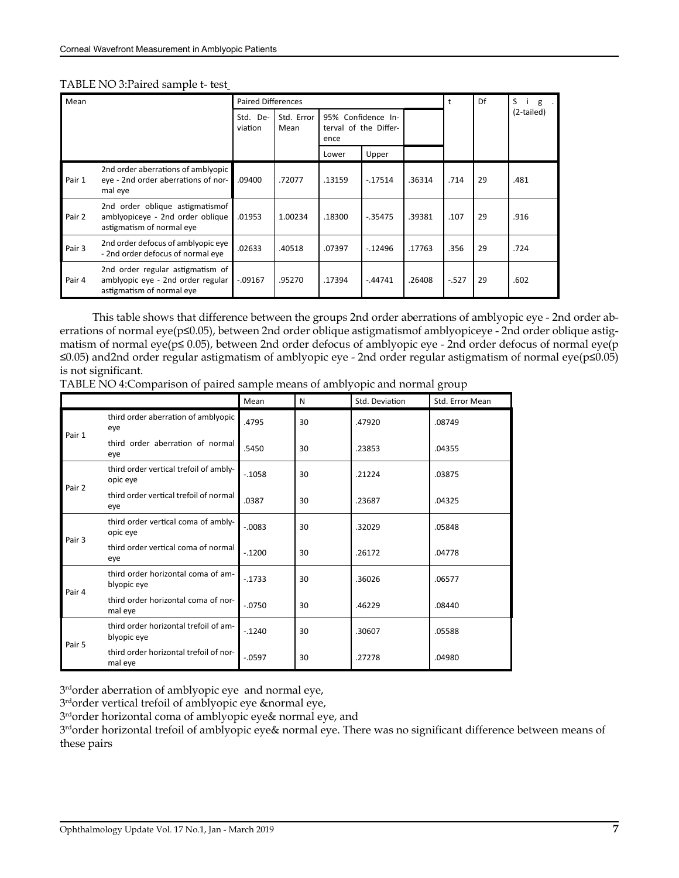|  |  | TABLE NO 3: Paired sample t- test_ |  |  |  |  |
|--|--|------------------------------------|--|--|--|--|
|--|--|------------------------------------|--|--|--|--|

| Mean   |                                                                                                    | <b>Paired Differences</b> |                    |                                                     |            |        | t        | Df | S<br>g     |
|--------|----------------------------------------------------------------------------------------------------|---------------------------|--------------------|-----------------------------------------------------|------------|--------|----------|----|------------|
|        |                                                                                                    | Std.<br>De-<br>viation    | Std. Error<br>Mean | 95% Confidence In-<br>terval of the Differ-<br>ence |            |        |          |    | (2-tailed) |
|        |                                                                                                    |                           |                    | Lower                                               | Upper      |        |          |    |            |
| Pair 1 | 2nd order aberrations of amblyopic<br>eye - 2nd order aberrations of nor-<br>mal eye               | .09400                    | .72077             | .13159                                              | $-0.17514$ | .36314 | .714     | 29 | .481       |
| Pair 2 | 2nd order oblique astigmatismof<br>amblyopiceye - 2nd order oblique<br>astigmatism of normal eye   | .01953                    | 1.00234            | .18300                                              | $-0.35475$ | .39381 | .107     | 29 | .916       |
| Pair 3 | 2nd order defocus of amblyopic eye<br>- 2nd order defocus of normal eye                            | .02633                    | .40518             | .07397                                              | $-.12496$  | .17763 | .356     | 29 | .724       |
| Pair 4 | 2nd order regular astigmatism of<br>amblyopic eye - 2nd order regular<br>astigmatism of normal eye | $-0.09167$                | .95270             | .17394                                              | $-.44741$  | .26408 | $-0.527$ | 29 | .602       |

 This table shows that difference between the groups 2nd order aberrations of amblyopic eye - 2nd order aberrations of normal eye(p≤0.05), between 2nd order oblique astigmatismof amblyopiceye - 2nd order oblique astigmatism of normal eye(p≤ 0.05), between 2nd order defocus of amblyopic eye - 2nd order defocus of normal eye(p ≤0.05) and2nd order regular astigmatism of amblyopic eye - 2nd order regular astigmatism of normal eye(p≤0.05) is not significant.

| TABLE NO 4: Comparison of paired sample means of amblyopic and normal group |  |  |  |  |  |
|-----------------------------------------------------------------------------|--|--|--|--|--|
|-----------------------------------------------------------------------------|--|--|--|--|--|

|        |                                                      | Mean      | N  | Std. Deviation | Std. Error Mean |
|--------|------------------------------------------------------|-----------|----|----------------|-----------------|
| Pair 1 | third order aberration of amblyopic<br>eye           | .4795     | 30 | .47920         | .08749          |
|        | third order aberration of normal<br>eye              | .5450     | 30 | .23853         | .04355          |
|        | third order vertical trefoil of ambly-<br>opic eye   | $-.1058$  | 30 | .21224         | .03875          |
| Pair 2 | third order vertical trefoil of normal<br>eye        | .0387     | 30 | .23687         | .04325          |
| Pair 3 | third order vertical coma of ambly-<br>opic eye      | $-.0083$  | 30 | .32029         | .05848          |
|        | third order vertical coma of normal<br>eye           | $-.1200$  | 30 | .26172         | .04778          |
| Pair 4 | third order horizontal coma of am-<br>blyopic eye    | $-1733$   | 30 | .36026         | .06577          |
|        | third order horizontal coma of nor-<br>mal eye       | $-.0750$  | 30 | .46229         | .08440          |
|        | third order horizontal trefoil of am-<br>blyopic eye | $-0.1240$ | 30 | .30607         | .05588          |
| Pair 5 | third order horizontal trefoil of nor-<br>mal eye    | $-0597$   | 30 | .27278         | .04980          |

3rdorder aberration of amblyopic eye and normal eye,

3rdorder vertical trefoil of amblyopic eye &normal eye,

3rdorder horizontal coma of amblyopic eye& normal eye, and

3<sup>rd</sup>order horizontal trefoil of amblyopic eye& normal eye. There was no significant difference between means of these pairs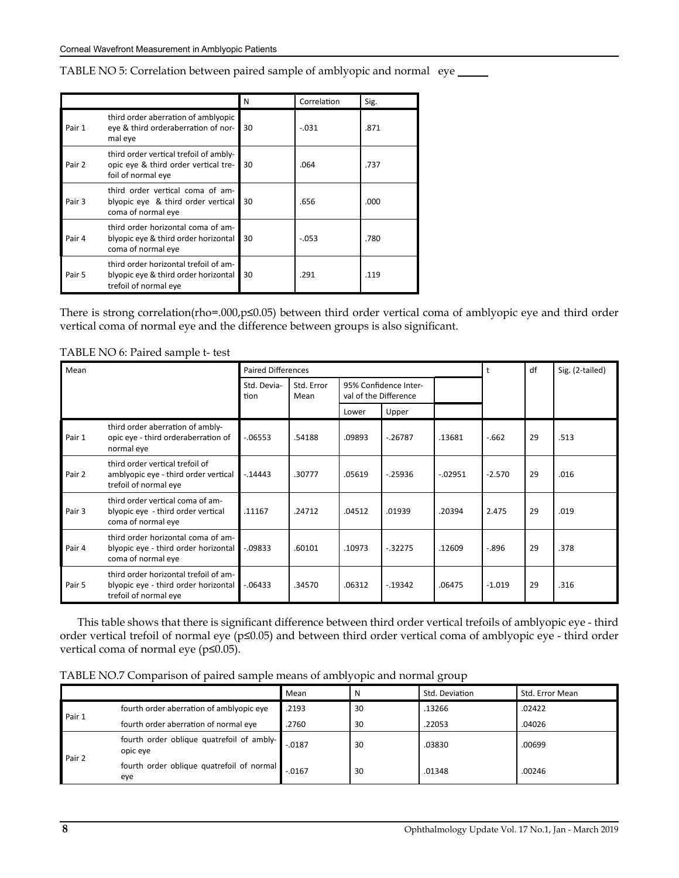|        |                                                                                                        | N  | Correlation | Sig. |
|--------|--------------------------------------------------------------------------------------------------------|----|-------------|------|
| Pair 1 | third order aberration of amblyopic<br>eye & third orderaberration of nor-<br>mal eye                  | 30 | $-.031$     | .871 |
| Pair 2 | third order vertical trefoil of ambly-<br>opic eye & third order vertical tre-<br>foil of normal eye   | 30 | .064        | .737 |
| Pair 3 | third order vertical coma of am-<br>blyopic eye & third order vertical<br>coma of normal eye           | 30 | .656        | .000 |
| Pair 4 | third order horizontal coma of am-<br>blyopic eye & third order horizontal<br>coma of normal eye       | 30 | $-.053$     | .780 |
| Pair 5 | third order horizontal trefoil of am-<br>blyopic eye & third order horizontal<br>trefoil of normal eye | 30 | .291        | .119 |

TABLE NO 5: Correlation between paired sample of amblyopic and normal eye

There is strong correlation(rho=.000,p≤0.05) between third order vertical coma of amblyopic eye and third order vertical coma of normal eye and the difference between groups is also significant.

| Mean   |                                                                                                        | <b>Paired Differences</b> |                                                                      |        |            |            | t        | df | Sig. (2-tailed) |
|--------|--------------------------------------------------------------------------------------------------------|---------------------------|----------------------------------------------------------------------|--------|------------|------------|----------|----|-----------------|
|        |                                                                                                        | Std. Devia-<br>tion       | Std. Error<br>95% Confidence Inter-<br>val of the Difference<br>Mean |        |            |            |          |    |                 |
|        |                                                                                                        |                           |                                                                      | Lower  | Upper      |            |          |    |                 |
| Pair 1 | third order aberration of ambly-<br>opic eye - third orderaberration of<br>normal eye                  | $-06553$                  | .54188                                                               | .09893 | $-26787$   | .13681     | $-662$   | 29 | .513            |
| Pair 2 | third order vertical trefoil of<br>amblyopic eye - third order vertical<br>trefoil of normal eye       | $-14443$                  | .30777                                                               | .05619 | $-25936$   | $-0.02951$ | $-2.570$ | 29 | .016            |
| Pair 3 | third order vertical coma of am-<br>blyopic eye - third order vertical<br>coma of normal eye           | .11167                    | .24712                                                               | .04512 | .01939     | .20394     | 2.475    | 29 | .019            |
| Pair 4 | third order horizontal coma of am-<br>blyopic eye - third order horizontal<br>coma of normal eye       | $-0.09833$                | .60101                                                               | .10973 | $-32275$   | .12609     | $-0.896$ | 29 | .378            |
| Pair 5 | third order horizontal trefoil of am-<br>blyopic eye - third order horizontal<br>trefoil of normal eye | $-06433$                  | .34570                                                               | .06312 | $-0.19342$ | .06475     | $-1.019$ | 29 | .316            |

TABLE NO 6: Paired sample t- test

 This table shows that there is significant difference between third order vertical trefoils of amblyopic eye - third order vertical trefoil of normal eye (p≤0.05) and between third order vertical coma of amblyopic eye - third order vertical coma of normal eye (p≤0.05).

TABLE NO.7 Comparison of paired sample means of amblyopic and normal group

|        |                                                       | Mean      |    | Std. Deviation | Std. Error Mean |
|--------|-------------------------------------------------------|-----------|----|----------------|-----------------|
| Pair 1 | fourth order aberration of amblyopic eye              | .2193     | 30 | .13266         | .02422          |
|        | fourth order aberration of normal eye                 | .2760     | 30 | .22053         | .04026          |
|        | fourth order oblique quatrefoil of ambly-<br>opic eye | $-0.0187$ | 30 | .03830         | .00699          |
| Pair 2 | fourth order oblique quatrefoil of normal<br>eye      | $-.0167$  | 30 | .01348         | .00246          |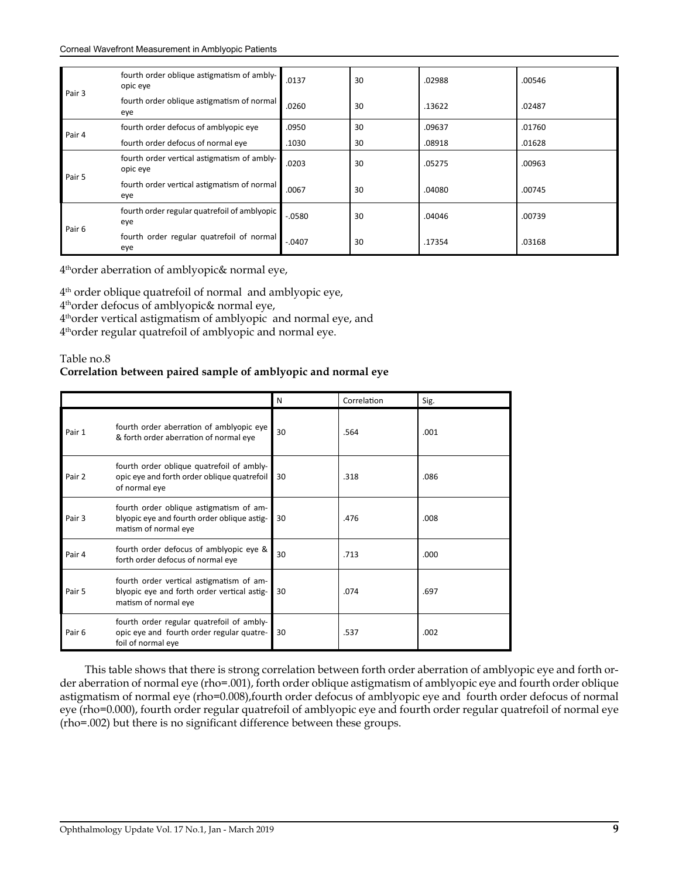| Pair 3 | fourth order oblique astigmatism of ambly-<br>opic eye  | .0137    | 30 | .02988 | .00546 |
|--------|---------------------------------------------------------|----------|----|--------|--------|
|        | fourth order oblique astigmatism of normal<br>eye       | .0260    | 30 | .13622 | .02487 |
|        | fourth order defocus of amblyopic eye                   | .0950    | 30 | .09637 | .01760 |
| Pair 4 | fourth order defocus of normal eye                      | .1030    | 30 | .08918 | .01628 |
| Pair 5 | fourth order vertical astigmatism of ambly-<br>opic eye | .0203    | 30 | .05275 | .00963 |
|        | fourth order vertical astigmatism of normal<br>eye      | .0067    | 30 | .04080 | .00745 |
| Pair 6 | fourth order regular quatrefoil of amblyopic<br>eye     | $-0580$  | 30 | .04046 | .00739 |
|        | fourth order regular quatrefoil of normal<br>eye        | $-.0407$ | 30 | .17354 | .03168 |

4thorder aberration of amblyopic& normal eye,

4th order oblique quatrefoil of normal and amblyopic eye, 4thorder defocus of amblyopic& normal eye, 4thorder vertical astigmatism of amblyopic and normal eye, and 4thorder regular quatrefoil of amblyopic and normal eye.

#### Table no.8

#### **Correlation between paired sample of amblyopic and normal eye**

|        |                                                                                                                 | N  | Correlation | Sig. |
|--------|-----------------------------------------------------------------------------------------------------------------|----|-------------|------|
| Pair 1 | fourth order aberration of amblyopic eye<br>& forth order aberration of normal eye                              | 30 | .564        | .001 |
| Pair 2 | fourth order oblique quatrefoil of ambly-<br>opic eye and forth order oblique quatrefoil<br>of normal eye       | 30 | .318        | .086 |
| Pair 3 | fourth order oblique astigmatism of am-<br>blyopic eye and fourth order oblique astig-<br>matism of normal eye  | 30 | .476        | .008 |
| Pair 4 | fourth order defocus of amblyopic eye &<br>forth order defocus of normal eye                                    | 30 | .713        | .000 |
| Pair 5 | fourth order vertical astigmatism of am-<br>blyopic eye and forth order vertical astig-<br>matism of normal eye | 30 | .074        | .697 |
| Pair 6 | fourth order regular quatrefoil of ambly-<br>opic eye and fourth order regular quatre-<br>foil of normal eye    | 30 | .537        | .002 |

 This table shows that there is strong correlation between forth order aberration of amblyopic eye and forth order aberration of normal eye (rho=.001), forth order oblique astigmatism of amblyopic eye and fourth order oblique astigmatism of normal eye (rho=0.008),fourth order defocus of amblyopic eye and fourth order defocus of normal eye (rho=0.000), fourth order regular quatrefoil of amblyopic eye and fourth order regular quatrefoil of normal eye (rho=.002) but there is no significant difference between these groups.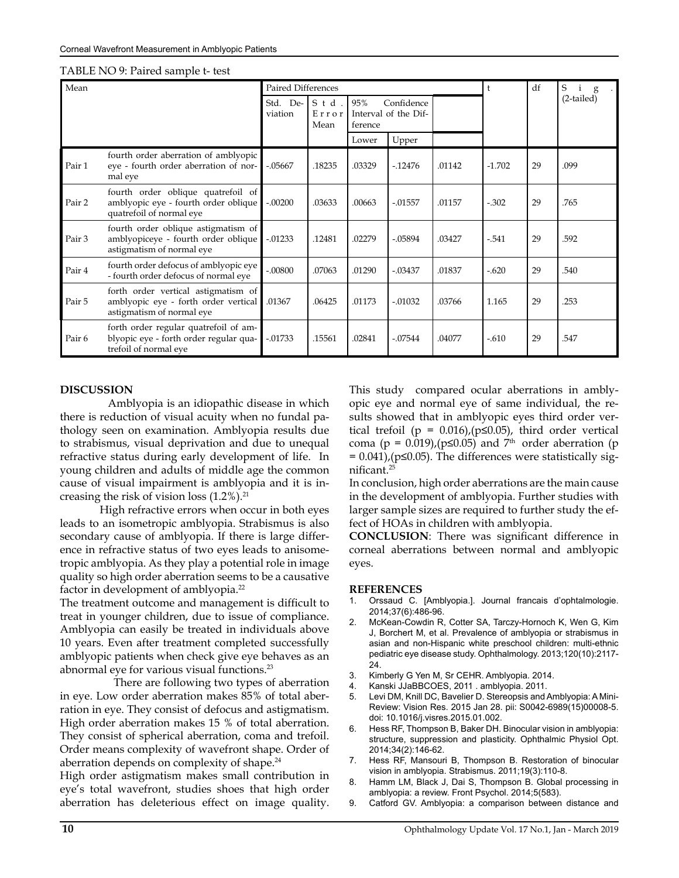| Mean   |                                                                                                          |                        | Paired Differences   |                |                                    |        | t        | df | S<br>$\mathbf i$<br>g |
|--------|----------------------------------------------------------------------------------------------------------|------------------------|----------------------|----------------|------------------------------------|--------|----------|----|-----------------------|
|        |                                                                                                          | De-<br>Std.<br>viation | Std<br>Error<br>Mean | 95%<br>ference | Confidence<br>Interval of the Dif- |        |          |    | $(2-tailed)$          |
|        |                                                                                                          |                        |                      | Lower          | Upper                              |        |          |    |                       |
| Pair 1 | fourth order aberration of amblyopic<br>eye - fourth order aberration of nor-<br>mal eye                 | $-.05667$              | .18235               | .03329         | $-12476$                           | .01142 | $-1.702$ | 29 | .099                  |
| Pair 2 | fourth order oblique quatrefoil of<br>amblyopic eye - fourth order oblique<br>quatrefoil of normal eye   | $-.00200$              | .03633               | .00663         | $-0.01557$                         | .01157 | $-.302$  | 29 | .765                  |
| Pair 3 | fourth order oblique astigmatism of<br>amblyopiceye - fourth order oblique<br>astigmatism of normal eye  | $-0.01233$             | .12481               | .02279         | $-.05894$                          | .03427 | $-.541$  | 29 | .592                  |
| Pair 4 | fourth order defocus of amblyopic eye<br>- fourth order defocus of normal eye                            | $-.00800$              | .07063               | .01290         | $-.03437$                          | .01837 | $-.620$  | 29 | .540                  |
| Pair 5 | forth order vertical astigmatism of<br>amblyopic eye - forth order vertical<br>astigmatism of normal eye | .01367                 | .06425               | .01173         | $-.01032$                          | .03766 | 1.165    | 29 | .253                  |
| Pair 6 | forth order regular quatrefoil of am-<br>blyopic eye - forth order regular qua-<br>trefoil of normal eve | $-.01733$              | .15561               | .02841         | $-.07544$                          | .04077 | $-.610$  | 29 | .547                  |

#### TABLE NO 9: Paired sample t- test

#### **DISCUSSION**

 Amblyopia is an idiopathic disease in which there is reduction of visual acuity when no fundal pathology seen on examination. Amblyopia results due to strabismus, visual deprivation and due to unequal refractive status during early development of life. In young children and adults of middle age the common cause of visual impairment is amblyopia and it is increasing the risk of vision loss  $(1.2\%)$ .<sup>21</sup>

High refractive errors when occur in both eyes leads to an isometropic amblyopia. Strabismus is also secondary cause of amblyopia. If there is large difference in refractive status of two eyes leads to anisometropic amblyopia. As they play a potential role in image quality so high order aberration seems to be a causative factor in development of amblyopia.22

The treatment outcome and management is difficult to treat in younger children, due to issue of compliance. Amblyopia can easily be treated in individuals above 10 years. Even after treatment completed successfully amblyopic patients when check give eye behaves as an abnormal eye for various visual functions.23

 There are following two types of aberration in eye. Low order aberration makes 85% of total aberration in eye. They consist of defocus and astigmatism. High order aberration makes 15 % of total aberration. They consist of spherical aberration, coma and trefoil. Order means complexity of wavefront shape. Order of aberration depends on complexity of shape.<sup>24</sup>

High order astigmatism makes small contribution in eye's total wavefront, studies shoes that high order aberration has deleterious effect on image quality.

This study compared ocular aberrations in amblyopic eye and normal eye of same individual, the results showed that in amblyopic eyes third order vertical trefoil ( $p = 0.016$ ), ( $p \le 0.05$ ), third order vertical coma (p = 0.019), (p≤0.05) and 7<sup>th</sup> order aberration (p = 0.041),(p≤0.05). The differences were statistically significant.<sup>25</sup>

In conclusion, high order aberrations are the main cause in the development of amblyopia. Further studies with larger sample sizes are required to further study the effect of HOAs in children with amblyopia.

**CONCLUSION**: There was significant difference in corneal aberrations between normal and amblyopic eyes.

#### **REFERENCES**

- 1. Orssaud C. [Amblyopia.]. Journal francais d'ophtalmologie. 2014;37(6):486-96.
- 2. McKean-Cowdin R, Cotter SA, Tarczy-Hornoch K, Wen G, Kim J, Borchert M, et al. Prevalence of amblyopia or strabismus in asian and non-Hispanic white preschool children: multi-ethnic pediatric eye disease study. Ophthalmology. 2013;120(10):2117- 24.
- 3. Kimberly G Yen M, Sr CEHR. Amblyopia. 2014.
- 4. Kanski JJaBBCOES, 2011 . amblyopia. 2011.
- 5. Levi DM, Knill DC, Bavelier D. Stereopsis and Amblyopia: A Mini-Review: Vision Res. 2015 Jan 28. pii: S0042-6989(15)00008-5. doi: 10.1016/j.visres.2015.01.002.
- 6. Hess RF, Thompson B, Baker DH. Binocular vision in amblyopia: structure, suppression and plasticity. Ophthalmic Physiol Opt. 2014;34(2):146-62.
- 7. Hess RF, Mansouri B, Thompson B. Restoration of binocular vision in amblyopia. Strabismus. 2011;19(3):110-8.
- 8. Hamm LM, Black J, Dai S, Thompson B. Global processing in amblyopia: a review. Front Psychol. 2014;5(583).
- 9. Catford GV. Amblyopia: a comparison between distance and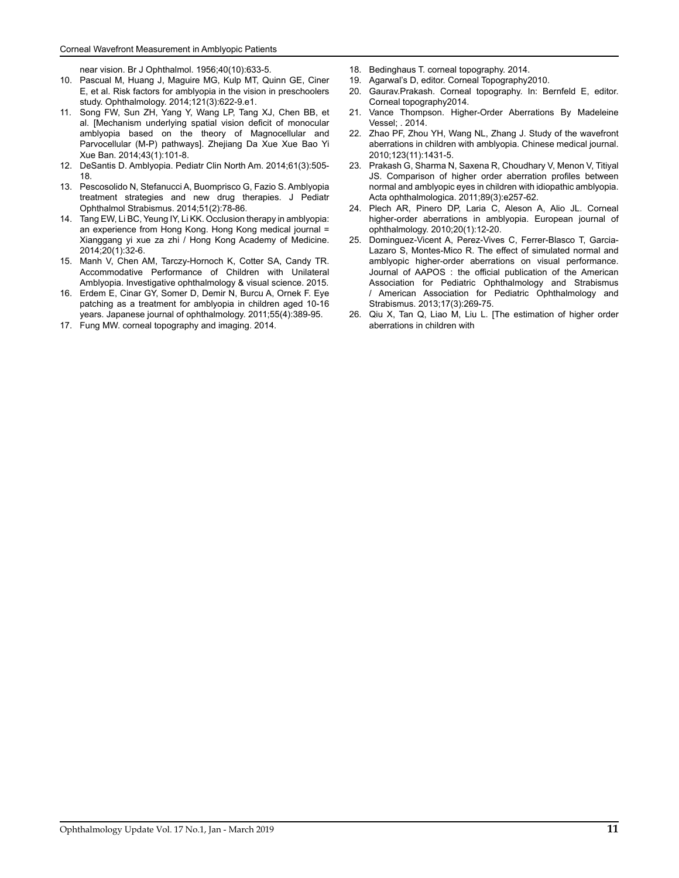near vision. Br J Ophthalmol. 1956;40(10):633-5.

- 10. Pascual M, Huang J, Maguire MG, Kulp MT, Quinn GE, Ciner E, et al. Risk factors for amblyopia in the vision in preschoolers study. Ophthalmology. 2014;121(3):622-9.e1.
- 11. Song FW, Sun ZH, Yang Y, Wang LP, Tang XJ, Chen BB, et al. [Mechanism underlying spatial vision deficit of monocular amblyopia based on the theory of Magnocellular and Parvocellular (M-P) pathways]. Zhejiang Da Xue Xue Bao Yi Xue Ban. 2014;43(1):101-8.
- 12. DeSantis D. Amblyopia. Pediatr Clin North Am. 2014;61(3):505- 18.
- 13. Pescosolido N, Stefanucci A, Buomprisco G, Fazio S. Amblyopia treatment strategies and new drug therapies. J Pediatr Ophthalmol Strabismus. 2014;51(2):78-86.
- 14. Tang EW, Li BC, Yeung IY, Li KK. Occlusion therapy in amblyopia: an experience from Hong Kong. Hong Kong medical journal = Xianggang yi xue za zhi / Hong Kong Academy of Medicine. 2014;20(1):32-6.
- 15. Manh V, Chen AM, Tarczy-Hornoch K, Cotter SA, Candy TR. Accommodative Performance of Children with Unilateral Amblyopia. Investigative ophthalmology & visual science. 2015.
- 16. Erdem E, Cinar GY, Somer D, Demir N, Burcu A, Ornek F. Eye patching as a treatment for amblyopia in children aged 10-16 years. Japanese journal of ophthalmology. 2011;55(4):389-95.
- 17. Fung MW. corneal topography and imaging. 2014.
- 18. Bedinghaus T. corneal topography. 2014.
- 19. Agarwal's D, editor. Corneal Topography2010.
- Gaurav.Prakash. Corneal topography. In: Bernfeld E, editor. Corneal topography2014.
- 21. Vance Thompson. Higher-Order Aberrations By Madeleine Vessel; . 2014.
- 22. Zhao PF, Zhou YH, Wang NL, Zhang J. Study of the wavefront aberrations in children with amblyopia. Chinese medical journal. 2010;123(11):1431-5.
- 23. Prakash G, Sharma N, Saxena R, Choudhary V, Menon V, Titiyal JS. Comparison of higher order aberration profiles between normal and amblyopic eyes in children with idiopathic amblyopia. Acta ophthalmologica. 2011;89(3):e257-62.
- 24. Plech AR, Pinero DP, Laria C, Aleson A, Alio JL. Corneal higher-order aberrations in amblyopia. European journal of ophthalmology. 2010;20(1):12-20.
- 25. Dominguez-Vicent A, Perez-Vives C, Ferrer-Blasco T, Garcia-Lazaro S, Montes-Mico R. The effect of simulated normal and amblyopic higher-order aberrations on visual performance. Journal of AAPOS : the official publication of the American Association for Pediatric Ophthalmology and Strabismus / American Association for Pediatric Ophthalmology and Strabismus. 2013;17(3):269-75.
- 26. Qiu X, Tan Q, Liao M, Liu L. [The estimation of higher order aberrations in children with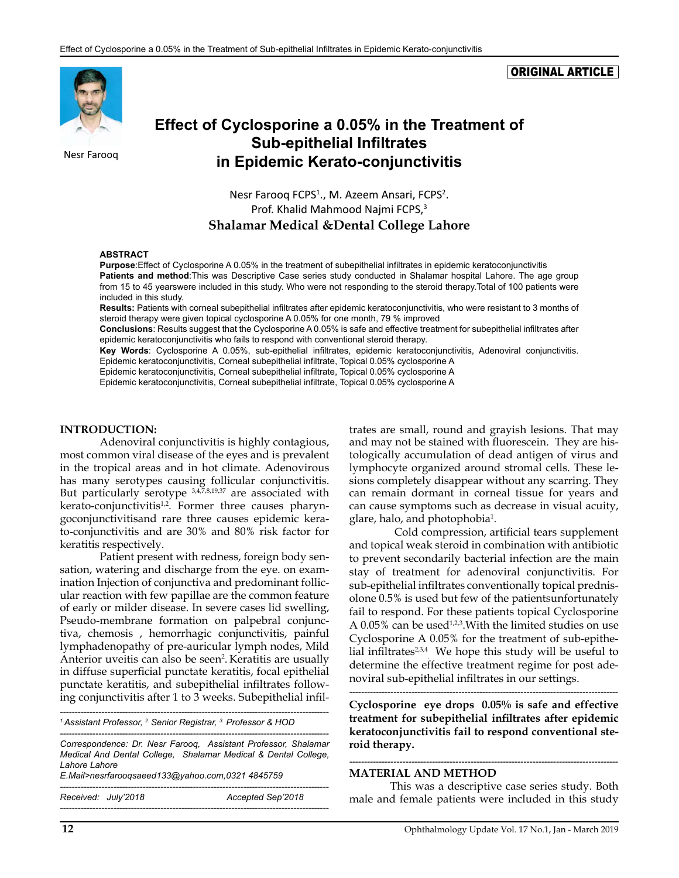#### ORIGINAL ARTICLE



# **Effect of Cyclosporine a 0.05% in the Treatment of Sub-epithelial Infiltrates** Nesr Farooq **in Epidemic Kerato-conjunctivitis**

Nesr Farooq FCPS<sup>1</sup>., M. Azeem Ansari, FCPS<sup>2</sup>. Prof. Khalid Mahmood Najmi FCPS,<sup>3</sup> **Shalamar Medical &Dental College Lahore**

#### **ABSTRACT**

**Purpose**:Effect of Cyclosporine A 0.05% in the treatment of subepithelial infiltrates in epidemic keratoconjunctivitis **Patients and method**:This was Descriptive Case series study conducted in Shalamar hospital Lahore. The age group from 15 to 45 yearswere included in this study. Who were not responding to the steroid therapy.Total of 100 patients were included in this study.

**Results:** Patients with corneal subepithelial infiltrates after epidemic keratoconjunctivitis, who were resistant to 3 months of steroid therapy were given topical cyclosporine A 0.05% for one month, 79 % improved

**Conclusions**: Results suggest that the Cyclosporine A 0.05% is safe and effective treatment for subepithelial infiltrates after epidemic keratoconjunctivitis who fails to respond with conventional steroid therapy.

**Key Words**: Cyclosporine A 0.05%, sub-epithelial infiltrates, epidemic keratoconjunctivitis, Adenoviral conjunctivitis. Epidemic keratoconjunctivitis, Corneal subepithelial infiltrate, Topical 0.05% cyclosporine A

Epidemic keratoconjunctivitis, Corneal subepithelial infiltrate, Topical 0.05% cyclosporine A

Epidemic keratoconjunctivitis, Corneal subepithelial infiltrate, Topical 0.05% cyclosporine A

#### **INTRODUCTION:**

Adenoviral conjunctivitis is highly contagious, most common viral disease of the eyes and is prevalent in the tropical areas and in hot climate. Adenovirous has many serotypes causing follicular conjunctivitis. But particularly serotype 3,4,7,8,19,37 are associated with  $k$ erato-conjunctivitis<sup>1,2</sup>. Former three causes pharyngoconjunctivitisand rare three causes epidemic kerato-conjunctivitis and are 30% and 80% risk factor for keratitis respectively.

Patient present with redness, foreign body sensation, watering and discharge from the eye. on examination Injection of conjunctiva and predominant follicular reaction with few papillae are the common feature of early or milder disease. In severe cases lid swelling, Pseudo-membrane formation on palpebral conjunctiva, chemosis , hemorrhagic conjunctivitis, painful lymphadenopathy of pre-auricular lymph nodes, Mild Anterior uveitis can also be seen<sup>2</sup>. Keratitis are usually in diffuse superficial punctate keratitis, focal epithelial punctate keratitis, and subepithelial infiltrates following conjunctivitis after 1 to 3 weeks. Subepithelial infil-

*------------------------------------------------------------------------------------------- 1.Assistant Professor, 2. Senior Registrar, 3. Professor & HOD*

*------------------------------------------------------------------------------------------- Correspondence: Dr. Nesr Farooq, Assistant Professor, Shalamar Medical And Dental College, Shalamar Medical & Dental College, Lahore Lahore*

*E.Mail>[nesrfarooqsaeed133@yahoo.com,](mailto:nesrfarooqsaeed133@yahoo.com)0321 4845759*

*------------------------------------------------------------------------------------------- Received: July'2018 Accepted Sep'2018 -------------------------------------------------------------------------------------------* trates are small, round and grayish lesions. That may and may not be stained with fluorescein. They are histologically accumulation of dead antigen of virus and lymphocyte organized around stromal cells. These lesions completely disappear without any scarring. They can remain dormant in corneal tissue for years and can cause symptoms such as decrease in visual acuity, glare, halo, and photophobia<sup>1</sup>.

 Cold compression, artificial tears supplement and topical weak steroid in combination with antibiotic to prevent secondarily bacterial infection are the main stay of treatment for adenoviral conjunctivitis. For sub-epithelial infiltrates conventionally topical prednisolone 0.5% is used but few of the patientsunfortunately fail to respond. For these patients topical Cyclosporine A  $0.05\%$  can be used<sup>1,2,3</sup>. With the limited studies on use Cyclosporine A 0.05% for the treatment of sub-epithelial infiltrates $2,3,4$  We hope this study will be useful to determine the effective treatment regime for post adenoviral sub-epithelial infiltrates in our settings.

*-------------------------------------------------------------------------------------------*

**Cyclosporine eye drops 0.05% is safe and effective treatment for subepithelial infiltrates after epidemic keratoconjunctivitis fail to respond conventional steroid therapy.**

#### **MATERIAL AND METHOD**

 This was a descriptive case series study. Both male and female patients were included in this study

*-------------------------------------------------------------------------------------------*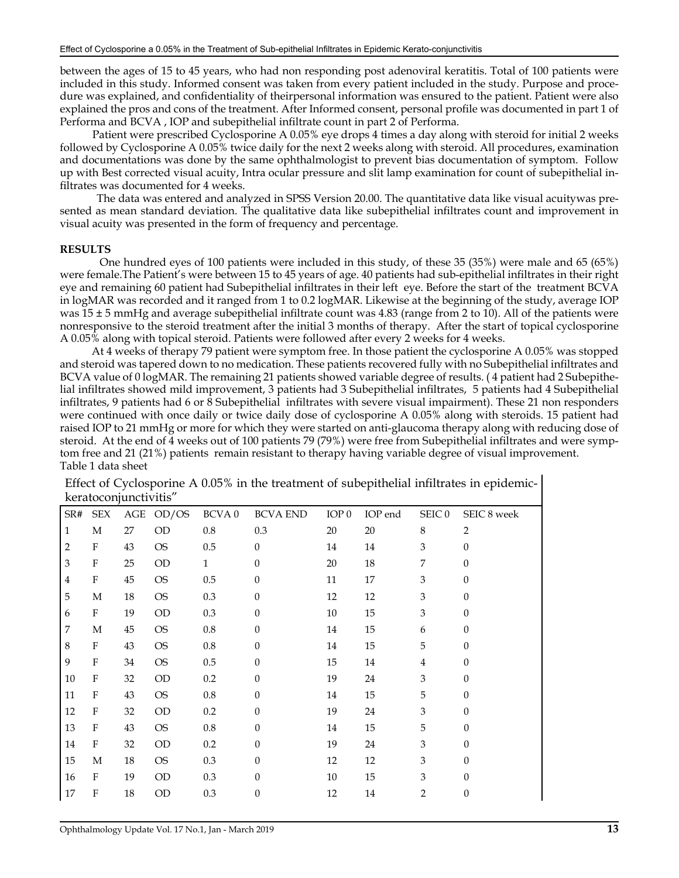between the ages of 15 to 45 years, who had non responding post adenoviral keratitis. Total of 100 patients were included in this study. Informed consent was taken from every patient included in the study. Purpose and procedure was explained, and confidentiality of theirpersonal information was ensured to the patient. Patient were also explained the pros and cons of the treatment. After Informed consent, personal profile was documented in part 1 of Performa and BCVA , IOP and subepithelial infiltrate count in part 2 of Performa.

 Patient were prescribed Cyclosporine A 0.05% eye drops 4 times a day along with steroid for initial 2 weeks followed by Cyclosporine A 0.05% twice daily for the next 2 weeks along with steroid. All procedures, examination and documentations was done by the same ophthalmologist to prevent bias documentation of symptom. Follow up with Best corrected visual acuity, Intra ocular pressure and slit lamp examination for count of subepithelial infiltrates was documented for 4 weeks.

 The data was entered and analyzed in SPSS Version 20.00. The quantitative data like visual acuitywas presented as mean standard deviation. The qualitative data like subepithelial infiltrates count and improvement in visual acuity was presented in the form of frequency and percentage.

#### **RESULTS**

One hundred eyes of 100 patients were included in this study, of these 35 (35%) were male and 65 (65%) were female.The Patient's were between 15 to 45 years of age. 40 patients had sub-epithelial infiltrates in their right eye and remaining 60 patient had Subepithelial infiltrates in their left eye. Before the start of the treatment BCVA in logMAR was recorded and it ranged from 1 to 0.2 logMAR. Likewise at the beginning of the study, average IOP was  $15 \pm 5$  mmHg and average subepithelial infiltrate count was 4.83 (range from 2 to 10). All of the patients were nonresponsive to the steroid treatment after the initial 3 months of therapy. After the start of topical cyclosporine A 0.05% along with topical steroid. Patients were followed after every 2 weeks for 4 weeks.

 At 4 weeks of therapy 79 patient were symptom free. In those patient the cyclosporine A 0.05% was stopped and steroid was tapered down to no medication. These patients recovered fully with no Subepithelial infiltrates and BCVA value of 0 logMAR. The remaining 21 patients showed variable degree of results. ( 4 patient had 2 Subepithelial infiltrates showed mild improvement, 3 patients had 3 Subepithelial infiltrates, 5 patients had 4 Subepithelial infiltrates, 9 patients had 6 or 8 Subepithelial infiltrates with severe visual impairment). These 21 non responders were continued with once daily or twice daily dose of cyclosporine A 0.05% along with steroids. 15 patient had raised IOP to 21 mmHg or more for which they were started on anti-glaucoma therapy along with reducing dose of steroid. At the end of 4 weeks out of 100 patients 79 (79%) were free from Subepithelial infiltrates and were symptom free and 21 (21%) patients remain resistant to therapy having variable degree of visual improvement. Table 1 data sheet

|                | <b>Refatoconjunctivius</b> |        |           |                   |                 |                  |         |                   |                  |
|----------------|----------------------------|--------|-----------|-------------------|-----------------|------------------|---------|-------------------|------------------|
| SR#            | <b>SEX</b>                 |        | AGE OD/OS | BCVA <sub>0</sub> | <b>BCVA END</b> | IOP <sub>0</sub> | IOP end | SEIC <sub>0</sub> | SEIC 8 week      |
| $\mathbf{1}$   | М                          | 27     | OD        | $0.8\,$           | 0.3             | 20               | 20      | 8                 | $\overline{2}$   |
| $\overline{2}$ | ${\bf F}$                  | $43\,$ | <b>OS</b> | $0.5\,$           | $\theta$        | 14               | 14      | 3                 | $\mathbf{0}$     |
| 3              | ${\bf F}$                  | 25     | <b>OD</b> | $\mathbf{1}$      | $\theta$        | 20               | 18      | 7                 | $\boldsymbol{0}$ |
| $\overline{4}$ | ${\bf F}$                  | $45\,$ | <b>OS</b> | $0.5\,$           | $\theta$        | $11\,$           | 17      | 3                 | $\boldsymbol{0}$ |
| 5              | $\mathbf M$                | 18     | <b>OS</b> | 0.3               | $\theta$        | 12               | 12      | 3                 | $\boldsymbol{0}$ |
| 6              | $\boldsymbol{F}$           | 19     | OD        | 0.3               | $\theta$        | 10               | 15      | 3                 | $\boldsymbol{0}$ |
| $\overline{7}$ | $\mathbf M$                | 45     | <b>OS</b> | $0.8\,$           | $\theta$        | 14               | 15      | 6                 | $\theta$         |
| $\,8\,$        | $\mathbf F$                | 43     | <b>OS</b> | $0.8\,$           | $\theta$        | 14               | 15      | 5                 | $\boldsymbol{0}$ |
| 9              | $\boldsymbol{F}$           | 34     | <b>OS</b> | $0.5\,$           | $\theta$        | 15               | 14      | 4                 | $\theta$         |
| $10\,$         | F                          | 32     | OD        | 0.2               | $\theta$        | 19               | $24\,$  | 3                 | $\theta$         |
| 11             | $\boldsymbol{F}$           | 43     | <b>OS</b> | $0.8\,$           | $\theta$        | 14               | 15      | 5                 | $\theta$         |
| $12\,$         | $\boldsymbol{F}$           | 32     | OD        | 0.2               | $\Omega$        | 19               | 24      | 3                 | $\theta$         |
| 13             | $\boldsymbol{F}$           | 43     | <b>OS</b> | $0.8\,$           | $\Omega$        | 14               | 15      | 5                 | $\theta$         |
| $14\,$         | $\boldsymbol{F}$           | 32     | <b>OD</b> | $0.2\,$           | $\theta$        | 19               | 24      | 3                 | $\theta$         |
| 15             | М                          | 18     | <b>OS</b> | 0.3               | $\Omega$        | 12               | 12      | 3                 | $\theta$         |
| 16             | $\boldsymbol{F}$           | 19     | <b>OD</b> | 0.3               | $\Omega$        | 10               | 15      | 3                 | $\theta$         |
| 17             | $\overline{F}$             | $18\,$ | OD        | 0.3               | $\theta$        | 12               | $14\,$  | $\overline{2}$    | $\boldsymbol{0}$ |
|                |                            |        |           |                   |                 |                  |         |                   |                  |

Effect of Cyclosporine A 0.05% in the treatment of subepithelial infiltrates in epidemickeratoconjunctivitis"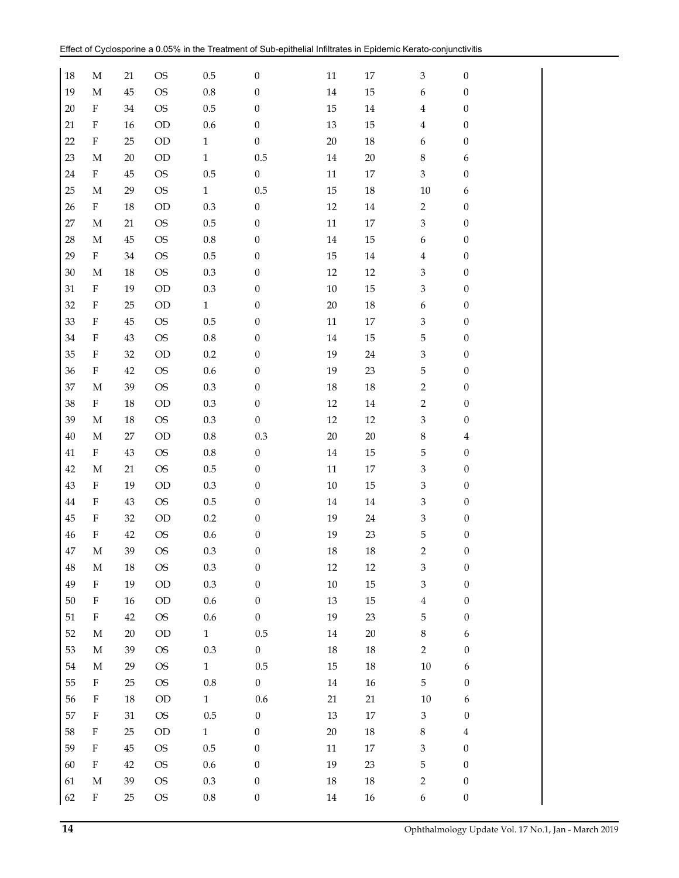| 18     | М                         | 21     | <b>OS</b> | 0.5          | $\boldsymbol{0}$ | 11     | 17     | $\ensuremath{\mathfrak{Z}}$ | $\boldsymbol{0}$ |
|--------|---------------------------|--------|-----------|--------------|------------------|--------|--------|-----------------------------|------------------|
| 19     | M                         | 45     | <b>OS</b> | $\rm 0.8$    | $\boldsymbol{0}$ | 14     | 15     | 6                           | $\boldsymbol{0}$ |
| 20     | $\boldsymbol{\mathrm{F}}$ | 34     | <b>OS</b> | $0.5\,$      | $\boldsymbol{0}$ | 15     | 14     | 4                           | $\boldsymbol{0}$ |
| 21     | $\rm F$                   | 16     | OD        | 0.6          | $\boldsymbol{0}$ | 13     | 15     | 4                           | $\boldsymbol{0}$ |
| 22     | $\rm F$                   | 25     | $\rm OD$  | $\mathbf{1}$ | $\boldsymbol{0}$ | 20     | 18     | 6                           | $\boldsymbol{0}$ |
| 23     | M                         | 20     | OD        | $\mathbf{1}$ | 0.5              | 14     | 20     | $\,8\,$                     | $\boldsymbol{6}$ |
| 24     | $\boldsymbol{\mathrm{F}}$ | 45     | <b>OS</b> | 0.5          | $\boldsymbol{0}$ | 11     | 17     | 3                           | $\boldsymbol{0}$ |
| 25     | М                         | 29     | <b>OS</b> | $\mathbf{1}$ | 0.5              | 15     | 18     | 10                          | 6                |
| 26     | ${\rm F}$                 | 18     | OD        | $0.3\,$      | $\boldsymbol{0}$ | 12     | 14     | $\overline{2}$              | $\boldsymbol{0}$ |
| $27\,$ | М                         | 21     | <b>OS</b> | $0.5\,$      | $\boldsymbol{0}$ | 11     | 17     | $\,3$                       | $\boldsymbol{0}$ |
| 28     | M                         | 45     | <b>OS</b> | $0.8\,$      | $\boldsymbol{0}$ | 14     | 15     | 6                           | $\boldsymbol{0}$ |
| 29     | $\mathbf F$               | 34     | <b>OS</b> | 0.5          | $\boldsymbol{0}$ | 15     | 14     | $\overline{4}$              | $\boldsymbol{0}$ |
| $30\,$ | M                         | 18     | <b>OS</b> | $0.3\,$      | $\boldsymbol{0}$ | 12     | 12     | $\,3$                       | $\boldsymbol{0}$ |
| 31     | $\boldsymbol{\mathrm{F}}$ | 19     | OD        | $0.3\,$      | $\boldsymbol{0}$ | 10     | 15     | 3                           | $\boldsymbol{0}$ |
| 32     | $\rm F$                   | 25     | OD        | $\mathbf{1}$ | $\boldsymbol{0}$ | 20     | $18\,$ | 6                           | $\boldsymbol{0}$ |
| 33     | $\rm F$                   | 45     | <b>OS</b> | $0.5\,$      | $\mathbf{0}$     | 11     | 17     | 3                           | $\boldsymbol{0}$ |
| 34     | $\rm F$                   | 43     | <b>OS</b> | $\rm 0.8$    | $\boldsymbol{0}$ | 14     | 15     | 5                           | $\boldsymbol{0}$ |
| 35     | $\rm F$                   | 32     | $\rm OD$  | 0.2          | $\boldsymbol{0}$ | 19     | 24     | $\ensuremath{\mathbf{3}}$   | $\boldsymbol{0}$ |
| 36     | $\boldsymbol{\mathrm{F}}$ | 42     | <b>OS</b> | $0.6\,$      | $\boldsymbol{0}$ | 19     | 23     | 5                           | $\boldsymbol{0}$ |
| 37     | М                         | 39     | <b>OS</b> | $0.3\,$      | $\boldsymbol{0}$ | 18     | $18\,$ | $\overline{2}$              | $\boldsymbol{0}$ |
| 38     | F                         | 18     | OD        | $0.3\,$      | $\boldsymbol{0}$ | 12     | 14     | $\overline{c}$              | $\boldsymbol{0}$ |
| 39     | М                         | 18     | <b>OS</b> | $0.3\,$      | $\boldsymbol{0}$ | 12     | 12     | $\ensuremath{\mathsf{3}}$   | $\boldsymbol{0}$ |
| $40\,$ | М                         | 27     | OD        | $\rm 0.8$    | 0.3              | 20     | 20     | $\,8\,$                     | $\bf 4$          |
| 41     | $\boldsymbol{\mathrm{F}}$ | 43     | <b>OS</b> | $0.8\,$      | $\boldsymbol{0}$ | 14     | 15     | 5                           | $\boldsymbol{0}$ |
| 42     | М                         | 21     | <b>OS</b> | $0.5\,$      | $\boldsymbol{0}$ | 11     | $17\,$ | 3                           | $\boldsymbol{0}$ |
| 43     | $\rm F$                   | 19     | $\rm OD$  | $0.3\,$      | $\boldsymbol{0}$ | $10\,$ | 15     | $\,3$                       | $\boldsymbol{0}$ |
| 44     | $\rm F$                   | 43     | <b>OS</b> | $0.5\,$      | $\boldsymbol{0}$ | 14     | 14     | 3                           | $\boldsymbol{0}$ |
| 45     | $\boldsymbol{\mathrm{F}}$ | 32     | $\rm OD$  | 0.2          | $\boldsymbol{0}$ | 19     | 24     | $\ensuremath{\mathbf{3}}$   | $\boldsymbol{0}$ |
| 46     | F                         | 42     | <b>OS</b> | 0.6          | $\boldsymbol{0}$ | 19     | 23     | 5                           | $\boldsymbol{0}$ |
| $47\,$ | $\mathbf M$               | 39     | <b>OS</b> | 0.3          | $\boldsymbol{0}$ | 18     | 18     | $\overline{2}$              | $\boldsymbol{0}$ |
| $48\,$ | $\mathbf M$               | 18     | <b>OS</b> | 0.3          | $\boldsymbol{0}$ | 12     | 12     | $\ensuremath{\mathbf{3}}$   | $\boldsymbol{0}$ |
| 49     | $\mathbf F$               | 19     | $\rm OD$  | $0.3\,$      | $\boldsymbol{0}$ | $10\,$ | 15     | $\ensuremath{\mathfrak{Z}}$ | $\boldsymbol{0}$ |
| $50\,$ | $\rm F$                   | 16     | $\rm OD$  | $0.6\,$      | $\boldsymbol{0}$ | 13     | 15     | $\bf 4$                     | $\boldsymbol{0}$ |
| 51     | $\boldsymbol{\mathrm{F}}$ | 42     | <b>OS</b> | $0.6\,$      | $\boldsymbol{0}$ | 19     | 23     | 5                           | $\boldsymbol{0}$ |
| 52     | $\mathbf M$               | $20\,$ | $\rm OD$  | $\mathbf{1}$ | $0.5\,$          | 14     | $20\,$ | $\,8\,$                     | 6                |
| 53     | M                         | 39     | <b>OS</b> | $0.3\,$      | $\boldsymbol{0}$ | $18\,$ | $18\,$ | $\overline{2}$              | $\boldsymbol{0}$ |
| 54     | $\mathbf M$               | 29     | <b>OS</b> | $\mathbf{1}$ | 0.5              | 15     | 18     | $10\,$                      | 6                |
| 55     | $\rm F$                   | 25     | <b>OS</b> | $0.8\,$      | $\boldsymbol{0}$ | 14     | 16     | 5                           | $\boldsymbol{0}$ |
| 56     | $\rm F$                   | 18     | $\rm OD$  | $\mathbf{1}$ | 0.6              | 21     | 21     | 10                          | 6                |
| 57     | $\rm F$                   | 31     | <b>OS</b> | $0.5\,$      | $\boldsymbol{0}$ | 13     | $17\,$ | $\mathfrak{Z}$              | $\boldsymbol{0}$ |
| 58     | $\boldsymbol{\mathrm{F}}$ | 25     | $\rm OD$  | $\mathbf{1}$ | $\boldsymbol{0}$ | 20     | $18\,$ | 8                           | $\bf 4$          |
| 59     | $\rm F$                   | $45\,$ | <b>OS</b> | $0.5\,$      | $\boldsymbol{0}$ | $11\,$ | $17\,$ | $\ensuremath{\mathbf{3}}$   | $\boldsymbol{0}$ |
| 60     | $\boldsymbol{\mathrm{F}}$ | 42     | <b>OS</b> | $0.6\,$      | $\boldsymbol{0}$ | 19     | $23\,$ | 5                           | $\boldsymbol{0}$ |
| 61     | $\mathbf M$               | 39     | <b>OS</b> | $0.3\,$      | $\boldsymbol{0}$ | 18     | 18     | $\overline{c}$              | $\boldsymbol{0}$ |
| 62     | F                         | 25     | <b>OS</b> | $\rm 0.8$    | $\boldsymbol{0}$ | $14\,$ | $16\,$ | 6                           | $\boldsymbol{0}$ |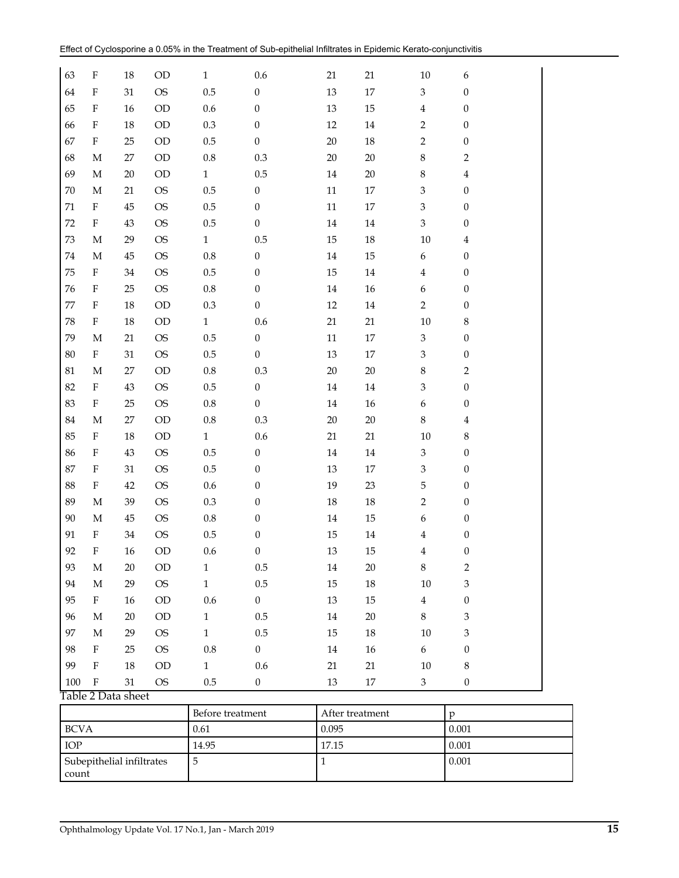| <b>BCVA</b> |                           |                    |                        | 0.61               |                                      | 0.095    |                 |                                | $0.001\,$                            |  |
|-------------|---------------------------|--------------------|------------------------|--------------------|--------------------------------------|----------|-----------------|--------------------------------|--------------------------------------|--|
|             |                           |                    |                        | Before treatment   |                                      |          | After treatment |                                | $\mathbf{p}$                         |  |
|             |                           | Table 2 Data sheet |                        |                    |                                      |          |                 |                                |                                      |  |
| 100         | $\mathbf F$               | $31\,$             | <b>OS</b>              | 0.5                | $\boldsymbol{0}$                     | 13       | 17              | 3                              | $\boldsymbol{0}$                     |  |
| 99          | $\mathbf F$               | $18\,$             | OD                     | $\mathbf{1}$       | 0.6                                  | $21\,$   | $21\,$          | 10                             | $\,8\,$                              |  |
| 98          | $\mathbf F$               | $25\,$             | <b>OS</b>              | $\rm 0.8$          | $\boldsymbol{0}$                     | $14\,$   | $16\,$          | 6                              | $\boldsymbol{0}$                     |  |
| 97          | $\mathbf M$               | 29                 | <b>OS</b>              | $\mathbf 1$        | $0.5\,$                              | 15       | $18\,$          | $10\,$                         | $\ensuremath{\mathbf{3}}$            |  |
| 96          | $\mathbf M$               | $20\,$             | OD                     | $\mathbf{1}$       | $0.5\,$                              | $14\,$   | $20\,$          | 8                              | $\ensuremath{\mathbf{3}}$            |  |
| 95          | $\mathbf{F}$              | $16\,$             | $\rm OD$               | $0.6\,$            | $\boldsymbol{0}$                     | $13\,$   | $15\,$          | $\bf 4$                        | $\boldsymbol{0}$                     |  |
| 94          | $\mathbf M$               | 29                 | <b>OS</b>              | $\mathbf{1}$       | $0.5\,$                              | 15       | $18\,$          | $10\,$                         | $\ensuremath{\mathbf{3}}$            |  |
| 93          | M                         | $20\,$             | $\rm OD$               | $\mathbf{1}$       | $0.5\,$                              | 14       | $20\,$          | $\,8\,$                        | $\sqrt{2}$                           |  |
| 92          | F                         | 16                 | OD                     | 0.6                | $\boldsymbol{0}$                     | 13       | 15              | $\bf 4$<br>4                   | $\boldsymbol{0}$                     |  |
| 91          | М<br>$\mathbf F$          | 34                 | <b>OS</b><br><b>OS</b> | $0.8\,$<br>$0.5\,$ | $\boldsymbol{0}$<br>$\boldsymbol{0}$ | 14<br>15 | 15<br>$14\,$    | 6                              | $\boldsymbol{0}$<br>$\boldsymbol{0}$ |  |
| 90          | $\mathbf M$               | 39<br>$45\,$       | <b>OS</b>              | 0.3                | $\boldsymbol{0}$                     | $18\,$   | $18\,$          | $\overline{c}$                 | $\boldsymbol{0}$                     |  |
| 89          |                           |                    |                        |                    |                                      |          |                 |                                |                                      |  |
| 88          | $\boldsymbol{\mathrm{F}}$ | 31<br>$42\,$       | <b>OS</b><br><b>OS</b> | $0.6\,$            | $\theta$                             | 19       | 23              | $\ensuremath{\mathbf{3}}$<br>5 | $\boldsymbol{0}$                     |  |
| 86<br>87    | F<br>F                    | 43                 | <b>OS</b>              | $0.5\,$<br>$0.5\,$ | $\boldsymbol{0}$<br>$\boldsymbol{0}$ | 14<br>13 | $14\,$<br>17    | $\ensuremath{\mathbf{3}}$      | $\boldsymbol{0}$<br>$\boldsymbol{0}$ |  |
| 85          | F                         | $18\,$             | OD                     | $\mathbf{1}$       | 0.6                                  | 21       | 21              | $10\,$                         | $\,$ 8 $\,$                          |  |
| 84          | М                         | $27\,$             | OD                     | $\rm 0.8$          | 0.3                                  | 20       | $20\,$          | $\,8\,$                        | $\overline{\mathbf{4}}$              |  |
| 83          | $\boldsymbol{\mathrm{F}}$ | 25                 | <b>OS</b>              | $\rm 0.8$          | $\boldsymbol{0}$                     | $14\,$   | $16\,$          | $\boldsymbol{6}$               | $\boldsymbol{0}$                     |  |
| 82          | F                         | $43\,$             | <b>OS</b>              | $0.5\,$            | $\boldsymbol{0}$                     | 14       | $14\,$          | $\,3$                          | $\boldsymbol{0}$                     |  |
| $81\,$      | M                         | $27\,$             | OD                     | $\rm 0.8$          | 0.3                                  | 20       | $20\,$          | $\,$ 8 $\,$                    | $\overline{2}$                       |  |
| 80          | F                         | $31\,$             | <b>OS</b>              | $0.5\,$            | $\boldsymbol{0}$                     | 13       | $17\,$          | $\,3$                          | $\boldsymbol{0}$                     |  |
| 79          | M                         | $21\,$             | <b>OS</b>              | $0.5\,$            | $\boldsymbol{0}$                     | $11\,$   | 17              | $\ensuremath{\mathsf{3}}$      | $\boldsymbol{0}$                     |  |
| 78          | F                         | $18\,$             | OD                     | $\mathbf{1}$       | 0.6                                  | 21       | 21              | 10                             | 8                                    |  |
| 77          | F                         | $18\,$             | <b>OD</b>              | 0.3                | $\boldsymbol{0}$                     | $12\,$   | $14\,$          | $\overline{2}$                 | $\boldsymbol{0}$                     |  |
| 76          | $\rm F$                   | 25                 | <b>OS</b>              | $\rm 0.8$          | $\boldsymbol{0}$                     | $14\,$   | 16              | $\boldsymbol{6}$               | $\boldsymbol{0}$                     |  |
| 75          | $\boldsymbol{\mathrm{F}}$ | $34\,$             | <b>OS</b>              | $0.5\,$            | $\boldsymbol{0}$                     | 15       | $14\,$          | $\overline{\mathbf{4}}$        | $\boldsymbol{0}$                     |  |
| 74          | M                         | $45\,$             | <b>OS</b>              | $0.8\,$            | $\boldsymbol{0}$                     | $14\,$   | 15              | $\epsilon$                     | $\boldsymbol{0}$                     |  |
| 73          | M                         | 29                 | <b>OS</b>              | $\mathbf{1}$       | $0.5\,$                              | 15       | 18              | 10                             | 4                                    |  |
| 72          | $\boldsymbol{\mathrm{F}}$ | $43\,$             | <b>OS</b>              | 0.5                | $\boldsymbol{0}$                     | $14\,$   | $14\,$          | $\mathfrak{Z}$                 | $\mathbf{0}$                         |  |
| $71\,$      | $\boldsymbol{\mathrm{F}}$ | $45\,$             | <b>OS</b>              | $0.5\,$            | $\boldsymbol{0}$                     | $11\,$   | 17              | $\ensuremath{\mathbf{3}}$      | $\boldsymbol{0}$                     |  |
| $70\,$      | $\mathbf M$               | 21                 | <b>OS</b>              | $0.5\,$            | $\boldsymbol{0}$                     | $11\,$   | 17              | $\ensuremath{\mathbf{3}}$      | $\boldsymbol{0}$                     |  |
| 69          | М                         | $20\,$             | OD                     | $\mathbf{1}$       | $0.5\,$                              | 14       | $20\,$          | $\,8\,$                        | 4                                    |  |
| 68          | М                         | 27                 | OD                     | $0.8\,$            | $0.3\,$                              | $20\,$   | $20\,$          | $\,8\,$                        | $\mathbf 2$                          |  |
| 67          | $\rm F$                   | 25                 | OD                     | $0.5\,$            | $\boldsymbol{0}$                     | $20\,$   | 18              | $\overline{2}$                 | $\theta$                             |  |
| 66          | $\rm F$                   | $18\,$             | OD                     | $0.3\,$            | $\boldsymbol{0}$                     | $12\,$   | $14\,$          | $\overline{2}$                 | $\boldsymbol{0}$                     |  |
| 65          | F                         | 16                 | OD                     | $0.6\,$            | $\boldsymbol{0}$                     | 13       | 15              | $\overline{\mathbf{4}}$        | $\boldsymbol{0}$                     |  |
| 64          | $\rm F$                   | 31                 | <b>OS</b>              | $0.5\,$            | $\boldsymbol{0}$                     | 13       | $17\,$          | $\mathfrak{Z}$                 | $\boldsymbol{0}$                     |  |
| 63          | F                         | $18\,$             | OD                     | $\mathbf{1}$       | 0.6                                  | 21       | $21\,$          | 10                             | 6                                    |  |

|                                    | Before treatment | After treatment |       |
|------------------------------------|------------------|-----------------|-------|
| <b>BCVA</b>                        | 0.61             | 0.095           | 0.001 |
| <b>IOP</b>                         | 14.95            | 17.15           | 0.001 |
| Subepithelial infiltrates<br>count |                  |                 | 0.001 |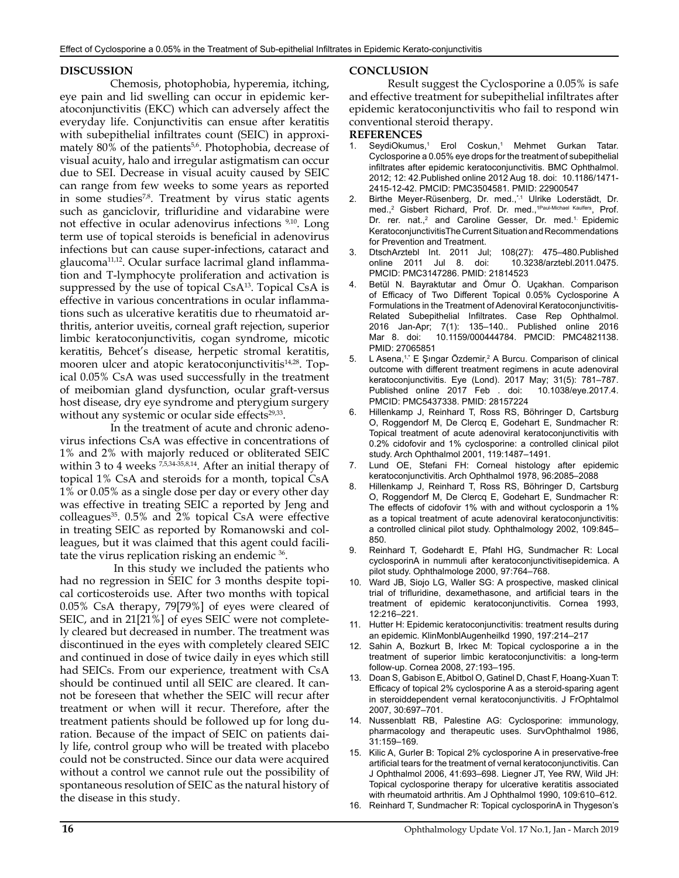#### **DISCUSSION**

 Chemosis, photophobia, hyperemia, itching, eye pain and lid swelling can occur in epidemic keratoconjunctivitis (EKC) which can adversely affect the everyday life. Conjunctivitis can ensue after keratitis with subepithelial infiltrates count (SEIC) in approximately 80% of the patients<sup>5,6</sup>. Photophobia, decrease of visual acuity, halo and irregular astigmatism can occur due to SEI. Decrease in visual acuity caused by SEIC can range from few weeks to some years as reported in some studies<sup>7,8</sup>. Treatment by virus static agents such as ganciclovir, trifluridine and vidarabine were not effective in ocular adenovirus infections 9,10. Long term use of topical steroids is beneficial in adenovirus infections but can cause super-infections, cataract and glaucoma<sup>11,12</sup>. Ocular surface lacrimal gland inflammation and T-lymphocyte proliferation and activation is suppressed by the use of topical Cs $A^{13}$ . Topical Cs $A$  is effective in various concentrations in ocular inflammations such as ulcerative keratitis due to rheumatoid arthritis, anterior uveitis, corneal graft rejection, superior limbic keratoconjunctivitis, cogan syndrome, micotic keratitis, Behcet's disease, herpetic stromal keratitis, mooren ulcer and atopic keratoconjunctivitis<sup>14,28</sup>. Topical 0.05% CsA was used successfully in the treatment of meibomian gland dysfunction, ocular graft-versus host disease, dry eye syndrome and pterygium surgery without any systemic or ocular side effects<sup>29,33</sup>.

 In the treatment of acute and chronic adenovirus infections CsA was effective in concentrations of 1% and 2% with majorly reduced or obliterated SEIC within 3 to 4 weeks  $\frac{7}{5}$ ,  $\frac{5}{34}$ ,  $\frac{35}{58}$ ,  $\frac{14}{14}$ . After an initial therapy of topical 1% CsA and steroids for a month, topical CsA 1% or 0.05% as a single dose per day or every other day was effective in treating SEIC a reported by Jeng and  $\text{colleagues}^{35}$ . 0.5% and 2% topical CsA were effective in treating SEIC as reported by Romanowski and colleagues, but it was claimed that this agent could facilitate the virus replication risking an endemic 36.

 In this study we included the patients who had no regression in SEIC for 3 months despite topical corticosteroids use. After two months with topical 0.05% CsA therapy, 79[79%] of eyes were cleared of SEIC, and in 21[21%] of eyes SEIC were not completely cleared but decreased in number. The treatment was discontinued in the eyes with completely cleared SEIC and continued in dose of twice daily in eyes which still had SEICs. From our experience, treatment with CsA should be continued until all SEIC are cleared. It cannot be foreseen that whether the SEIC will recur after treatment or when will it recur. Therefore, after the treatment patients should be followed up for long duration. Because of the impact of SEIC on patients daily life, control group who will be treated with placebo could not be constructed. Since our data were acquired without a control we cannot rule out the possibility of spontaneous resolution of SEIC as the natural history of the disease in this study.

#### **CONCLUSION**

 Result suggest the Cyclosporine a 0.05% is safe and effective treatment for subepithelial infiltrates after epidemic keratoconjunctivitis who fail to respond win conventional steroid therapy.

#### **REFERENCES**

- [SeydiOkumus,](https://www.ncbi.nlm.nih.gov/pubmed/?term=Okumus%20S%5BAuthor%5D&cauthor=true&cauthor_uid=22900547)<sup>1</sup> [Erol Coskun,](https://www.ncbi.nlm.nih.gov/pubmed/?term=Coskun%20E%5BAuthor%5D&cauthor=true&cauthor_uid=22900547)<sup>1</sup> [Mehmet Gurkan Tatar.](https://www.ncbi.nlm.nih.gov/pubmed/?term=Tatar%20MG%5BAuthor%5D&cauthor=true&cauthor_uid=22900547) Cyclosporine a 0.05% eye drops for the treatment of subepithelial infiltrates after epidemic keratoconjunctivitis. [BMC Ophthalmol.](https://www.ncbi.nlm.nih.gov/pmc/articles/PMC3504581/) 2012; 12: 42.Published online 2012 Aug 18. doi: [10.1186/1471-](https://dx.doi.org/10.1186%2F1471-2415-12-42) [2415-12-42.](https://dx.doi.org/10.1186%2F1471-2415-12-42) PMCID: PMC3504581. PMID: [22900547](https://www.ncbi.nlm.nih.gov/pubmed/22900547)
- 2. [Birthe Meyer-Rüsenberg](https://www.ncbi.nlm.nih.gov/pubmed/?term=Meyer-R%26%23x000fc%3Bsenberg%20B%5BAuthor%5D&cauthor=true&cauthor_uid=21814523), Dr. med.,\*,1 [Ulrike Loderstädt](https://www.ncbi.nlm.nih.gov/pubmed/?term=Loderst%26%23x000e4%3Bdt%20U%5BAuthor%5D&cauthor=true&cauthor_uid=21814523), Dr. med.,<sup>2</sup> [Gisbert Richard](https://www.ncbi.nlm.nih.gov/pubmed/?term=Richard%20G%5BAuthor%5D&cauthor=true&cauthor_uid=21814523), Prof. Dr. med.,<sup>1Paul-Michael Kaulfers</sup>, Prof. Dr. rer. nat.,<sup>2</sup> and [Caroline Gesser](https://www.ncbi.nlm.nih.gov/pubmed/?term=Gesser%20C%5BAuthor%5D&cauthor=true&cauthor_uid=21814523), Dr. med.<sup>1.</sup> Epidemic KeratoconjunctivitisThe Current Situation and Recommendations for Prevention and Treatment.
- 3. [DtschArztebl Int](https://www.ncbi.nlm.nih.gov/pmc/articles/PMC3147286/). 2011 Jul; 108(27): 475–480.Published online 2011 Jul 8. doi: [10.3238/arztebl.2011.0475.](https://dx.doi.org/10.3238%2Farztebl.2011.0475) PMCID: PMC3147286. PMID: [21814523](https://www.ncbi.nlm.nih.gov/pubmed/21814523)
- 4. [Betül N. Bayraktutar](https://www.ncbi.nlm.nih.gov/pubmed/?term=Bayraktutar%20BN%5BAuthor%5D&cauthor=true&cauthor_uid=27065851) and Ömur Ö. Uçakhan. Comparison of Efficacy of Two Different Topical 0.05% Cyclosporine A Formulations in the Treatment of Adenoviral Keratoconjunctivitis-Related Subepithelial Infiltrates. [Case Rep Ophthalmol.](https://www.ncbi.nlm.nih.gov/pmc/articles/PMC4821138/) 2016 Jan-Apr; 7(1): 135–140.. Published online 2016 Mar 8. doi: [10.1159/000444784.](https://dx.doi.org/10.1159%2F000444784) PMCID: PMC4821138. PMID: [27065851](https://www.ncbi.nlm.nih.gov/pubmed/27065851)
- 5. [L Asena](https://www.ncbi.nlm.nih.gov/pubmed/?term=Asena%20L%5BAuthor%5D&cauthor=true&cauthor_uid=28157224),<sup>1,\*</sup> E Şingar Özdemir,<sup>2</sup> [A Burcu.](https://www.ncbi.nlm.nih.gov/pubmed/?term=Burcu%20A%5BAuthor%5D&cauthor=true&cauthor_uid=28157224) Comparison of clinical outcome with different treatment regimens in acute adenoviral keratoconjunctivitis. [Eye \(Lond\).](https://www.ncbi.nlm.nih.gov/pmc/articles/PMC5437338/) 2017 May; 31(5): 781–787. Published online 2017 Feb . doi: [10.1038/eye.2017.4.](https://dx.doi.org/10.1038%2Feye.2017.4) PMCID: PMC5437338. PMID: [28157224](https://www.ncbi.nlm.nih.gov/pubmed/28157224)
- 6. Hillenkamp J, Reinhard T, Ross RS, Böhringer D, Cartsburg O, Roggendorf M, De Clercq E, Godehart E, Sundmacher R: Topical treatment of acute adenoviral keratoconjunctivitis with 0.2% cidofovir and 1% cyclosporine: a controlled clinical pilot study. Arch Ophthalmol 2001, 119:1487–1491.
- Lund OE, Stefani FH: Corneal histology after epidemic keratoconjunctivitis. Arch Ophthalmol 1978, 96:2085–2088
- 8. Hillenkamp J, Reinhard T, Ross RS, Böhringer D, Cartsburg O, Roggendorf M, De Clercq E, Godehart E, Sundmacher R: The effects of cidofovir 1% with and without cyclosporin a 1% as a topical treatment of acute adenoviral keratoconjunctivitis: a controlled clinical pilot study. Ophthalmology 2002, 109:845– 850.
- 9. Reinhard T, Godehardt E, Pfahl HG, Sundmacher R: Local cyclosporinA in nummuli after keratoconjunctivitisepidemica. A pilot study. Ophthalmologe 2000, 97:764–768.
- 10. Ward JB, Siojo LG, Waller SG: A prospective, masked clinical trial of trifluridine, dexamethasone, and artificial tears in the treatment of epidemic keratoconjunctivitis. Cornea 1993, 12:216–221.
- 11. Hutter H: Epidemic keratoconjunctivitis: treatment results during an epidemic. KlinMonblAugenheilkd 1990, 197:214–217
- 12. Sahin A, Bozkurt B, Irkec M: Topical cyclosporine a in the treatment of superior limbic keratoconjunctivitis: a long-term follow-up. Cornea 2008, 27:193–195.
- 13. Doan S, Gabison E, Abitbol O, Gatinel D, Chast F, Hoang-Xuan T: Efficacy of topical 2% cyclosporine A as a steroid-sparing agent in steroiddependent vernal keratoconjunctivitis. J FrOphtalmol 2007, 30:697–701.
- 14. Nussenblatt RB, Palestine AG: Cyclosporine: immunology, pharmacology and therapeutic uses. SurvOphthalmol 1986, 31:159–169.
- 15. Kilic A, Gurler B: Topical 2% cyclosporine A in preservative-free artificial tears for the treatment of vernal keratoconjunctivitis. Can J Ophthalmol 2006, 41:693–698. Liegner JT, Yee RW, Wild JH: Topical cyclosporine therapy for ulcerative keratitis associated with rheumatoid arthritis. Am J Ophthalmol 1990, 109:610–612.
- 16. Reinhard T, Sundmacher R: Topical cyclosporinA in Thygeson's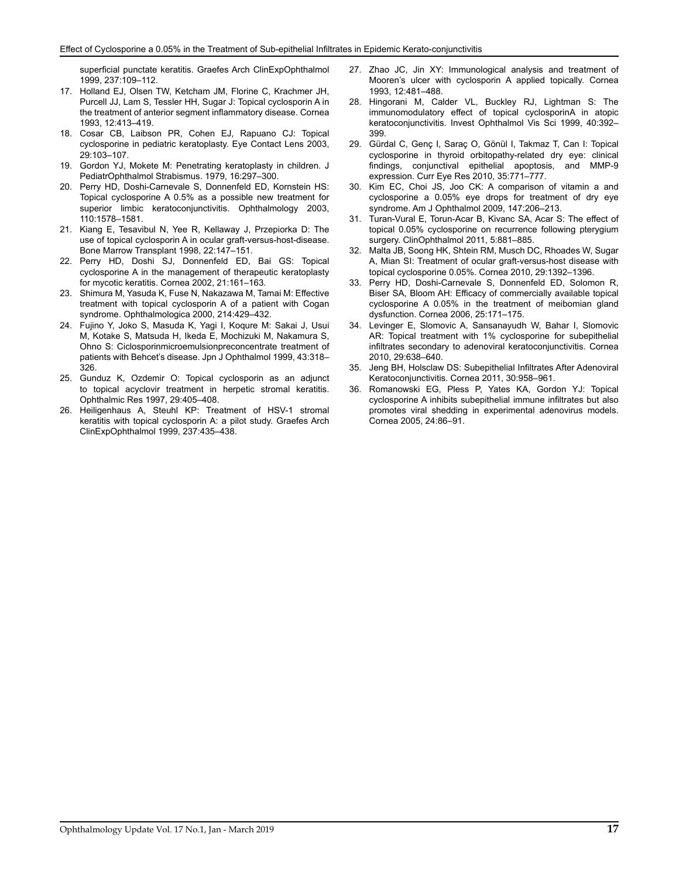superficial punctate keratitis. Graefes Arch ClinExpOphthalmol 1999, 237:109–112.

- 17. Holland EJ, Olsen TW, Ketcham JM, Florine C, Krachmer JH, Purcell JJ, Lam S, Tessler HH, Sugar J: Topical cyclosporin A in the treatment of anterior segment inflammatory disease. Cornea 1993, 12:413–419.
- 18. Cosar CB, Laibson PR, Cohen EJ, Rapuano CJ: Topical cyclosporine in pediatric keratoplasty. Eye Contact Lens 2003, 29:103–107.
- 19. Gordon YJ, Mokete M: Penetrating keratoplasty in children. J PediatrOphthalmol Strabismus. 1979, 16:297–300.
- 20. Perry HD, Doshi-Carnevale S, Donnenfeld ED, Kornstein HS: Topical cyclosporine A 0.5% as a possible new treatment for superior limbic keratoconjunctivitis. Ophthalmology 2003, 110:1578–1581.
- 21. Kiang E, Tesavibul N, Yee R, Kellaway J, Przepiorka D: The use of topical cyclosporin A in ocular graft-versus-host-disease. Bone Marrow Transplant 1998, 22:147–151.
- 22. Perry HD, Doshi SJ, Donnenfeld ED, Bai GS: Topical cyclosporine A in the management of therapeutic keratoplasty for mycotic keratitis. Cornea 2002, 21:161–163.
- 23. Shimura M, Yasuda K, Fuse N, Nakazawa M, Tamai M: Effective treatment with topical cyclosporin A of a patient with Cogan syndrome. Ophthalmologica 2000, 214:429–432.
- 24. Fujino Y, Joko S, Masuda K, Yagi I, Koqure M: Sakai J, Usui M, Kotake S, Matsuda H, Ikeda E, Mochizuki M, Nakamura S, Ohno S: Ciclosporinmicroemulsionpreconcentrate treatment of patients with Behcet's disease. Jpn J Ophthalmol 1999, 43:318– 326.
- 25. Gunduz K, Ozdemir O: Topical cyclosporin as an adjunct to topical acyclovir treatment in herpetic stromal keratitis. Ophthalmic Res 1997, 29:405–408.
- 26. Heiligenhaus A, Steuhl KP: Treatment of HSV-1 stromal keratitis with topical cyclosporin A: a pilot study. Graefes Arch ClinExpOphthalmol 1999, 237:435–438.
- 27. Zhao JC, Jin XY: Immunological analysis and treatment of Mooren's ulcer with cyclosporin A applied topically. Cornea 1993, 12:481–488.
- 28. Hingorani M, Calder VL, Buckley RJ, Lightman S: The immunomodulatory effect of topical cyclosporinA in atopic keratoconjunctivitis. Invest Ophthalmol Vis Sci 1999, 40:392– 399.
- 29. Gürdal C, Genç I, Saraç O, Gönül I, Takmaz T, Can I: Topical cyclosporine in thyroid orbitopathy-related dry eye: clinical findings, conjunctival epithelial apoptosis, and MMP-9 expression. Curr Eye Res 2010, 35:771–777.
- 30. Kim EC, Choi JS, Joo CK: A comparison of vitamin a and cyclosporine a 0.05% eye drops for treatment of dry eye syndrome. Am J Ophthalmol 2009, 147:206–213.
- 31. Turan-Vural E, Torun-Acar B, Kivanc SA, Acar S: The effect of topical 0.05% cyclosporine on recurrence following pterygium surgery. ClinOphthalmol 2011, 5:881–885.
- 32. Malta JB, Soong HK, Shtein RM, Musch DC, Rhoades W, Sugar A, Mian SI: Treatment of ocular graft-versus-host disease with topical cyclosporine 0.05%. Cornea 2010, 29:1392–1396.
- 33. Perry HD, Doshi-Carnevale S, Donnenfeld ED, Solomon R, Biser SA, Bloom AH: Efficacy of commercially available topical cyclosporine A 0.05% in the treatment of meibomian gland dysfunction. Cornea 2006, 25:171–175.
- 34. Levinger E, Slomovic A, Sansanayudh W, Bahar I, Slomovic AR: Topical treatment with 1% cyclosporine for subepithelial infiltrates secondary to adenoviral keratoconjunctivitis. Cornea 2010, 29:638–640.
- 35. Jeng BH, Holsclaw DS: Subepithelial Infiltrates After Adenoviral Keratoconjunctivitis. Cornea 2011, 30:958–961.
- 36. Romanowski EG, Pless P, Yates KA, Gordon YJ: Topical cyclosporine A inhibits subepithelial immune infiltrates but also promotes viral shedding in experimental adenovirus models. Cornea 2005, 24:86–91.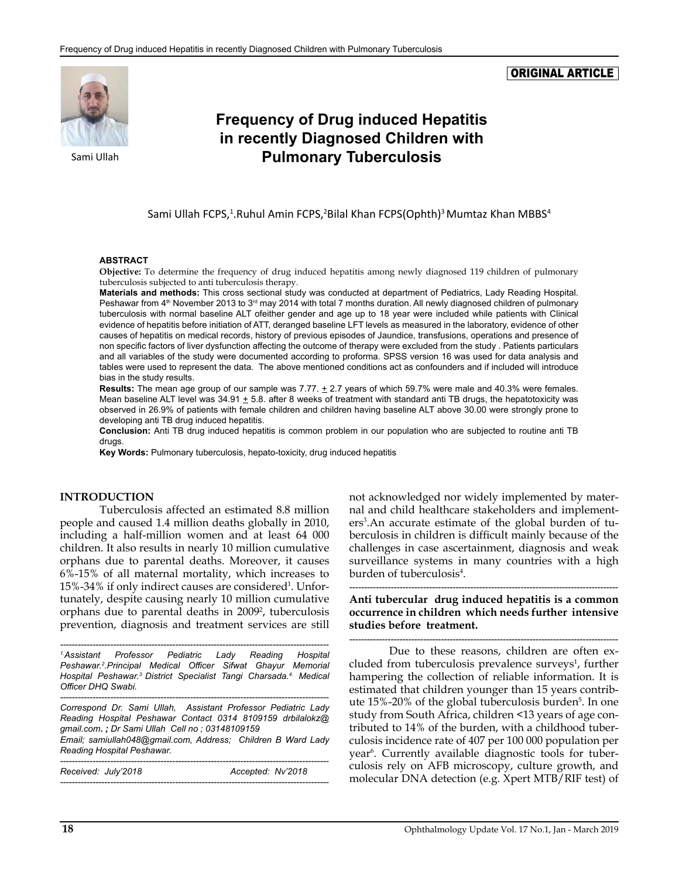#### ORIGINAL ARTICLE



# **Frequency of Drug induced Hepatitis in recently Diagnosed Children with**  Sami Ullah **Pulmonary Tuberculosis**

Sami Ullah FCPS,<sup>1</sup>.Ruhul Amin FCPS,<sup>2</sup>Bilal Khan FCPS(Ophth)<sup>3</sup> Mumtaz Khan MBBS<sup>4</sup>

#### **ABSTRACT**

**Objective:** To determine the frequency of drug induced hepatitis among newly diagnosed 119 children of pulmonary tuberculosis subjected to anti tuberculosis therapy.

**Materials and methods:** This cross sectional study was conducted at department of Pediatrics, Lady Reading Hospital. Peshawar from 4<sup>th</sup> November 2013 to 3<sup>rd</sup> may 2014 with total 7 months duration. All newly diagnosed children of pulmonary tuberculosis with normal baseline ALT ofeither gender and age up to 18 year were included while patients with Clinical evidence of hepatitis before initiation of ATT, deranged baseline LFT levels as measured in the laboratory, evidence of other causes of hepatitis on medical records, history of previous episodes of Jaundice, transfusions, operations and presence of non specific factors of liver dysfunction affecting the outcome of therapy were excluded from the study . Patients particulars and all variables of the study were documented according to proforma. SPSS version 16 was used for data analysis and tables were used to represent the data. The above mentioned conditions act as confounders and if included will introduce bias in the study results.

Results: The mean age group of our sample was 7.77.  $\pm$  2.7 years of which 59.7% were male and 40.3% were females. Mean baseline ALT level was  $34.91 \pm 5.8$ . after 8 weeks of treatment with standard anti TB drugs, the hepatotoxicity was observed in 26.9% of patients with female children and children having baseline ALT above 30.00 were strongly prone to developing anti TB drug induced hepatitis.

**Conclusion:** Anti TB drug induced hepatitis is common problem in our population who are subjected to routine anti TB druas

**Key Words:** Pulmonary tuberculosis, hepato-toxicity, drug induced hepatitis

#### **INTRODUCTION**

Tuberculosis affected an estimated 8.8 million people and caused 1.4 million deaths globally in 2010, including a half-million women and at least 64 000 children. It also results in nearly 10 million cumulative orphans due to parental deaths. Moreover, it causes 6%-15% of all maternal mortality, which increases to 15%-34% if only indirect causes are considered<sup>1</sup>. Unfortunately, despite causing nearly 10 million cumulative orphans due to parental deaths in 2009<sup>2</sup>, tuberculosis prevention, diagnosis and treatment services are still

*------------------------------------------------------------------------------------------- 1.Assistant Professor Pediatric Lady Reading Hospital Peshawar.2 .Principal Medical Officer Sifwat Ghayur Memorial Hospital Peshawar.3 District Specialist Tangi Charsada.4. Medical Officer DHQ Swabi.*

*------------------------------------------------------------------------------------------- Correspond Dr. Sami Ullah, Assistant Professor Pediatric Lady Reading Hospital Peshawar Contact 0314 8109159 [drbilalokz@](mailto:drbilalokz@gmail.com) [gmail.com](mailto:drbilalokz@gmail.com)***.** *; Dr Sami Ullah Cell no ; 03148109159 Email; [samiullah048@gmail.com](mailto:samiullah048@gmail.com), Address; Children B Ward Lady* 

*Reading Hospital Peshawar. -------------------------------------------------------------------------------------------*

| Received: July'2018 | Accepted: Nv'2018 |  |
|---------------------|-------------------|--|
|                     |                   |  |

not acknowledged nor widely implemented by maternal and child healthcare stakeholders and implementers<sup>3</sup>.An accurate estimate of the global burden of tuberculosis in children is difficult mainly because of the challenges in case ascertainment, diagnosis and weak surveillance systems in many countries with a high burden of tuberculosis4 .

*-------------------------------------------------------------------------------------------* **Anti tubercular drug induced hepatitis is a common occurrence in children which needs further intensive studies before treatment.**

*-------------------------------------------------------------------------------------------* Due to these reasons, children are often excluded from tuberculosis prevalence surveys<sup>1</sup>, further hampering the collection of reliable information. It is estimated that children younger than 15 years contribute 15%-20% of the global tuberculosis burden<sup>5</sup>. In one study from South Africa, children <13 years of age contributed to 14% of the burden, with a childhood tuberculosis incidence rate of 407 per 100 000 population per year<sup>6</sup>. Currently available diagnostic tools for tuberculosis rely on AFB microscopy, culture growth, and molecular DNA detection (e.g. Xpert MTB/RIF test) of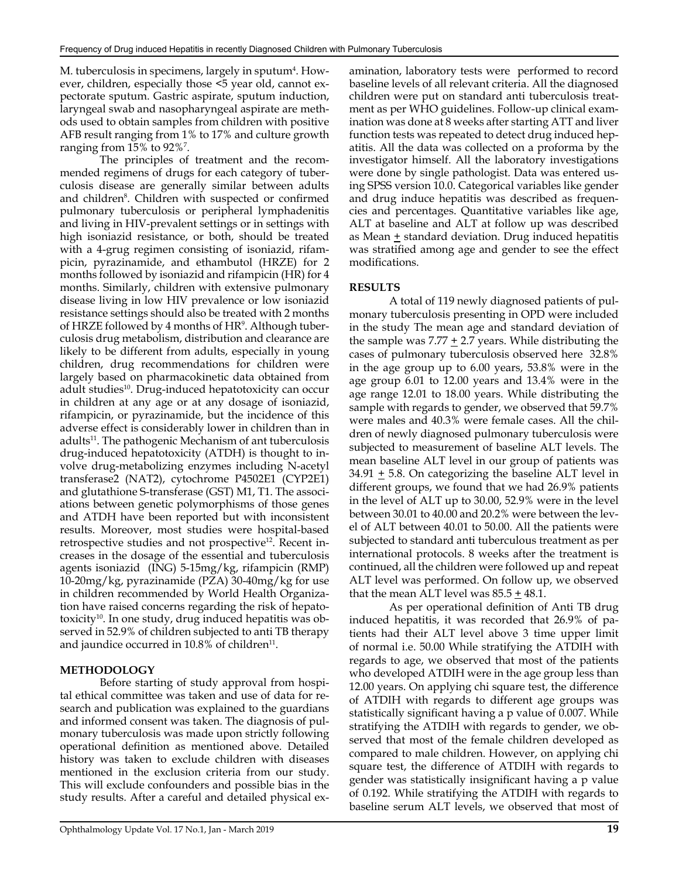M. tuberculosis in specimens, largely in sputum<sup>4</sup>. However, children, especially those <5 year old, cannot expectorate sputum. Gastric aspirate, sputum induction, laryngeal swab and nasopharyngeal aspirate are methods used to obtain samples from children with positive AFB result ranging from 1% to 17% and culture growth ranging from 15% to 92%7 .

The principles of treatment and the recommended regimens of drugs for each category of tuberculosis disease are generally similar between adults and children<sup>8</sup>. Children with suspected or confirmed pulmonary tuberculosis or peripheral lymphadenitis and living in HIV-prevalent settings or in settings with high isoniazid resistance, or both, should be treated with a 4-grug regimen consisting of isoniazid, rifampicin, pyrazinamide, and ethambutol (HRZE) for 2 months followed by isoniazid and rifampicin (HR) for 4 months. Similarly, children with extensive pulmonary disease living in low HIV prevalence or low isoniazid resistance settings should also be treated with 2 months of HRZE followed by 4 months of HR<sup>9</sup>. Although tuberculosis drug metabolism, distribution and clearance are likely to be different from adults, especially in young children, drug recommendations for children were largely based on pharmacokinetic data obtained from adult studies<sup>10</sup>. Drug-induced hepatotoxicity can occur in children at any age or at any dosage of isoniazid, rifampicin, or pyrazinamide, but the incidence of this adverse effect is considerably lower in children than in adults<sup>11</sup>. The pathogenic Mechanism of ant tuberculosis drug-induced hepatotoxicity (ATDH) is thought to involve drug-metabolizing enzymes including N-acetyl transferase2 (NAT2), cytochrome P4502E1 (CYP2E1) and glutathione S-transferase (GST) M1, T1. The associations between genetic polymorphisms of those genes and ATDH have been reported but with inconsistent results. Moreover, most studies were hospital-based retrospective studies and not prospective<sup>12</sup>. Recent increases in the dosage of the essential and tuberculosis agents isoniazid (ING) 5-15mg/kg, rifampicin (RMP) 10-20mg/kg, pyrazinamide (PZA) 30-40mg/kg for use in children recommended by World Health Organization have raised concerns regarding the risk of hepatotoxicity<sup>10</sup>. In one study, drug induced hepatitis was observed in 52.9% of children subjected to anti TB therapy and jaundice occurred in  $10.8\%$  of children<sup>11</sup>.

#### **METHODOLOGY**

Before starting of study approval from hospital ethical committee was taken and use of data for research and publication was explained to the guardians and informed consent was taken. The diagnosis of pulmonary tuberculosis was made upon strictly following operational definition as mentioned above. Detailed history was taken to exclude children with diseases mentioned in the exclusion criteria from our study. This will exclude confounders and possible bias in the study results. After a careful and detailed physical examination, laboratory tests were performed to record baseline levels of all relevant criteria. All the diagnosed children were put on standard anti tuberculosis treatment as per WHO guidelines. Follow-up clinical examination was done at 8 weeks after starting ATT and liver function tests was repeated to detect drug induced hepatitis. All the data was collected on a proforma by the investigator himself. All the laboratory investigations were done by single pathologist. Data was entered using SPSS version 10.0. Categorical variables like gender and drug induce hepatitis was described as frequencies and percentages. Quantitative variables like age, ALT at baseline and ALT at follow up was described as Mean  $\pm$  standard deviation. Drug induced hepatitis was stratified among age and gender to see the effect modifications.

#### **RESULTS**

A total of 119 newly diagnosed patients of pulmonary tuberculosis presenting in OPD were included in the study The mean age and standard deviation of the sample was  $7.77 \pm 2.7$  years. While distributing the cases of pulmonary tuberculosis observed here 32.8% in the age group up to 6.00 years, 53.8% were in the age group 6.01 to 12.00 years and 13.4% were in the age range 12.01 to 18.00 years. While distributing the sample with regards to gender, we observed that 59.7% were males and 40.3% were female cases. All the children of newly diagnosed pulmonary tuberculosis were subjected to measurement of baseline ALT levels. The mean baseline ALT level in our group of patients was  $34.91 \pm 5.8$ . On categorizing the baseline ALT level in different groups, we found that we had 26.9% patients in the level of ALT up to 30.00, 52.9% were in the level between 30.01 to 40.00 and 20.2% were between the level of ALT between 40.01 to 50.00. All the patients were subjected to standard anti tuberculous treatment as per international protocols. 8 weeks after the treatment is continued, all the children were followed up and repeat ALT level was performed. On follow up, we observed that the mean ALT level was 85.5 + 48.1.

As per operational definition of Anti TB drug induced hepatitis, it was recorded that 26.9% of patients had their ALT level above 3 time upper limit of normal i.e. 50.00 While stratifying the ATDIH with regards to age, we observed that most of the patients who developed ATDIH were in the age group less than 12.00 years. On applying chi square test, the difference of ATDIH with regards to different age groups was statistically significant having a p value of 0.007. While stratifying the ATDIH with regards to gender, we observed that most of the female children developed as compared to male children. However, on applying chi square test, the difference of ATDIH with regards to gender was statistically insignificant having a p value of 0.192. While stratifying the ATDIH with regards to baseline serum ALT levels, we observed that most of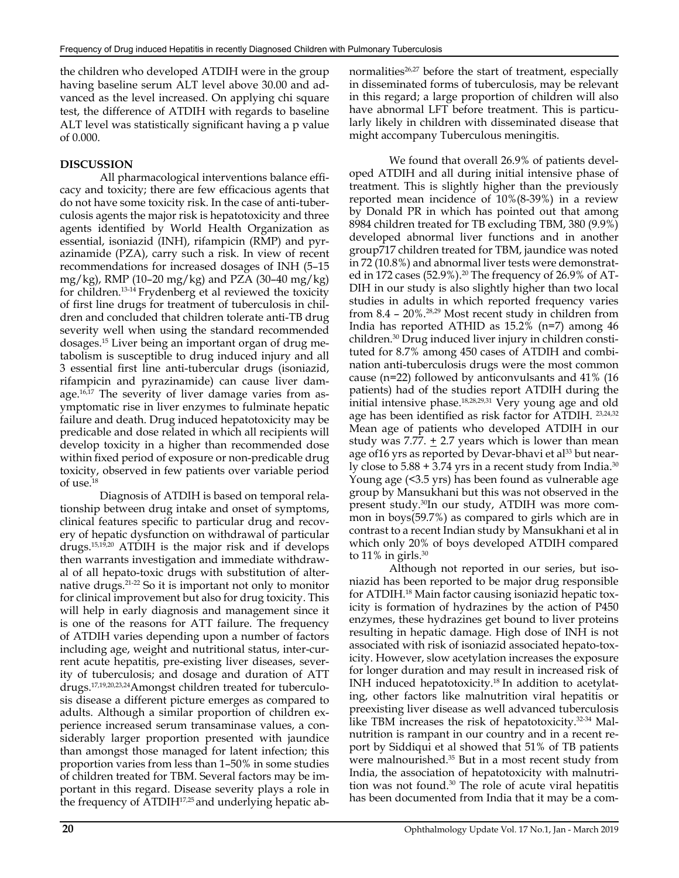the children who developed ATDIH were in the group having baseline serum ALT level above 30.00 and advanced as the level increased. On applying chi square test, the difference of ATDIH with regards to baseline ALT level was statistically significant having a p value of 0.000.

## **DISCUSSION**

All pharmacological interventions balance efficacy and toxicity; there are few efficacious agents that do not have some toxicity risk. In the case of anti-tuberculosis agents the major risk is hepatotoxicity and three agents identified by World Health Organization as essential, isoniazid (INH), rifampicin (RMP) and pyrazinamide (PZA), carry such a risk. In view of recent recommendations for increased dosages of INH (5–15 mg/kg), RMP (10–20 mg/kg) and PZA (30–40 mg/kg) for children.13-14 Frydenberg et al reviewed the toxicity of first line drugs for treatment of tuberculosis in children and concluded that children tolerate anti-TB drug severity well when using the standard recommended dosages.15 Liver being an important organ of drug metabolism is susceptible to drug induced injury and all 3 essential first line anti-tubercular drugs (isoniazid, rifampicin and pyrazinamide) can cause liver damage.16,17 The severity of liver damage varies from asymptomatic rise in liver enzymes to fulminate hepatic failure and death. Drug induced hepatotoxicity may be predicable and dose related in which all recipients will develop toxicity in a higher than recommended dose within fixed period of exposure or non-predicable drug toxicity, observed in few patients over variable period of use.18

Diagnosis of ATDIH is based on temporal relationship between drug intake and onset of symptoms, clinical features specific to particular drug and recovery of hepatic dysfunction on withdrawal of particular drugs.15,19,20 ATDIH is the major risk and if develops then warrants investigation and immediate withdrawal of all hepato-toxic drugs with substitution of alternative drugs.21-22 So it is important not only to monitor for clinical improvement but also for drug toxicity. This will help in early diagnosis and management since it is one of the reasons for ATT failure. The frequency of ATDIH varies depending upon a number of factors including age, weight and nutritional status, inter-current acute hepatitis, pre-existing liver diseases, severity of tuberculosis; and dosage and duration of ATT drugs.17,19,20,23,24Amongst children treated for tuberculosis disease a different picture emerges as compared to adults. Although a similar proportion of children experience increased serum transaminase values, a considerably larger proportion presented with jaundice than amongst those managed for latent infection; this proportion varies from less than 1–50% in some studies of children treated for TBM. Several factors may be important in this regard. Disease severity plays a role in the frequency of ATDIH<sup>17,25</sup> and underlying hepatic abnormalities $26.27$  before the start of treatment, especially in disseminated forms of tuberculosis, may be relevant in this regard; a large proportion of children will also have abnormal LFT before treatment. This is particularly likely in children with disseminated disease that might accompany Tuberculous meningitis.

We found that overall 26.9% of patients developed ATDIH and all during initial intensive phase of treatment. This is slightly higher than the previously reported mean incidence of 10%(8-39%) in a review by Donald PR in which has pointed out that among 8984 children treated for TB excluding TBM, 380 (9.9%) developed abnormal liver functions and in another group717 children treated for TBM, jaundice was noted in 72 (10.8%) and abnormal liver tests were demonstrated in 172 cases (52.9%).<sup>20</sup> The frequency of 26.9% of AT-DIH in our study is also slightly higher than two local studies in adults in which reported frequency varies from 8.4 – 20%.28,29 Most recent study in children from India has reported ATHID as 15.2% (n=7) among 46 children.30 Drug induced liver injury in children constituted for 8.7% among 450 cases of ATDIH and combination anti-tuberculosis drugs were the most common cause (n=22) followed by anticonvulsants and 41% (16 patients) had of the studies report ATDIH during the initial intensive phase.18,28,29,31 Very young age and old age has been identified as risk factor for ATDIH. 23,24,32 Mean age of patients who developed ATDIH in our study was 7.77.  $\pm$  2.7 years which is lower than mean age of 16 yrs as reported by Devar-bhavi et al<sup>33</sup> but nearly close to  $5.88 + 3.74$  yrs in a recent study from India.<sup>30</sup> Young age (<3.5 yrs) has been found as vulnerable age group by Mansukhani but this was not observed in the present study.30In our study, ATDIH was more common in boys(59.7%) as compared to girls which are in contrast to a recent Indian study by Mansukhani et al in which only 20% of boys developed ATDIH compared to  $11\%$  in girls.<sup>30</sup>

Although not reported in our series, but isoniazid has been reported to be major drug responsible for ATDIH.18 Main factor causing isoniazid hepatic toxicity is formation of hydrazines by the action of P450 enzymes, these hydrazines get bound to liver proteins resulting in hepatic damage. High dose of INH is not associated with risk of isoniazid associated hepato-toxicity. However, slow acetylation increases the exposure for longer duration and may result in increased risk of INH induced hepatotoxicity.18 In addition to acetylating, other factors like malnutrition viral hepatitis or preexisting liver disease as well advanced tuberculosis like TBM increases the risk of hepatotoxicity.32-34 Malnutrition is rampant in our country and in a recent report by Siddiqui et al showed that 51% of TB patients were malnourished.35 But in a most recent study from India, the association of hepatotoxicity with malnutrition was not found.30 The role of acute viral hepatitis has been documented from India that it may be a com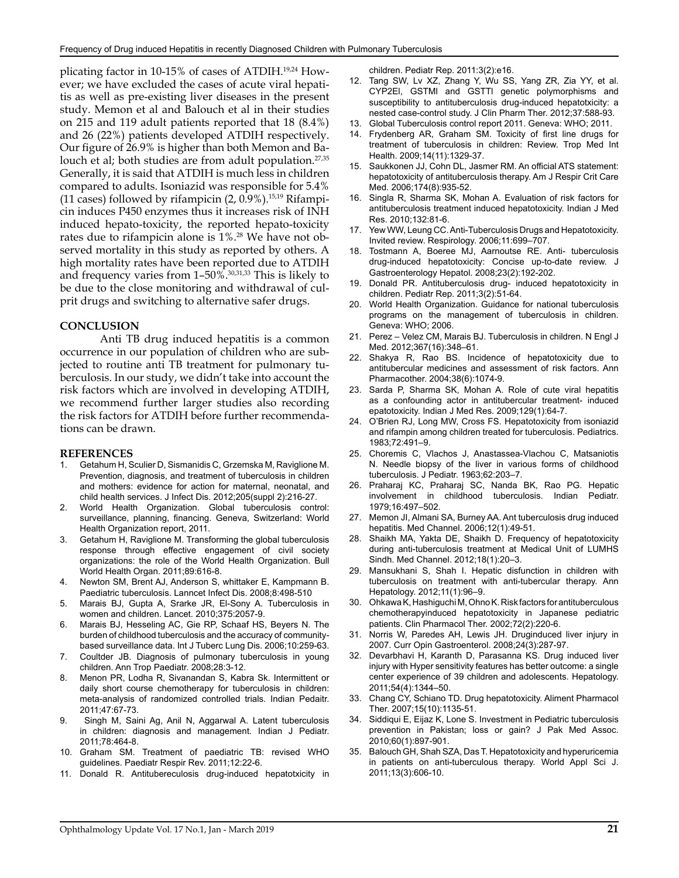plicating factor in 10-15% of cases of ATDIH.19,24 However; we have excluded the cases of acute viral hepatitis as well as pre-existing liver diseases in the present study. Memon et al and Balouch et al in their studies on 215 and 119 adult patients reported that 18 (8.4%) and 26 (22%) patients developed ATDIH respectively. Our figure of 26.9% is higher than both Memon and Balouch et al; both studies are from adult population.<sup>27,35</sup> Generally, it is said that ATDIH is much less in children compared to adults. Isoniazid was responsible for 5.4% (11 cases) followed by rifampicin  $(2, 0.9\%)$ .<sup>15,19</sup> Rifampicin induces P450 enzymes thus it increases risk of INH induced hepato-toxicity, the reported hepato-toxicity rates due to rifampicin alone is 1%.28 We have not observed mortality in this study as reported by others. A high mortality rates have been reported due to ATDIH and frequency varies from 1–50%.30,31,33 This is likely to be due to the close monitoring and withdrawal of culprit drugs and switching to alternative safer drugs.

#### **CONCLUSION**

Anti TB drug induced hepatitis is a common occurrence in our population of children who are subjected to routine anti TB treatment for pulmonary tuberculosis. In our study, we didn't take into account the risk factors which are involved in developing ATDIH, we recommend further larger studies also recording the risk factors for ATDIH before further recommendations can be drawn.

#### **REFERENCES**

- 1. Getahum H, Sculier D, Sismanidis C, Grzemska M, Raviglione M. Prevention, diagnosis, and treatment of tuberculosis in children and mothers: evidence for action for maternal, neonatal, and child health services. J Infect Dis. 2012;205(suppl 2):216-27.
- 2. World Health Organization. Global tuberculosis control: surveillance, planning, financing. Geneva, Switzerland: World Health Organization report, 2011.
- 3. Getahum H, Raviglione M. Transforming the global tuberculosis response through effective engagement of civil society organizations: the role of the World Health Organization. Bull World Health Organ. 2011;89:616-8.
- 4. Newton SM, Brent AJ, Anderson S, whittaker E, Kampmann B. Paediatric tuberculosis. Lanncet Infect Dis. 2008;8:498-510
- 5. Marais BJ, Gupta A, Srarke JR, El-Sony A. Tuberculosis in women and children. Lancet. 2010;375:2057-9.
- 6. Marais BJ, Hesseling AC, Gie RP, Schaaf HS, Beyers N. The burden of childhood tuberculosis and the accuracy of communitybased surveillance data. Int J Tuberc Lung Dis. 2006;10:259-63.
- 7. Coultder JB. Diagnosis of pulmonary tuberculosis in young children. Ann Trop Paediatr. 2008;28:3-12.
- 8. Menon PR, Lodha R, Sivanandan S, Kabra Sk. Intermittent or daily short course chemotherapy for tuberculosis in children: meta-analysis of randomized controlled trials. Indian Pedaitr. 2011;47:67-73.
- Singh M, Saini Ag, Anil N, Aggarwal A. Latent tuberculosis in children: diagnosis and management. Indian J Pediatr. 2011;78:464-8.
- 10. Graham SM. Treatment of paediatric TB: revised WHO guidelines. Paediatr Respir Rev. 2011;12:22-6.
- 11. Donald R. Antitubereculosis drug-induced hepatotxicity in

children. Pediatr Rep. 2011:3(2):e16.

- 12. Tang SW, Lv XZ, Zhang Y, Wu SS, Yang ZR, Zia YY, et al. CYP2El, GSTMl and GSTTl genetic polymorphisms and susceptibility to antituberculosis drug-induced hepatotxicity: a nested case-control study. J Clin Pharm Ther. 2012;37:588-93.
- 13. Global Tuberculosis control report 2011. Geneva: WHO; 2011.
- 14. Frydenberg AR, Graham SM. Toxicity of first line drugs for treatment of tuberculosis in children: Review. Trop Med Int Health. 2009;14(11):1329-37.
- 15. Saukkonen JJ, Cohn DL, Jasmer RM. An official ATS statement: hepatotoxicity of antituberculosis therapy. Am J Respir Crit Care Med. 2006;174(8):935-52.
- 16. Singla R, Sharma SK, Mohan A. Evaluation of risk factors for antituberculosis treatment induced hepatotoxicity. Indian J Med Res. 2010;132:81-6.
- 17. Yew WW, Leung CC. Anti-Tuberculosis Drugs and Hepatotoxicity. Invited review. Respirology. 2006;11:699–707.
- 18. Tostmann A, Boeree MJ, Aarnoutse RE. Anti- tuberculosis drug-induced hepatotoxicity: Concise up-to-date review. J Gastroenterology Hepatol. 2008;23(2):192-202.
- 19. Donald PR. Antituberculosis drug- induced hepatotoxicity in children. Pediatr Rep. 2011;3(2):51-64.
- 20. World Health Organization. Guidance for national tuberculosis programs on the management of tuberculosis in children. Geneva: WHO; 2006.
- 21. Perez Velez CM, Marais BJ. Tuberculosis in children. N Engl J Med. 2012;367(16):348–61.
- 22. Shakya R, Rao BS. Incidence of hepatotoxicity due to antitubercular medicines and assessment of risk factors. Ann Pharmacother. 2004;38(6):1074-9.
- 23. Sarda P, Sharma SK, Mohan A. Role of cute viral hepatitis as a confounding actor in antitubercular treatment- induced epatotoxicity. Indian J Med Res. 2009;129(1):64-7.
- 24. O'Brien RJ, Long MW, Cross FS. Hepatotoxicity from isoniazid and rifampin among children treated for tuberculosis. Pediatrics. 1983;72:491–9.
- 25. Choremis C, Vlachos J, Anastassea-Vlachou C, Matsaniotis N. Needle biopsy of the liver in various forms of childhood tuberculosis. J Pediatr. 1963;62:203–7.
- 26. Praharaj KC, Praharaj SC, Nanda BK, Rao PG. Hepatic involvement in childhood tuberculosis. Indian Pediatr. 1979;16:497–502.
- 27. Memon JI, Almani SA, Burney AA. Ant tuberculosis drug induced hepatitis. Med Channel. 2006;12(1):49-51.
- 28. Shaikh MA, Yakta DE, Shaikh D. Frequency of hepatotoxicity during anti-tuberculosis treatment at Medical Unit of LUMHS Sindh. Med Channel. 2012;18(1):20–3.
- 29. Mansukhani S, Shah I. Hepatic disfunction in children with tuberculosis on treatment with anti-tubercular therapy. Ann Hepatology. 2012;11(1):96–9.
- 30. Ohkawa K, Hashiguchi M, Ohno K. Risk factors for antituberculous chemotherapyinduced hepatotoxicity in Japanese pediatric patients. Clin Pharmacol Ther. 2002;72(2):220-6.
- 31. Norris W, Paredes AH, Lewis JH. Druginduced liver injury in 2007. Curr Opin Gastroenterol. 2008;24(3):287-97.
- 32. Devarbhavi H, Karanth D, Parasanna KS. Drug induced liver injury with Hyper sensitivity features has better outcome: a single center experience of 39 children and adolescents. Hepatology. 2011;54(4):1344–50.
- 33. Chang CY, Schiano TD. Drug hepatotoxicity. Aliment Pharmacol Ther. 2007;15(10):1135-51.
- 34. Siddiqui E, Eijaz K, Lone S. Investment in Pediatric tuberculosis prevention in Pakistan; loss or gain? J Pak Med Assoc. 2010;60(1):897-901.
- 35. Balouch GH, Shah SZA, Das T. Hepatotoxicity and hyperuricemia in patients on anti-tuberculous therapy. World Appl Sci J. 2011;13(3):606-10.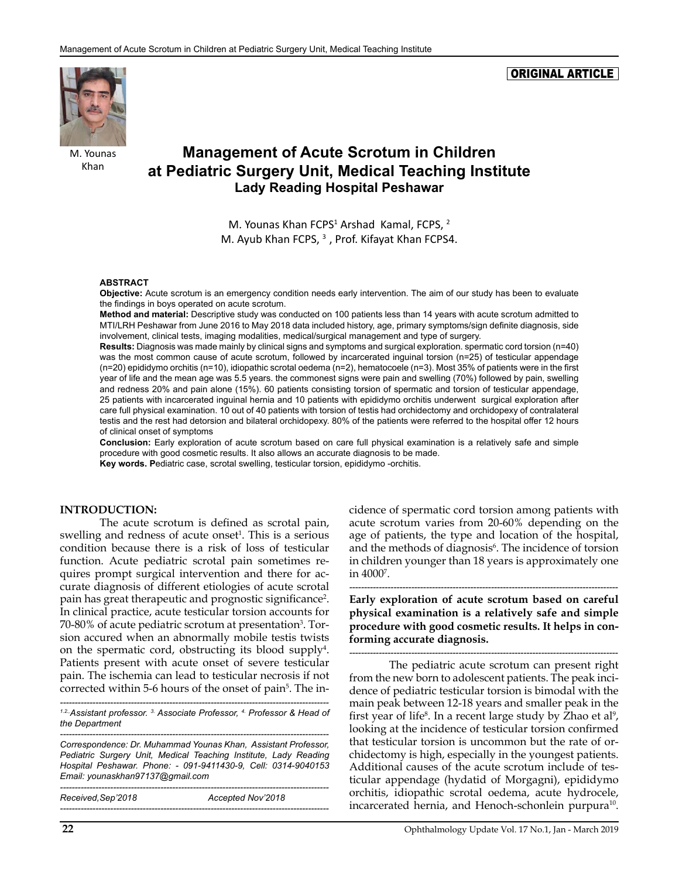ORIGINAL ARTICLE



M. Younas Khan

# **Management of Acute Scrotum in Children at Pediatric Surgery Unit, Medical Teaching Institute Lady Reading Hospital Peshawar**

M. Younas Khan FCPS<sup>1</sup> Arshad Kamal, FCPS, <sup>2</sup> M. Ayub Khan FCPS,  $3$ , Prof. Kifayat Khan FCPS4.

#### **ABSTRACT**

**Objective:** Acute scrotum is an emergency condition needs early intervention. The aim of our study has been to evaluate the findings in boys operated on acute scrotum.

**Method and material:** Descriptive study was conducted on 100 patients less than 14 years with acute scrotum admitted to MTI/LRH Peshawar from June 2016 to May 2018 data included history, age, primary symptoms/sign definite diagnosis, side involvement, clinical tests, imaging modalities, medical/surgical management and type of surgery.

**Results:** Diagnosis was made mainly by clinical signs and symptoms and surgical exploration. spermatic cord torsion (n=40) was the most common cause of acute scrotum, followed by incarcerated inguinal torsion (n=25) of testicular appendage (n=20) epididymo orchitis (n=10), idiopathic scrotal oedema (n=2), hematocoele (n=3). Most 35% of patients were in the first year of life and the mean age was 5.5 years. the commonest signs were pain and swelling (70%) followed by pain, swelling and redness 20% and pain alone (15%). 60 patients consisting torsion of spermatic and torsion of testicular appendage, 25 patients with incarcerated inguinal hernia and 10 patients with epididymo orchitis underwent surgical exploration after care full physical examination. 10 out of 40 patients with torsion of testis had orchidectomy and orchidopexy of contralateral testis and the rest had detorsion and bilateral orchidopexy. 80% of the patients were referred to the hospital offer 12 hours of clinical onset of symptoms

**Conclusion:** Early exploration of acute scrotum based on care full physical examination is a relatively safe and simple procedure with good cosmetic results. It also allows an accurate diagnosis to be made.

**Key words. P**ediatric case, scrotal swelling, testicular torsion, epididymo -orchitis.

#### **INTRODUCTION:**

The acute scrotum is defined as scrotal pain, swelling and redness of acute onset<sup>1</sup>. This is a serious condition because there is a risk of loss of testicular function. Acute pediatric scrotal pain sometimes requires prompt surgical intervention and there for accurate diagnosis of different etiologies of acute scrotal pain has great therapeutic and prognostic significance<sup>2</sup>. In clinical practice, acute testicular torsion accounts for 70-80% of acute pediatric scrotum at presentation<sup>3</sup>. Torsion accured when an abnormally mobile testis twists on the spermatic cord, obstructing its blood supply<sup>4</sup>. Patients present with acute onset of severe testicular pain. The ischemia can lead to testicular necrosis if not corrected within 5-6 hours of the onset of pain<sup>5</sup>. The in-

*------------------------------------------------------------------------------------------- 1.2.,Assistant professor. 3. Associate Professor, 4. Professor & Head of the Department*

*------------------------------------------------------------------------------------------- Correspondence: Dr. Muhammad Younas Khan, Assistant Professor, Pediatric Surgery Unit, Medical Teaching Institute, Lady Reading Hospital Peshawar. Phone: - 091-9411430-9, Cell: 0314-9040153 Email: [younaskhan97137@gmail.com](mailto:younaskhan97137@gmail.com)*

| Received, Sep'2018 | Accepted Nov'2018 |
|--------------------|-------------------|
|                    |                   |

cidence of spermatic cord torsion among patients with acute scrotum varies from 20-60% depending on the age of patients, the type and location of the hospital, and the methods of diagnosis<sup>6</sup>. The incidence of torsion in children younger than 18 years is approximately one in 40007 .

*-------------------------------------------------------------------------------------------* **Early exploration of acute scrotum based on careful physical examination is a relatively safe and simple procedure with good cosmetic results. It helps in conforming accurate diagnosis.**

*-------------------------------------------------------------------------------------------* The pediatric acute scrotum can present right from the new born to adolescent patients. The peak incidence of pediatric testicular torsion is bimodal with the main peak between 12-18 years and smaller peak in the first year of life<sup>8</sup>. In a recent large study by Zhao et al<sup>9</sup>, looking at the incidence of testicular torsion confirmed that testicular torsion is uncommon but the rate of orchidectomy is high, especially in the youngest patients. Additional causes of the acute scrotum include of testicular appendage (hydatid of Morgagni), epididymo orchitis, idiopathic scrotal oedema, acute hydrocele, incarcerated hernia, and Henoch-schonlein purpura<sup>10</sup>.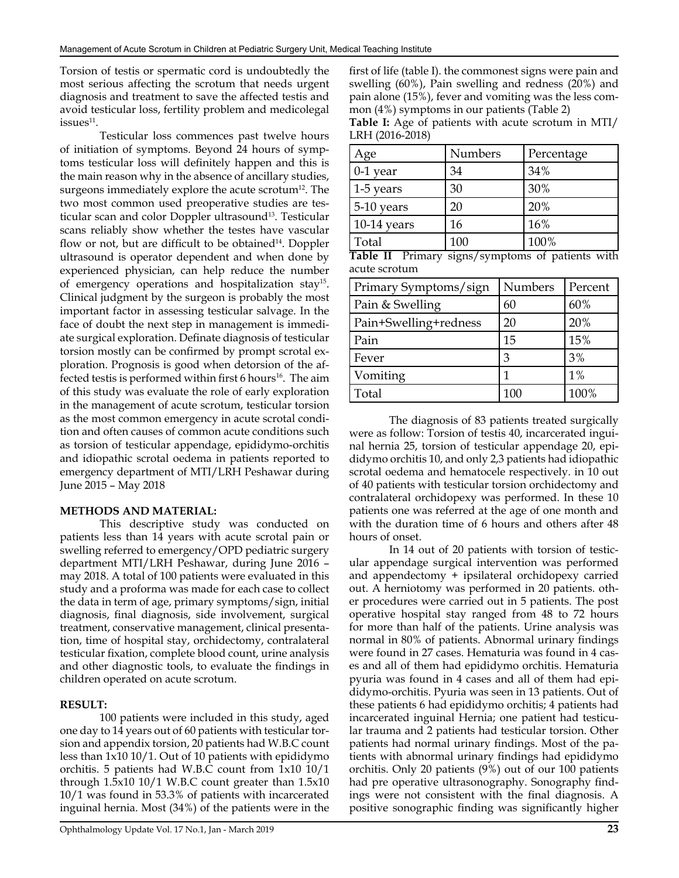Torsion of testis or spermatic cord is undoubtedly the most serious affecting the scrotum that needs urgent diagnosis and treatment to save the affected testis and avoid testicular loss, fertility problem and medicolegal  $i$ ssues $11$ .

Testicular loss commences past twelve hours of initiation of symptoms. Beyond 24 hours of symptoms testicular loss will definitely happen and this is the main reason why in the absence of ancillary studies, surgeons immediately explore the acute scrotum $^{12}$ . The two most common used preoperative studies are testicular scan and color Doppler ultrasound<sup>13</sup>. Testicular scans reliably show whether the testes have vascular flow or not, but are difficult to be obtained<sup>14</sup>. Doppler ultrasound is operator dependent and when done by experienced physician, can help reduce the number of emergency operations and hospitalization stay15. Clinical judgment by the surgeon is probably the most important factor in assessing testicular salvage. In the face of doubt the next step in management is immediate surgical exploration. Definate diagnosis of testicular torsion mostly can be confirmed by prompt scrotal exploration. Prognosis is good when detorsion of the affected testis is performed within first 6 hours<sup>16</sup>. The aim of this study was evaluate the role of early exploration in the management of acute scrotum, testicular torsion as the most common emergency in acute scrotal condition and often causes of common acute conditions such as torsion of testicular appendage, epididymo-orchitis and idiopathic scrotal oedema in patients reported to emergency department of MTI/LRH Peshawar during June 2015 – May 2018

#### **METHODS AND MATERIAL:**

This descriptive study was conducted on patients less than 14 years with acute scrotal pain or swelling referred to emergency/OPD pediatric surgery department MTI/LRH Peshawar, during June 2016 – may 2018. A total of 100 patients were evaluated in this study and a proforma was made for each case to collect the data in term of age, primary symptoms/sign, initial diagnosis, final diagnosis, side involvement, surgical treatment, conservative management, clinical presentation, time of hospital stay, orchidectomy, contralateral testicular fixation, complete blood count, urine analysis and other diagnostic tools, to evaluate the findings in children operated on acute scrotum.

#### **RESULT:**

100 patients were included in this study, aged one day to 14 years out of 60 patients with testicular torsion and appendix torsion, 20 patients had W.B.C count less than 1x10 10/1. Out of 10 patients with epididymo orchitis. 5 patients had W.B.C count from 1x10 10/1 through 1.5x10 10/1 W.B.C count greater than 1.5x10 10/1 was found in 53.3% of patients with incarcerated inguinal hernia. Most (34%) of the patients were in the

first of life (table I). the commonest signs were pain and swelling (60%), Pain swelling and redness (20%) and pain alone (15%), fever and vomiting was the less common (4%) symptoms in our patients (Table 2)

| Table I: Age of patients with acute scrotum in MTI/ |  |  |  |
|-----------------------------------------------------|--|--|--|
| LRH (2016-2018)                                     |  |  |  |

| Age          | Numbers | Percentage |
|--------------|---------|------------|
| $0-1$ year   | 34      | 34%        |
| $1-5$ years  | 30      | 30%        |
| $5-10$ years | 20      | 20%        |
| 10-14 years  | 16      | 16%        |
| Total        | 100     | 100%       |

**Table II** Primary signs/symptoms of patients with acute scrotum

| Primary Symptoms/sign | Numbers | Percent |
|-----------------------|---------|---------|
| Pain & Swelling       | 60      | 60%     |
| Pain+Swelling+redness | 20      | 20%     |
| Pain                  | 15      | 15%     |
| Fever                 | З       | 3%      |
| Vomiting              |         | 1%      |
| Total                 | 100     | 100%    |

The diagnosis of 83 patients treated surgically were as follow: Torsion of testis 40, incarcerated inguinal hernia 25, torsion of testicular appendage 20, epididymo orchitis 10, and only 2,3 patients had idiopathic scrotal oedema and hematocele respectively. in 10 out of 40 patients with testicular torsion orchidectomy and contralateral orchidopexy was performed. In these 10 patients one was referred at the age of one month and with the duration time of 6 hours and others after 48 hours of onset.

In 14 out of 20 patients with torsion of testicular appendage surgical intervention was performed and appendectomy + ipsilateral orchidopexy carried out. A herniotomy was performed in 20 patients. other procedures were carried out in 5 patients. The post operative hospital stay ranged from 48 to 72 hours for more than half of the patients. Urine analysis was normal in 80% of patients. Abnormal urinary findings were found in 27 cases. Hematuria was found in 4 cases and all of them had epididymo orchitis. Hematuria pyuria was found in 4 cases and all of them had epididymo-orchitis. Pyuria was seen in 13 patients. Out of these patients 6 had epididymo orchitis; 4 patients had incarcerated inguinal Hernia; one patient had testicular trauma and 2 patients had testicular torsion. Other patients had normal urinary findings. Most of the patients with abnormal urinary findings had epididymo orchitis. Only 20 patients (9%) out of our 100 patients had pre operative ultrasonography. Sonography findings were not consistent with the final diagnosis. A positive sonographic finding was significantly higher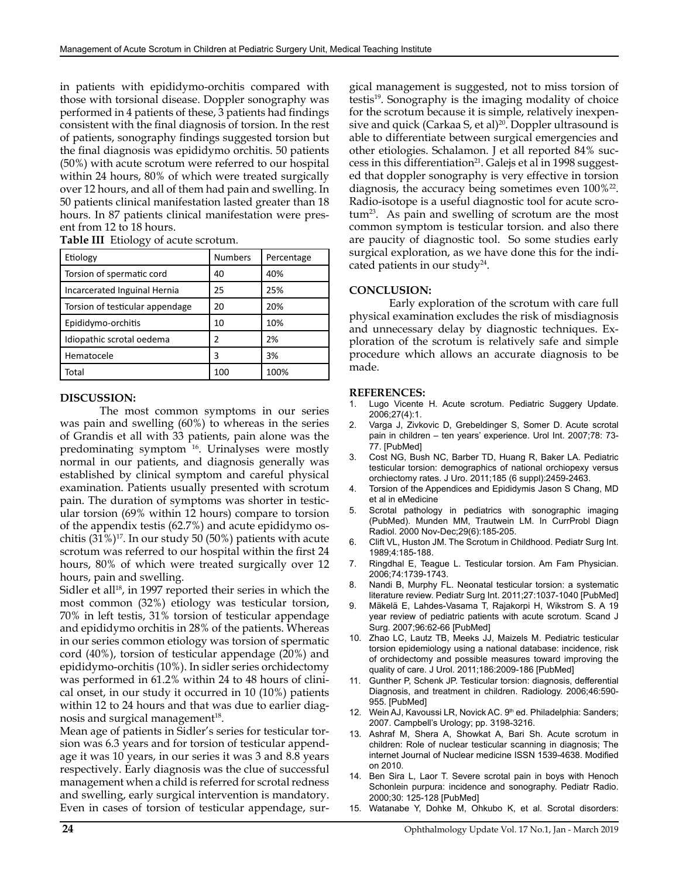in patients with epididymo-orchitis compared with those with torsional disease. Doppler sonography was performed in 4 patients of these, 3 patients had findings consistent with the final diagnosis of torsion. In the rest of patients, sonography findings suggested torsion but the final diagnosis was epididymo orchitis. 50 patients (50%) with acute scrotum were referred to our hospital within 24 hours, 80% of which were treated surgically over 12 hours, and all of them had pain and swelling. In 50 patients clinical manifestation lasted greater than 18 hours. In 87 patients clinical manifestation were present from 12 to 18 hours.

**Table III** Etiology of acute scrotum.

| Etiology                        | <b>Numbers</b> | Percentage |
|---------------------------------|----------------|------------|
| Torsion of spermatic cord       | 40             | 40%        |
| Incarcerated Inguinal Hernia    | 25             | 25%        |
| Torsion of testicular appendage | 20             | 20%        |
| Epididymo-orchitis              | 10             | 10%        |
| Idiopathic scrotal oedema       |                | 2%         |
| Hematocele                      |                | 3%         |
| Total                           | 100            | 100%       |

#### **DISCUSSION:**

The most common symptoms in our series was pain and swelling (60%) to whereas in the series of Grandis et all with 33 patients, pain alone was the predominating symptom 16. Urinalyses were mostly normal in our patients, and diagnosis generally was established by clinical symptom and careful physical examination. Patients usually presented with scrotum pain. The duration of symptoms was shorter in testicular torsion (69% within 12 hours) compare to torsion of the appendix testis (62.7%) and acute epididymo oschitis  $(31\%)^{17}$ . In our study 50 (50%) patients with acute scrotum was referred to our hospital within the first 24 hours, 80% of which were treated surgically over 12 hours, pain and swelling.

Sidler et all<sup>18</sup>, in 1997 reported their series in which the most common (32%) etiology was testicular torsion, 70% in left testis, 31% torsion of testicular appendage and epididymo orchitis in 28% of the patients. Whereas in our series common etiology was torsion of spermatic cord (40%), torsion of testicular appendage (20%) and epididymo-orchitis (10%). In sidler series orchidectomy was performed in 61.2% within 24 to 48 hours of clinical onset, in our study it occurred in 10 (10%) patients within 12 to 24 hours and that was due to earlier diagnosis and surgical management<sup>18</sup>.

Mean age of patients in Sidler's series for testicular torsion was 6.3 years and for torsion of testicular appendage it was 10 years, in our series it was 3 and 8.8 years respectively. Early diagnosis was the clue of successful management when a child is referred for scrotal redness and swelling, early surgical intervention is mandatory. Even in cases of torsion of testicular appendage, surgical management is suggested, not to miss torsion of testis<sup>19</sup>. Sonography is the imaging modality of choice for the scrotum because it is simple, relatively inexpensive and quick (Carkaa S, et al)<sup>20</sup>. Doppler ultrasound is able to differentiate between surgical emergencies and other etiologies. Schalamon. J et all reported 84% success in this differentiation<sup>21</sup>. Galejs et al in 1998 suggested that doppler sonography is very effective in torsion diagnosis, the accuracy being sometimes even  $100\%$ <sup>22</sup>. Radio-isotope is a useful diagnostic tool for acute scro $tum<sup>23</sup>$ . As pain and swelling of scrotum are the most common symptom is testicular torsion. and also there are paucity of diagnostic tool. So some studies early surgical exploration, as we have done this for the indicated patients in our study<sup>24</sup>.

#### **CONCLUSION:**

Early exploration of the scrotum with care full physical examination excludes the risk of misdiagnosis and unnecessary delay by diagnostic techniques. Exploration of the scrotum is relatively safe and simple procedure which allows an accurate diagnosis to be made.

#### **REFERENCES:**

- Lugo Vicente H. Acute scrotum. Pediatric Suggery Update. 2006;27(4):1.
- 2. Varga J, Zivkovic D, Grebeldinger S, Somer D. Acute scrotal pain in children – ten years' experience. Urol Int. 2007;78: 73- 77. [PubMed]
- 3. Cost NG, Bush NC, Barber TD, Huang R, Baker LA. Pediatric testicular torsion: demographics of national orchiopexy versus orchiectomy rates. J Uro. 2011;185 (6 suppl):2459-2463.
- 4. Torsion of the Appendices and Epididymis Jason S Chang, MD et al in eMedicine
- 5. Scrotal pathology in pediatrics with sonographic imaging (PubMed). Munden MM, Trautwein LM. In CurrProbl Diagn Radiol. 2000 Nov-Dec;29(6):185-205.
- 6. Clift VL, Huston JM. The Scrotum in Childhood. Pediatr Surg Int. 1989;4:185-188.
- 7. Ringdhal E, Teague L. Testicular torsion. Am Fam Physician. 2006;74:1739-1743.
- 8. Nandi B, Murphy FL. Neonatal testicular torsion: a systematic literature review. Pediatr Surg Int. 2011;27:1037-1040 [PubMed]
- 9. Mäkelä E, Lahdes-Vasama T, Rajakorpi H, Wikstrom S. A 19 year review of pediatric patients with acute scrotum. Scand J Surg. 2007;96:62-66 [PubMed]
- 10. Zhao LC, Lautz TB, Meeks JJ, Maizels M. Pediatric testicular torsion epidemiology using a national database: incidence, risk of orchidectomy and possible measures toward improving the quality of care. J Urol. 2011;186:2009-186 [PubMed]
- 11. Gunther P, Schenk JP. Testicular torsion: diagnosis, defferential Diagnosis, and treatment in children. Radiology. 2006;46:590- 955. [PubMed]
- 12. Wein AJ, Kavoussi LR, Novick AC. 9<sup>th</sup> ed. Philadelphia: Sanders; 2007. Campbell's Urology; pp. 3198-3216.
- 13. Ashraf M, Shera A, Showkat A, Bari Sh. Acute scrotum in children: Role of nuclear testicular scanning in diagnosis; The internet Journal of Nuclear medicine ISSN 1539-4638. Modified on 2010.
- 14. Ben Sira L, Laor T. Severe scrotal pain in boys with Henoch Schonlein purpura: incidence and sonography. Pediatr Radio. 2000;30: 125-128 [PubMed]
- 15. Watanabe Y, Dohke M, Ohkubo K, et al. Scrotal disorders: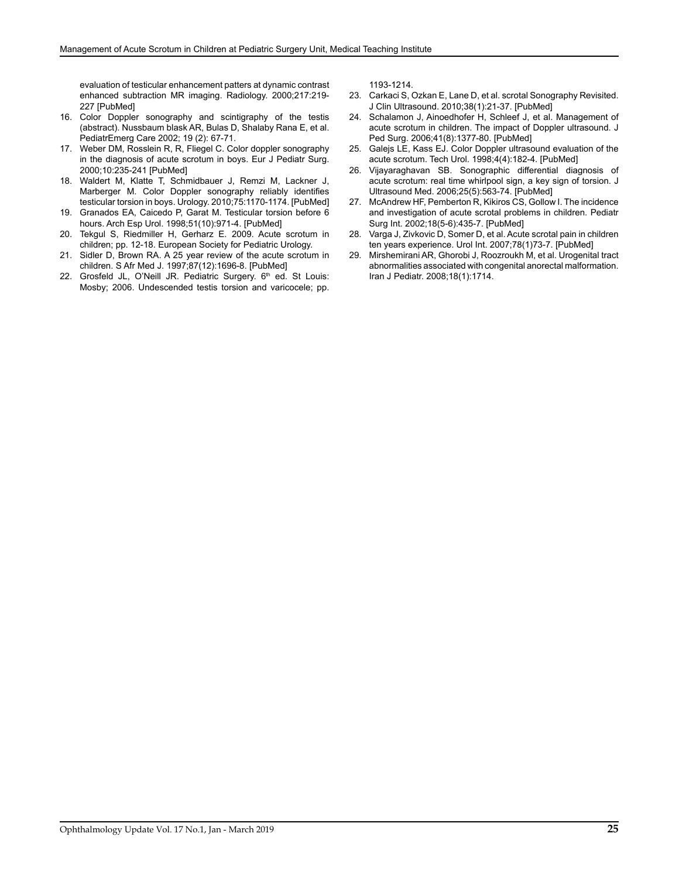evaluation of testicular enhancement patters at dynamic contrast enhanced subtraction MR imaging. Radiology. 2000;217:219- 227 [PubMed]

- 16. Color Doppler sonography and scintigraphy of the testis (abstract). Nussbaum blask AR, Bulas D, Shalaby Rana E, et al. PediatrEmerg Care 2002; 19 (2): 67-71.
- 17. Weber DM, Rosslein R, R, Fliegel C. Color doppler sonography in the diagnosis of acute scrotum in boys. Eur J Pediatr Surg. 2000;10:235-241 [PubMed]
- 18. Waldert M, Klatte T, Schmidbauer J, Remzi M, Lackner J, Marberger M. Color Doppler sonography reliably identifies testicular torsion in boys. Urology. 2010;75:1170-1174. [PubMed]
- 19. Granados EA, Caicedo P, Garat M. Testicular torsion before 6 hours. Arch Esp Urol. 1998;51(10):971-4. [PubMed]
- 20. Tekgul S, Riedmiller H, Gerharz E. 2009. Acute scrotum in children; pp. 12-18. European Society for Pediatric Urology.
- 21. Sidler D, Brown RA. A 25 year review of the acute scrotum in children. S Afr Med J. 1997;87(12):1696-8. [PubMed]
- 22. Grosfeld JL, O'Neill JR. Pediatric Surgery. 6<sup>th</sup> ed. St Louis: Mosby; 2006. Undescended testis torsion and varicocele; pp.

1193-1214.

- 23. Carkaci S, Ozkan E, Lane D, et al. scrotal Sonography Revisited. J Clin Ultrasound. 2010;38(1):21-37. [PubMed]
- 24. Schalamon J, Ainoedhofer H, Schleef J, et al. Management of acute scrotum in children. The impact of Doppler ultrasound. J Ped Surg. 2006;41(8):1377-80. [PubMed]
- 25. Galejs LE, Kass EJ. Color Doppler ultrasound evaluation of the acute scrotum. Tech Urol. 1998;4(4):182-4. [PubMed]
- 26. Vijayaraghavan SB. Sonographic differential diagnosis of acute scrotum: real time whirlpool sign, a key sign of torsion. J Ultrasound Med. 2006;25(5):563-74. [PubMed]
- 27. McAndrew HF, Pemberton R, Kikiros CS, Gollow I. The incidence and investigation of acute scrotal problems in children. Pediatr Surg Int. 2002;18(5-6):435-7. [PubMed]
- 28. Varga J, Zivkovic D, Somer D, et al. Acute scrotal pain in children ten years experience. Urol Int. 2007;78(1)73-7. [PubMed]
- 29. Mirshemirani AR, Ghorobi J, Roozroukh M, et al. Urogenital tract abnormalities associated with congenital anorectal malformation. Iran J Pediatr. 2008;18(1):1714.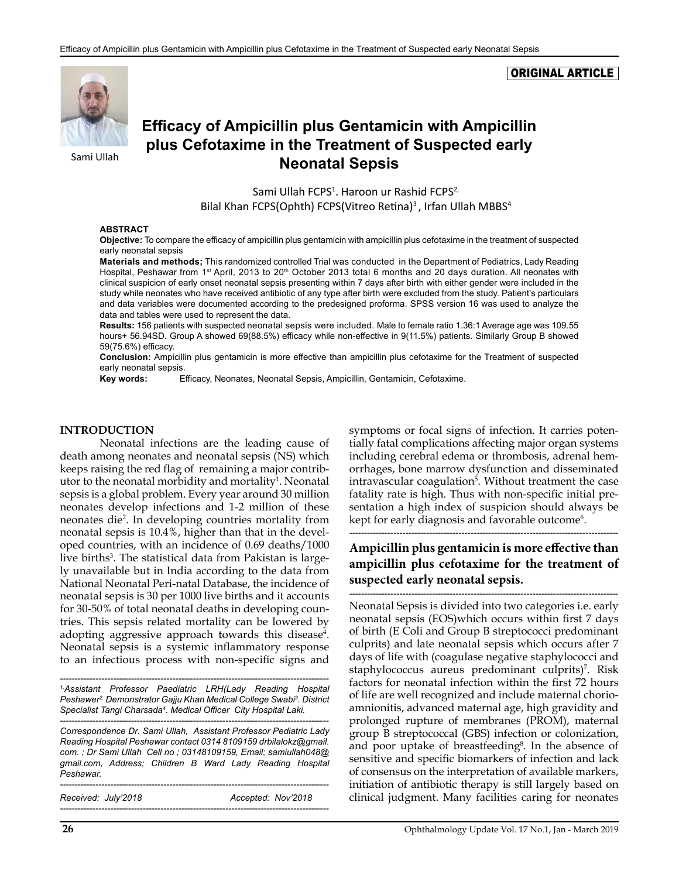#### ORIGINAL ARTICLE



**Efficacy of Ampicillin plus Gentamicin with Ampicillin plus Cefotaxime in the Treatment of Suspected early Neonatal Sepsis**

> Sami Ullah FCPS<sup>1</sup>. Haroon ur Rashid FCPS<sup>2,</sup> Bilal Khan FCPS(Ophth) FCPS(Vitreo Retina)<sup>3</sup>, Irfan Ullah MBBS<sup>4</sup>

#### **ABSTRACT**

**Objective:** To compare the efficacy of ampicillin plus gentamicin with ampicillin plus cefotaxime in the treatment of suspected early neonatal sepsis

**Materials and methods;** This randomized controlled Trial was conducted in the Department of Pediatrics, Lady Reading Hospital, Peshawar from 1<sup>st</sup> April, 2013 to 20<sup>th</sup> October 2013 total 6 months and 20 days duration. All neonates with clinical suspicion of early onset neonatal sepsis presenting within 7 days after birth with either gender were included in the study while neonates who have received antibiotic of any type after birth were excluded from the study. Patient's particulars and data variables were documented according to the predesigned proforma. SPSS version 16 was used to analyze the data and tables were used to represent the data.

**Results:** 156 patients with suspected neonatal sepsis were included. Male to female ratio 1.36:1 Average age was 109.55 hours+ 56.94SD. Group A showed 69(88.5%) efficacy while non-effective in 9(11.5%) patients. Similarly Group B showed 59(75.6%) efficacy.

**Conclusion:** Ampicillin plus gentamicin is more effective than ampicillin plus cefotaxime for the Treatment of suspected early neonatal sepsis.

**Key words:** Efficacy, Neonates, Neonatal Sepsis, Ampicillin, Gentamicin, Cefotaxime.

#### **INTRODUCTION**

Neonatal infections are the leading cause of death among neonates and neonatal sepsis (NS) which keeps raising the red flag of remaining a major contributor to the neonatal morbidity and mortality<sup>1</sup>. Neonatal sepsis is a global problem. Every year around 30 million neonates develop infections and 1-2 million of these neonates die2 . In developing countries mortality from neonatal sepsis is 10.4%, higher than that in the developed countries, with an incidence of 0.69 deaths/1000 live births<sup>3</sup>. The statistical data from Pakistan is largely unavailable but in India according to the data from National Neonatal Peri-natal Database, the incidence of neonatal sepsis is 30 per 1000 live births and it accounts for 30-50% of total neonatal deaths in developing countries. This sepsis related mortality can be lowered by adopting aggressive approach towards this disease<sup>4</sup>. Neonatal sepsis is a systemic inflammatory response to an infectious process with non-specific signs and

*------------------------------------------------------------------------------------------- 1.Assistant Professor Paediatric LRH(Lady Reading Hospital Peshawer2. Demonstrator Gajju Khan Medical College Swabi<sup>3</sup> . District Specialist Tangi Charsada4 . Medical Officer City Hospital Laki. -------------------------------------------------------------------------------------------*

*Correspondence Dr. Sami Ullah, Assistant Professor Pediatric Lady Reading Hospital Peshawar contact 0314 8109159 [drbilalokz@gmail.](mailto:drbilalokz@gmail.com) [com](mailto:drbilalokz@gmail.com). ; Dr Sami Ullah Cell no ; 03148109159, Email; [samiullah048@](mailto:samiullah048@gmail.com) [gmail.com,](mailto:samiullah048@gmail.com) Address; Children B Ward Lady Reading Hospital Peshawar.*

*-------------------------------------------------------------------------------------------*

*-------------------------------------------------------------------------------------------*

*Received: July'2018 Accepted: Nov'2018*

symptoms or focal signs of infection. It carries potentially fatal complications affecting major organ systems including cerebral edema or thrombosis, adrenal hemorrhages, bone marrow dysfunction and disseminated intravascular coagulation<sup>5</sup>. Without treatment the case fatality rate is high. Thus with non-specific initial presentation a high index of suspicion should always be kept for early diagnosis and favorable outcome $^6$ .

*-------------------------------------------------------------------------------------------*

## **Ampicillin plus gentamicin is more effective than ampicillin plus cefotaxime for the treatment of suspected early neonatal sepsis.**

*-------------------------------------------------------------------------------------------* Neonatal Sepsis is divided into two categories i.e. early neonatal sepsis (EOS)which occurs within first 7 days of birth (E Coli and Group B streptococci predominant culprits) and late neonatal sepsis which occurs after 7 days of life with (coagulase negative staphylococci and staphylococcus aureus predominant culprits)<sup>7</sup>. Risk factors for neonatal infection within the first 72 hours of life are well recognized and include maternal chorioamnionitis, advanced maternal age, high gravidity and prolonged rupture of membranes (PROM), maternal group B streptococcal (GBS) infection or colonization, and poor uptake of breastfeeding<sup>8</sup>. In the absence of sensitive and specific biomarkers of infection and lack of consensus on the interpretation of available markers, initiation of antibiotic therapy is still largely based on clinical judgment. Many facilities caring for neonates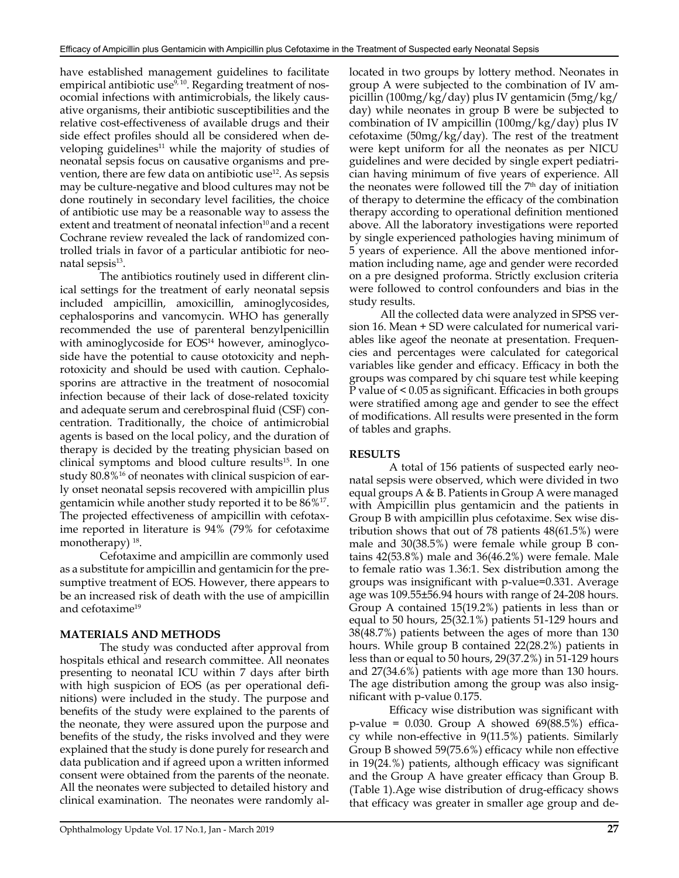have established management guidelines to facilitate empirical antibiotic use<sup>9, 10</sup>. Regarding treatment of nosocomial infections with antimicrobials, the likely causative organisms, their antibiotic susceptibilities and the relative cost-effectiveness of available drugs and their side effect profiles should all be considered when developing guidelines<sup>11</sup> while the majority of studies of neonatal sepsis focus on causative organisms and prevention, there are few data on antibiotic use<sup>12</sup>. As sepsis may be culture-negative and blood cultures may not be done routinely in secondary level facilities, the choice of antibiotic use may be a reasonable way to assess the extent and treatment of neonatal infection<sup>10</sup> and a recent Cochrane review revealed the lack of randomized controlled trials in favor of a particular antibiotic for neonatal sepsis $13$ .

The antibiotics routinely used in different clinical settings for the treatment of early neonatal sepsis included ampicillin, amoxicillin, aminoglycosides, cephalosporins and vancomycin. WHO has generally recommended the use of parenteral benzylpenicillin with aminoglycoside for EOS<sup>14</sup> however, aminoglycoside have the potential to cause ototoxicity and nephrotoxicity and should be used with caution. Cephalosporins are attractive in the treatment of nosocomial infection because of their lack of dose-related toxicity and adequate serum and cerebrospinal fluid (CSF) concentration. Traditionally, the choice of antimicrobial agents is based on the local policy, and the duration of therapy is decided by the treating physician based on clinical symptoms and blood culture results<sup>15</sup>. In one study 80.8%<sup>16</sup> of neonates with clinical suspicion of early onset neonatal sepsis recovered with ampicillin plus gentamicin while another study reported it to be 86%17. The projected effectiveness of ampicillin with cefotaxime reported in literature is 94% (79% for cefotaxime monotherapy)<sup>18</sup>.

Cefotaxime and ampicillin are commonly used as a substitute for ampicillin and gentamicin for the presumptive treatment of EOS. However, there appears to be an increased risk of death with the use of ampicillin and cefotaxime<sup>19</sup>

#### **MATERIALS AND METHODS**

The study was conducted after approval from hospitals ethical and research committee. All neonates presenting to neonatal ICU within 7 days after birth with high suspicion of EOS (as per operational definitions) were included in the study. The purpose and benefits of the study were explained to the parents of the neonate, they were assured upon the purpose and benefits of the study, the risks involved and they were explained that the study is done purely for research and data publication and if agreed upon a written informed consent were obtained from the parents of the neonate. All the neonates were subjected to detailed history and clinical examination. The neonates were randomly allocated in two groups by lottery method. Neonates in group A were subjected to the combination of IV ampicillin (100mg/kg/day) plus IV gentamicin (5mg/kg/ day) while neonates in group B were be subjected to combination of IV ampicillin (100mg/kg/day) plus IV cefotaxime (50mg/kg/day). The rest of the treatment were kept uniform for all the neonates as per NICU guidelines and were decided by single expert pediatrician having minimum of five years of experience. All the neonates were followed till the  $7<sup>th</sup>$  day of initiation of therapy to determine the efficacy of the combination therapy according to operational definition mentioned above. All the laboratory investigations were reported by single experienced pathologies having minimum of 5 years of experience. All the above mentioned information including name, age and gender were recorded on a pre designed proforma. Strictly exclusion criteria were followed to control confounders and bias in the study results.

 All the collected data were analyzed in SPSS version 16. Mean + SD were calculated for numerical variables like ageof the neonate at presentation. Frequencies and percentages were calculated for categorical variables like gender and efficacy. Efficacy in both the groups was compared by chi square test while keeping P value of < 0.05 as significant. Efficacies in both groups were stratified among age and gender to see the effect of modifications. All results were presented in the form of tables and graphs.

#### **RESULTS**

A total of 156 patients of suspected early neonatal sepsis were observed, which were divided in two equal groups A & B. Patients in Group A were managed with Ampicillin plus gentamicin and the patients in Group B with ampicillin plus cefotaxime. Sex wise distribution shows that out of 78 patients 48(61.5%) were male and 30(38.5%) were female while group B contains 42(53.8%) male and 36(46.2%) were female. Male to female ratio was 1.36:1. Sex distribution among the groups was insignificant with p-value=0.331. Average age was 109.55±56.94 hours with range of 24-208 hours. Group A contained 15(19.2%) patients in less than or equal to 50 hours, 25(32.1%) patients 51-129 hours and 38(48.7%) patients between the ages of more than 130 hours. While group B contained 22(28.2%) patients in less than or equal to 50 hours, 29(37.2%) in 51-129 hours and 27(34.6%) patients with age more than 130 hours. The age distribution among the group was also insignificant with p-value 0.175.

Efficacy wise distribution was significant with  $p$ -value = 0.030. Group A showed 69(88.5%) efficacy while non-effective in 9(11.5%) patients. Similarly Group B showed 59(75.6%) efficacy while non effective in 19(24.%) patients, although efficacy was significant and the Group A have greater efficacy than Group B. (Table 1).Age wise distribution of drug-efficacy shows that efficacy was greater in smaller age group and de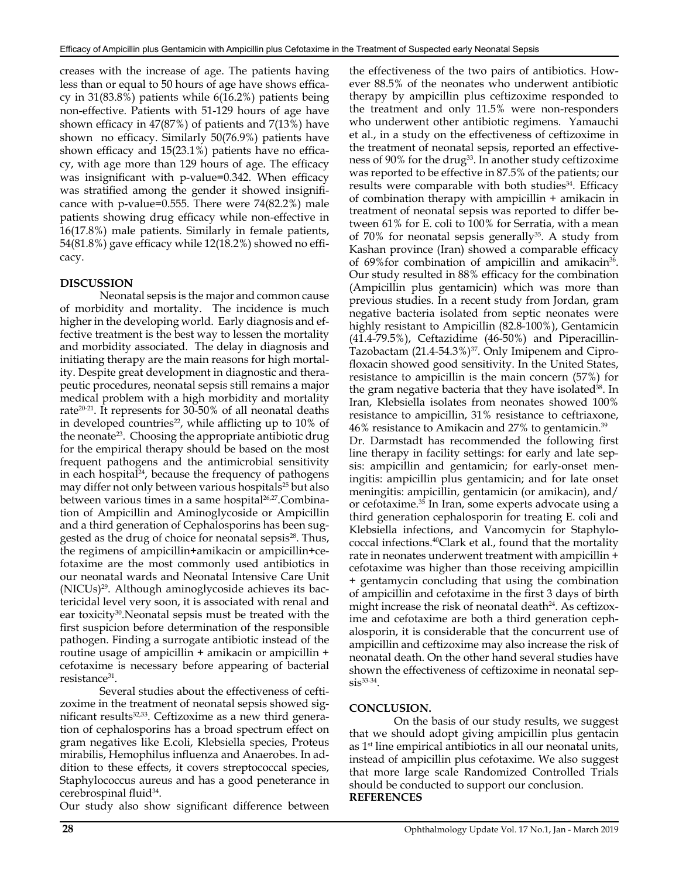creases with the increase of age. The patients having less than or equal to 50 hours of age have shows efficacy in 31(83.8%) patients while 6(16.2%) patients being non-effective. Patients with 51-129 hours of age have shown efficacy in 47(87%) of patients and 7(13%) have shown no efficacy. Similarly 50(76.9%) patients have shown efficacy and 15(23.1%) patients have no efficacy, with age more than 129 hours of age. The efficacy was insignificant with p-value=0.342. When efficacy was stratified among the gender it showed insignificance with p-value=0.555. There were 74(82.2%) male patients showing drug efficacy while non-effective in 16(17.8%) male patients. Similarly in female patients, 54(81.8%) gave efficacy while 12(18.2%) showed no efficacy.

#### **DISCUSSION**

Neonatal sepsis is the major and common cause of morbidity and mortality. The incidence is much higher in the developing world. Early diagnosis and effective treatment is the best way to lessen the mortality and morbidity associated. The delay in diagnosis and initiating therapy are the main reasons for high mortality. Despite great development in diagnostic and therapeutic procedures, neonatal sepsis still remains a major medical problem with a high morbidity and mortality rate<sup>20-21</sup>. It represents for 30-50% of all neonatal deaths in developed countries<sup>22</sup>, while afflicting up to  $10\%$  of the neonate<sup>23</sup>. Choosing the appropriate antibiotic drug for the empirical therapy should be based on the most frequent pathogens and the antimicrobial sensitivity in each hospital $24$ , because the frequency of pathogens may differ not only between various hospitals<sup>25</sup> but also between various times in a same hospital<sup>26,27</sup>.Combination of Ampicillin and Aminoglycoside or Ampicillin and a third generation of Cephalosporins has been suggested as the drug of choice for neonatal sepsis<sup>28</sup>. Thus, the regimens of ampicillin+amikacin or ampicillin+cefotaxime are the most commonly used antibiotics in our neonatal wards and Neonatal Intensive Care Unit  $(NICUs)^{29}$ . Although aminoglycoside achieves its bactericidal level very soon, it is associated with renal and ear toxicity<sup>30</sup>. Neonatal sepsis must be treated with the first suspicion before determination of the responsible pathogen. Finding a surrogate antibiotic instead of the routine usage of ampicillin + amikacin or ampicillin + cefotaxime is necessary before appearing of bacterial resistance<sup>31</sup>.

Several studies about the effectiveness of ceftizoxime in the treatment of neonatal sepsis showed significant results $32,33$ . Ceftizoxime as a new third generation of cephalosporins has a broad spectrum effect on gram negatives like E.coli, Klebsiella species, Proteus mirabilis, Hemophilus influenza and Anaerobes. In addition to these effects, it covers streptococcal species, Staphylococcus aureus and has a good peneterance in cerebrospinal fluid<sup>34</sup>.

Our study also show significant difference between

the effectiveness of the two pairs of antibiotics. However 88.5% of the neonates who underwent antibiotic therapy by ampicillin plus ceftizoxime responded to the treatment and only 11.5% were non-responders who underwent other antibiotic regimens. Yamauchi et al., in a study on the effectiveness of ceftizoxime in the treatment of neonatal sepsis, reported an effectiveness of 90% for the drug<sup>33</sup>. In another study ceftizoxime was reported to be effective in 87.5% of the patients; our results were comparable with both studies $34$ . Efficacy of combination therapy with ampicillin + amikacin in treatment of neonatal sepsis was reported to differ between 61% for E. coli to 100% for Serratia, with a mean of 70% for neonatal sepsis generally<sup>35</sup>. A study from Kashan province (Iran) showed a comparable efficacy of 69% for combination of ampicillin and amikacin<sup>36</sup>. Our study resulted in 88% efficacy for the combination (Ampicillin plus gentamicin) which was more than previous studies. In a recent study from Jordan, gram negative bacteria isolated from septic neonates were highly resistant to Ampicillin (82.8-100%), Gentamicin (41.4-79.5%), Ceftazidime (46-50%) and Piperacillin-Tazobactam (21.4-54.3%)<sup>37</sup>. Only Imipenem and Ciprofloxacin showed good sensitivity. In the United States, resistance to ampicillin is the main concern (57%) for the gram negative bacteria that they have isolated<sup>38</sup>. In Iran, Klebsiella isolates from neonates showed 100% resistance to ampicillin, 31% resistance to ceftriaxone, 46% resistance to Amikacin and 27% to gentamicin.39 Dr. Darmstadt has recommended the following first line therapy in facility settings: for early and late sepsis: ampicillin and gentamicin; for early-onset meningitis: ampicillin plus gentamicin; and for late onset meningitis: ampicillin, gentamicin (or amikacin), and/ or cefotaxime.35 In Iran, some experts advocate using a third generation cephalosporin for treating E. coli and Klebsiella infections, and Vancomycin for Staphylococcal infections.40Clark et al., found that the mortality rate in neonates underwent treatment with ampicillin + cefotaxime was higher than those receiving ampicillin + gentamycin concluding that using the combination of ampicillin and cefotaxime in the first 3 days of birth might increase the risk of neonatal death<sup>24</sup>. As ceftizoxime and cefotaxime are both a third generation cephalosporin, it is considerable that the concurrent use of ampicillin and ceftizoxime may also increase the risk of neonatal death. On the other hand several studies have shown the effectiveness of ceftizoxime in neonatal sep $sis^{33-34}.$ 

#### **CONCLUSION.**

 On the basis of our study results, we suggest that we should adopt giving ampicillin plus gentacin as  $1<sup>st</sup>$  line empirical antibiotics in all our neonatal units, instead of ampicillin plus cefotaxime. We also suggest that more large scale Randomized Controlled Trials should be conducted to support our conclusion. **REFERENCES**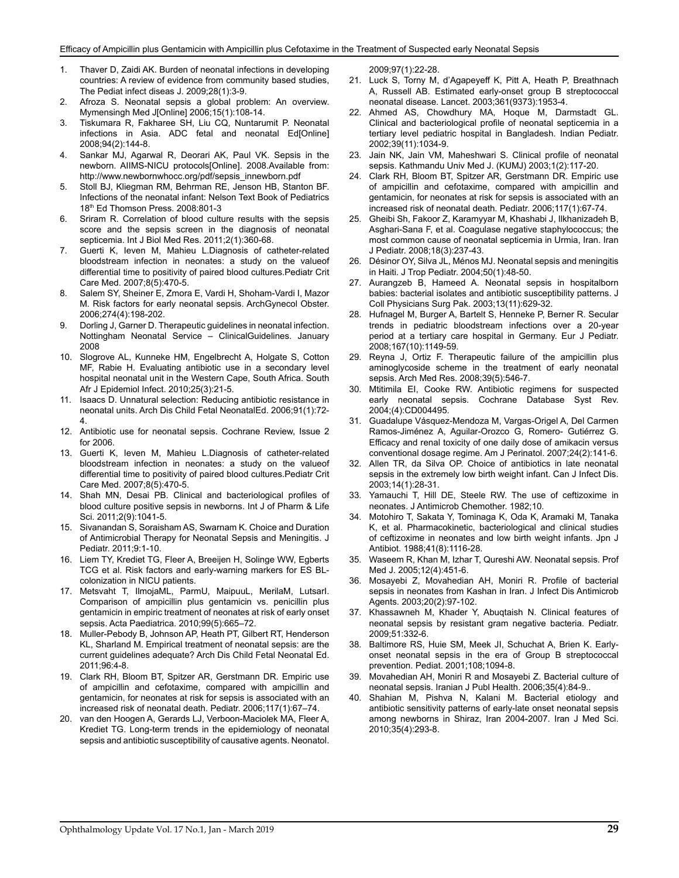- 1. Thaver D, Zaidi AK. Burden of neonatal infections in developing countries: A review of evidence from community based studies, The Pediat infect diseas J. 2009;28(1):3-9.
- 2. Afroza S. Neonatal sepsis a global problem: An overview. Mymensingh Med J[Online] 2006;15(1):108-14.
- 3. Tiskumara R, Fakharee SH, Liu CQ, Nuntarumit P. Neonatal infections in Asia. ADC fetal and neonatal Ed[Online] 2008;94(2):144-8.
- 4. Sankar MJ, Agarwal R, Deorari AK, Paul VK. Sepsis in the newborn. AIIMS-NICU protocols[Online]. 2008.Available from: [http://www.newbornwhocc.org/pdf/sepsis\\_innewborn.pdf](http://www.newbornwhocc.org/pdf/sepsis_innewborn.pdf)
- 5. Stoll BJ, Kliegman RM, Behrman RE, Jenson HB, Stanton BF. Infections of the neonatal infant: Nelson Text Book of Pediatrics 18th Ed Thomson Press. 2008:801-3
- 6. Sriram R. Correlation of blood culture results with the sepsis score and the sepsis screen in the diagnosis of neonatal septicemia. Int J Biol Med Res. 2011;2(1):360-68.
- 7. Guerti K, Ieven M, Mahieu L.Diagnosis of catheter-related bloodstream infection in neonates: a study on the valueof differential time to positivity of paired blood cultures.Pediatr Crit Care Med. 2007;8(5):470-5.
- 8. Salem SY, Sheiner E, Zmora E, Vardi H, Shoham-Vardi I, Mazor M. Risk factors for early neonatal sepsis. ArchGynecol Obster. 2006;274(4):198-202.
- 9. Dorling J, Garner D. Therapeutic guidelines in neonatal infection. Nottingham Neonatal Service – ClinicalGuidelines. January 2008
- 10. Slogrove AL, Kunneke HM, Engelbrecht A, Holgate S, Cotton MF, Rabie H. Evaluating antibiotic use in a secondary level hospital neonatal unit in the Western Cape, South Africa. South Afr J Epidemiol Infect. 2010;25(3):21-5.
- 11. Isaacs D. Unnatural selection: Reducing antibiotic resistance in neonatal units. Arch Dis Child Fetal NeonatalEd. 2006;91(1):72- 4.
- 12. Antibiotic use for neonatal sepsis. Cochrane Review, Issue 2 for 2006.
- 13. Guerti K, Ieven M, Mahieu L.Diagnosis of catheter-related bloodstream infection in neonates: a study on the valueof differential time to positivity of paired blood cultures.Pediatr Crit Care Med. 2007;8(5):470-5.
- 14. Shah MN, Desai PB. Clinical and bacteriological profiles of blood culture positive sepsis in newborns. Int J of Pharm & Life Sci. 2011;2(9):1041-5.
- 15. [Sivanandan](http://www.hindawi.com/89340409/) S, [Soraisham](http://www.hindawi.com/79586942/) AS, [Swarnam](http://www.hindawi.com/98561391/) K. Choice and Duration of Antimicrobial Therapy for Neonatal Sepsis and Meningitis. J Pediatr. 2011;9:1-10.
- 16. Liem TY, Krediet TG, Fleer A, Breeijen H, Solinge WW, Egberts TCG et al. Risk factors and early-warning markers for ES BLcolonization in NICU patients.
- 17. Metsvaht T, IlmojaML, ParmU, MaipuuL, MerilaM, LutsarI. Comparison of ampicillin plus gentamicin vs. penicillin plus gentamicin in empiric treatment of neonates at risk of early onset sepsis. Acta Paediatrica. 2010;99(5):665–72.
- 18. [Muller-Pebody](http://fn.bmjjournals.com/search?author1=B+Muller-Pebody&sortspec=date&submit=Submit) B, [Johnson](http://fn.bmjjournals.com/search?author1=A+P+Johnson&sortspec=date&submit=Submit) AP, [Heath](http://fn.bmjjournals.com/search?author1=P+T+Heath&sortspec=date&submit=Submit) PT, [Gilbert](http://fn.bmjjournals.com/search?author1=R+E+Gilbert&sortspec=date&submit=Submit) RT, [Henderson](http://fn.bmjjournals.com/search?author1=K+L+Henderson&sortspec=date&submit=Submit)  KL, [Sharland](http://fn.bmjjournals.com/search?author1=M+Sharland&sortspec=date&submit=Submit) M. Empirical treatment of neonatal sepsis: are the current guidelines adequate? Arch Dis Child Fetal Neonatal Ed. 2011;96:4-8.
- 19. Clark RH, Bloom BT, Spitzer AR, Gerstmann DR. Empiric use of ampicillin and cefotaxime, compared with ampicillin and gentamicin, for neonates at risk for sepsis is associated with an increased risk of neonatal death. Pediatr. 2006;117(1):67–74.
- 20. van den Hoogen A, Gerards LJ, Verboon-Maciolek MA, Fleer A, Krediet TG. Long-term trends in the epidemiology of neonatal sepsis and antibiotic susceptibility of causative agents. Neonatol.

2009;97(1):22-28.

- 21. Luck S, Torny M, d'Agapeyeff K, Pitt A, Heath P, Breathnach A, Russell AB. Estimated early-onset group B streptococcal neonatal disease. Lancet. 2003;361(9373):1953-4.
- 22. Ahmed AS, Chowdhury MA, Hoque M, Darmstadt GL. Clinical and bacteriological profile of neonatal septicemia in a tertiary level pediatric hospital in Bangladesh. Indian Pediatr. 2002;39(11):1034-9.
- 23. Jain NK, Jain VM, Maheshwari S. Clinical profile of neonatal sepsis. Kathmandu Univ Med J. (KUMJ) 2003;1(2):117-20.
- 24. Clark RH, Bloom BT, Spitzer AR, Gerstmann DR. Empiric use of ampicillin and cefotaxime, compared with ampicillin and gentamicin, for neonates at risk for sepsis is associated with an increased risk of neonatal death. Pediatr. 2006;117(1):67-74.
- 25. Gheibi Sh, Fakoor Z, Karamyyar M, Khashabi J, Ilkhanizadeh B, Asghari-Sana F, et al. Coagulase negative staphylococcus; the most common cause of neonatal septicemia in Urmia, Iran. Iran J Pediatr. 2008;18(3):237-43.
- 26. Désinor OY, Silva JL, Ménos MJ. Neonatal sepsis and meningitis in Haiti. J Trop Pediatr. 2004;50(1):48-50.
- 27. Aurangzeb B, Hameed A. Neonatal sepsis in hospitalborn babies: bacterial isolates and antibiotic susceptibility patterns. J Coll Physicians Surg Pak. 2003;13(11):629-32.
- 28. Hufnagel M, Burger A, Bartelt S, Henneke P, Berner R. Secular trends in pediatric bloodstream infections over a 20-year period at a tertiary care hospital in Germany. Eur J Pediatr. 2008;167(10):1149-59.
- 29. Reyna J, Ortiz F. Therapeutic failure of the ampicillin plus aminoglycoside scheme in the treatment of early neonatal sepsis. Arch Med Res. 2008;39(5):546-7.
- 30. Mtitimila EI, Cooke RW. Antibiotic regimens for suspected early neonatal sepsis. Cochrane Database Syst Rev. 2004;(4):CD004495.
- 31. Guadalupe Vásquez-Mendoza M, Vargas-Origel A, Del Carmen Ramos-Jiménez A, Aguilar-Orozco G, Romero- Gutiérrez G. Efficacy and renal toxicity of one daily dose of amikacin versus conventional dosage regime. Am J Perinatol. 2007;24(2):141-6.
- 32. Allen TR, da Silva OP. Choice of antibiotics in late neonatal sepsis in the extremely low birth weight infant. Can J Infect Dis. 2003;14(1):28-31.
- 33. Yamauchi T, Hill DE, Steele RW. The use of ceftizoxime in neonates. J Antimicrob Chemother. 1982;10.
- 34. Motohiro T, Sakata Y, Tominaga K, Oda K, Aramaki M, Tanaka K, et al. Pharmacokinetic, bacteriological and clinical studies of ceftizoxime in neonates and low birth weight infants. Jpn J Antibiot. 1988;41(8):1116-28.
- 35. Waseem R, Khan M, Izhar T, Qureshi AW. Neonatal sepsis. Prof Med J. 2005;12(4):451-6.
- 36. Mosayebi Z, Movahedian AH, Moniri R. Profile of bacterial sepsis in neonates from Kashan in Iran. J Infect Dis Antimicrob Agents. 2003;20(2):97-102.
- 37. Khassawneh M, Khader Y, Abuqtaish N. Clinical features of neonatal sepsis by resistant gram negative bacteria. Pediatr. 2009;51:332-6.
- 38. Baltimore RS, Huie SM, Meek JI, Schuchat A, Brien K. Earlyonset neonatal sepsis in the era of Group B streptococcal prevention. Pediat. 2001;108;1094-8.
- 39. Movahedian AH, Moniri R and Mosayebi Z. Bacterial culture of neonatal sepsis. Iranian J Publ Health. 2006;35(4):84-9..
- 40. Shahian M, Pishva N, Kalani M. Bacterial etiology and antibiotic sensitivity patterns of early-late onset neonatal sepsis among newborns in Shiraz, Iran 2004-2007. Iran J Med Sci. 2010;35(4):293-8.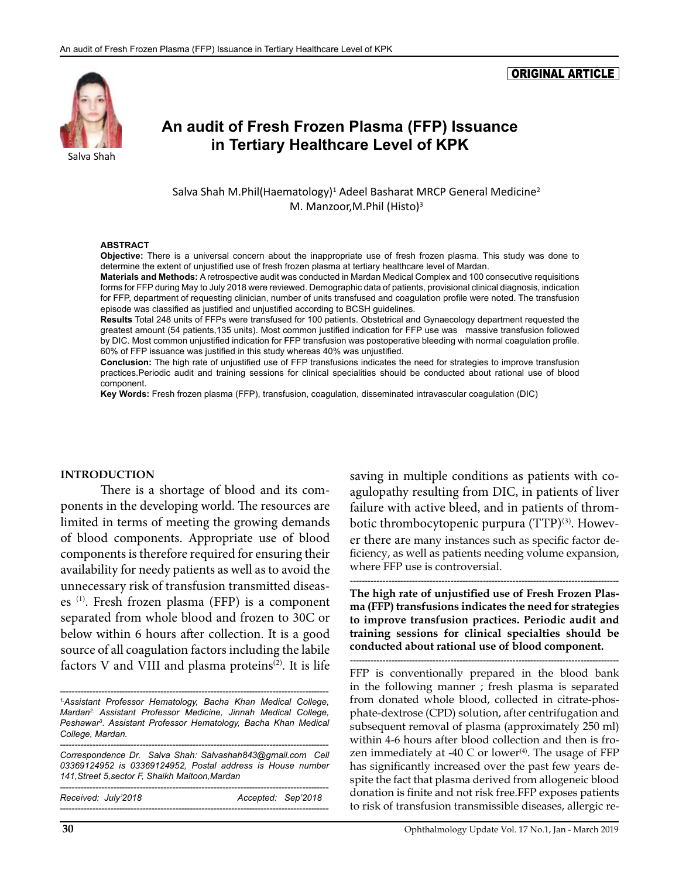#### ORIGINAL ARTICLE

# **An audit of Fresh Frozen Plasma (FFP) Issuance in Tertiary Healthcare Level of KPK**<br>Salva Shah

Salva Shah M.Phil(Haematology)<sup>1</sup> Adeel Basharat MRCP General Medicine<sup>2</sup> M. Manzoor,M.Phil (Histo)<sup>3</sup>

#### **ABSTRACT**

**Objective:** There is a universal concern about the inappropriate use of fresh frozen plasma. This study was done to determine the extent of unjustified use of fresh frozen plasma at tertiary healthcare level of Mardan.

**Materials and Methods:** A retrospective audit was conducted in Mardan Medical Complex and 100 consecutive requisitions forms for FFP during May to July 2018 were reviewed. Demographic data of patients, provisional clinical diagnosis, indication for FFP, department of requesting clinician, number of units transfused and coagulation profile were noted. The transfusion episode was classified as justified and unjustified according to BCSH guidelines.

**Results** Total 248 units of FFPs were transfused for 100 patients. Obstetrical and Gynaecology department requested the greatest amount (54 patients,135 units). Most common justified indication for FFP use was massive transfusion followed by DIC. Most common unjustified indication for FFP transfusion was postoperative bleeding with normal coagulation profile. 60% of FFP issuance was justified in this study whereas 40% was unjustified.

**Conclusion:** The high rate of unjustified use of FFP transfusions indicates the need for strategies to improve transfusion practices.Periodic audit and training sessions for clinical specialities should be conducted about rational use of blood component.

**Key Words:** Fresh frozen plasma (FFP), transfusion, coagulation, disseminated intravascular coagulation (DIC)

#### **INTRODUCTION**

There is a shortage of blood and its components in the developing world. The resources are limited in terms of meeting the growing demands of blood components. Appropriate use of blood components is therefore required for ensuring their availability for needy patients as well as to avoid the unnecessary risk of transfusion transmitted diseases (1). Fresh frozen plasma (FFP) is a component separated from whole blood and frozen to 30C or below within 6 hours after collection. It is a good source of all coagulation factors including the labile factors V and VIII and plasma proteins<sup> $(2)$ </sup>. It is life

*------------------------------------------------------------------------------------------- 1.Assistant Professor Hematology, Bacha Khan Medical College, Mardan2. Assistant Professor Medicine, Jinnah Medical College, Peshawar3 . Assistant Professor Hematology, Bacha Khan Medical College, Mardan.* 

*Received: July'2018 Accepted: Sep'2018 -------------------------------------------------------------------------------------------* saving in multiple conditions as patients with coagulopathy resulting from DIC, in patients of liver failure with active bleed, and in patients of thrombotic thrombocytopenic purpura (TTP)<sup>(3)</sup>. However there are many instances such as specific factor deficiency, as well as patients needing volume expansion, where FFP use is controversial.

**The high rate of unjustified use of Fresh Frozen Plasma (FFP) transfusions indicates the need for strategies to improve transfusion practices. Periodic audit and training sessions for clinical specialties should be conducted about rational use of blood component.** 

*-------------------------------------------------------------------------------------------*

*-------------------------------------------------------------------------------------------*

FFP is conventionally prepared in the blood bank in the following manner ; fresh plasma is separated from donated whole blood, collected in citrate-phosphate-dextrose (CPD) solution, after centrifugation and subsequent removal of plasma (approximately 250 ml) within 4-6 hours after blood collection and then is frozen immediately at -40 C or lower $(4)$ . The usage of FFP has significantly increased over the past few years despite the fact that plasma derived from allogeneic blood donation is finite and not risk free.FFP exposes patients to risk of transfusion transmissible diseases, allergic re-

*<sup>-------------------------------------------------------------------------------------------</sup> Correspondence Dr. Salva Shah: [Salvashah843@gmail.com](mailto:Salvashah843@gmail.com) Cell 03369124952 is 03369124952, Postal address is House number 141,Street 5,sector F, Shaikh Maltoon,Mardan -------------------------------------------------------------------------------------------*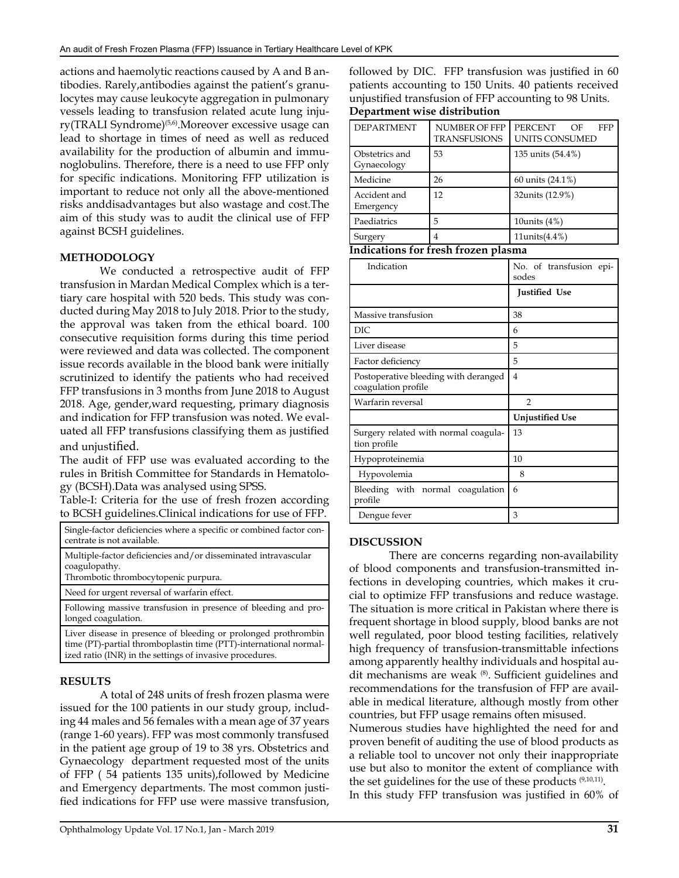actions and haemolytic reactions caused by A and B antibodies. Rarely,antibodies against the patient's granulocytes may cause leukocyte aggregation in pulmonary vessels leading to transfusion related acute lung injury(TRALI Syndrome)<sup>(5,6)</sup>.Moreover excessive usage can lead to shortage in times of need as well as reduced availability for the production of albumin and immunoglobulins. Therefore, there is a need to use FFP only for specific indications. Monitoring FFP utilization is important to reduce not only all the above-mentioned risks anddisadvantages but also wastage and cost.The aim of this study was to audit the clinical use of FFP against BCSH guidelines.

#### **METHODOLOGY**

We conducted a retrospective audit of FFP transfusion in Mardan Medical Complex which is a tertiary care hospital with 520 beds. This study was conducted during May 2018 to July 2018. Prior to the study, the approval was taken from the ethical board. 100 consecutive requisition forms during this time period were reviewed and data was collected. The component issue records available in the blood bank were initially scrutinized to identify the patients who had received FFP transfusions in 3 months from June 2018 to August 2018. Age, gender,ward requesting, primary diagnosis and indication for FFP transfusion was noted. We evaluated all FFP transfusions classifying them as justified and unjustified.

The audit of FFP use was evaluated according to the rules in British Committee for Standards in Hematology (BCSH).Data was analysed using SPSS.

Table-I: Criteria for the use of fresh frozen according to BCSH guidelines.Clinical indications for use of FFP.

| Single-factor deficiencies where a specific or combined factor con-<br>centrate is not available. |
|---------------------------------------------------------------------------------------------------|
| Multiple-factor deficiencies and/or disseminated intravascular                                    |
| coagulopathy.                                                                                     |

Thrombotic thrombocytopenic purpura.

Need for urgent reversal of warfarin effect.

Following massive transfusion in presence of bleeding and prolonged coagulation.

Liver disease in presence of bleeding or prolonged prothrombin time (PT)-partial thromboplastin time (PTT)-international normalized ratio (INR) in the settings of invasive procedures.

#### **RESULTS**

A total of 248 units of fresh frozen plasma were issued for the 100 patients in our study group, including 44 males and 56 females with a mean age of 37 years (range 1-60 years). FFP was most commonly transfused in the patient age group of 19 to 38 yrs. Obstetrics and Gynaecology department requested most of the units of FFP ( 54 patients 135 units),followed by Medicine and Emergency departments. The most common justified indications for FFP use were massive transfusion, followed by DIC. FFP transfusion was justified in 60 patients accounting to 150 Units. 40 patients received unjustified transfusion of FFP accounting to 98 Units.

#### **Department wise distribution**

| <b>DEPARTMENT</b>                                    | <b>NUMBER OF FFP</b>                 | PERCENT<br>OF<br><b>FFP</b>      |  |  |
|------------------------------------------------------|--------------------------------------|----------------------------------|--|--|
|                                                      | <b>TRANSFUSIONS</b>                  | <b>UNITS CONSUMED</b>            |  |  |
| Obstetrics and<br>Gynaecology                        | 53                                   | 135 units (54.4%)                |  |  |
| Medicine                                             | 26                                   | 60 units (24.1%)                 |  |  |
| Accident and<br>Emergency                            | 12                                   | 32units (12.9%)                  |  |  |
| Paediatrics                                          | 5                                    | 10units $(4%)$                   |  |  |
| Surgery                                              | $\overline{\mathbf{A}}$              | 11units $(4.4\%)$                |  |  |
|                                                      | Indications for fresh frozen plasma  |                                  |  |  |
| Indication                                           |                                      | No. of transfusion epi-<br>sodes |  |  |
|                                                      |                                      | <b>Justified Use</b>             |  |  |
| Massive transfusion                                  |                                      | 38                               |  |  |
| DIC.                                                 |                                      | 6                                |  |  |
| Liver disease                                        |                                      | 5                                |  |  |
| Factor deficiency                                    |                                      | 5                                |  |  |
| coagulation profile                                  | Postoperative bleeding with deranged | 4                                |  |  |
| Warfarin reversal                                    |                                      | $\mathfrak{D}$                   |  |  |
|                                                      |                                      | <b>Unjustified Use</b>           |  |  |
| Surgery related with normal coagula-<br>tion profile |                                      | 13                               |  |  |
| Hypoproteinemia                                      |                                      | 10                               |  |  |
| Hypovolemia                                          |                                      | 8                                |  |  |
| profile                                              | Bleeding with normal coagulation     | 6                                |  |  |
| Dengue fever                                         |                                      | 3                                |  |  |

#### **DISCUSSION**

There are concerns regarding non-availability of blood components and transfusion-transmitted infections in developing countries, which makes it crucial to optimize FFP transfusions and reduce wastage. The situation is more critical in Pakistan where there is frequent shortage in blood supply, blood banks are not well regulated, poor blood testing facilities, relatively high frequency of transfusion-transmittable infections among apparently healthy individuals and hospital audit mechanisms are weak (8). Sufficient guidelines and recommendations for the transfusion of FFP are available in medical literature, although mostly from other countries, but FFP usage remains often misused.

Numerous studies have highlighted the need for and proven benefit of auditing the use of blood products as a reliable tool to uncover not only their inappropriate use but also to monitor the extent of compliance with the set guidelines for the use of these products  $(9,10,11)$ . In this study FFP transfusion was justified in 60% of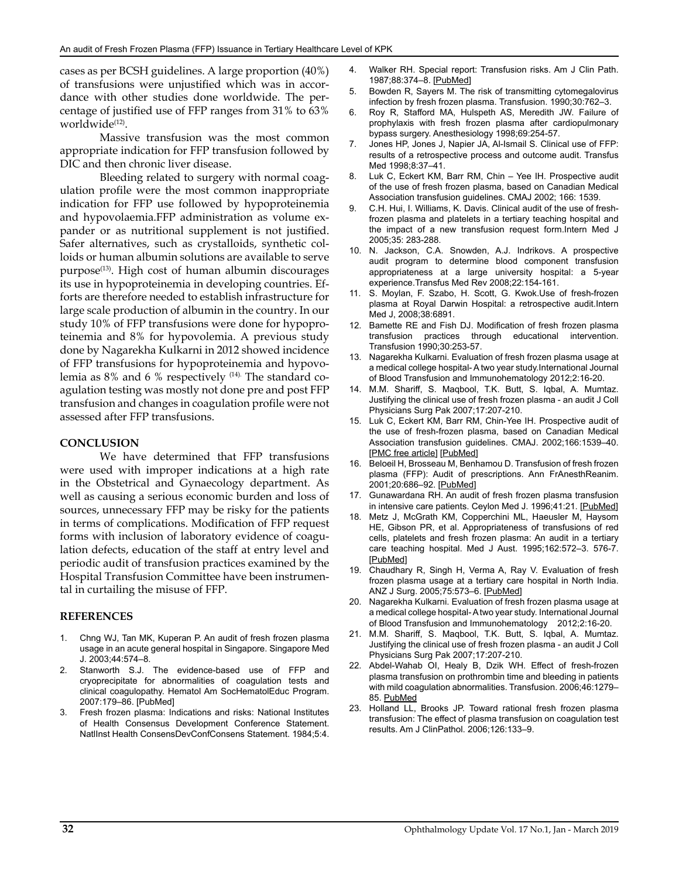cases as per BCSH guidelines. A large proportion (40%) of transfusions were unjustified which was in accordance with other studies done worldwide. The percentage of justified use of FFP ranges from 31% to 63% worldwide<sup>(12)</sup>.

Massive transfusion was the most common appropriate indication for FFP transfusion followed by DIC and then chronic liver disease.

Bleeding related to surgery with normal coagulation profile were the most common inappropriate indication for FFP use followed by hypoproteinemia and hypovolaemia.FFP administration as volume expander or as nutritional supplement is not justified. Safer alternatives, such as crystalloids, synthetic colloids or human albumin solutions are available to serve purpose<sup>(13)</sup>. High cost of human albumin discourages its use in hypoproteinemia in developing countries. Efforts are therefore needed to establish infrastructure for large scale production of albumin in the country. In our study 10% of FFP transfusions were done for hypoproteinemia and 8% for hypovolemia. A previous study done by Nagarekha Kulkarni in 2012 showed incidence of FFP transfusions for hypoproteinemia and hypovolemia as 8% and 6 % respectively (14). The standard coagulation testing was mostly not done pre and post FFP transfusion and changes in coagulation profile were not assessed after FFP transfusions.

#### **CONCLUSION**

We have determined that FFP [transfusions](https://www.sciencedirect.com/topics/medicine-and-dentistry/transfusion) were used with improper indications at a high rate in the Obstetrical and Gynaecology department. As well as causing a serious economic burden and loss of sources, unnecessary FFP may be risky for the patients in terms of complications. Modification of FFP request forms with inclusion of laboratory evidence of coagulation defects, education of the staff at entry level and periodic audit of transfusion practices examined by the Hospital Transfusion Committee have been instrumental in curtailing the misuse of FFP.

#### **REFERENCES**

- 1. Chng WJ, Tan MK, Kuperan P. An audit of fresh frozen plasma usage in an acute general hospital in Singapore. Singapore Med J. 2003;44:574–8.
- Stanworth S.J. The evidence-based use of FFP and cryoprecipitate for abnormalities of coagulation tests and clinical coagulopathy. Hematol Am SocHematolEduc Program. 2007:179–86. [\[PubMed](https://www.ncbi.nlm.nih.gov/pubmed/18024627)]
- 3. Fresh frozen plasma: Indications and risks: National Institutes of Health Consensus Development Conference Statement. NatlInst Health ConsensDevConfConsens Statement. 1984;5:4.
- 4. Walker RH. Special report: Transfusion risks. Am J Clin Path. 1987;88:374–8. [[PubMed\]](https://www.ncbi.nlm.nih.gov/pubmed/3630978)
- 5. Bowden R, Sayers M. The risk of transmitting cytomegalovirus infection by fresh frozen plasma. Transfusion. 1990;30:762–3.
- 6. Roy R, Stafford MA, Hulspeth AS, Meredith JW. Failure of prophylaxis with fresh frozen plasma after cardiopulmonary bypass surgery. Anesthesiology 1998;69:254-57.
- 7. Jones HP, Jones J, Napier JA, Al-Ismail S. Clinical use of FFP: results of a retrospective process and outcome audit. Transfus Med 1998;8:37–41.
- 8. Luk C, Eckert KM, Barr RM, Chin Yee IH. Prospective audit of the use of fresh frozen plasma, based on Canadian Medical Association transfusion guidelines. CMAJ 2002; 166: 1539.
- 9. C.H. Hui, I. Williams, K. Davis. Clinical audit of the use of freshfrozen plasma and platelets in a tertiary teaching hospital and the impact of a new transfusion request form.Intern Med J 2005;35: 283-288.
- 10. N. Jackson, C.A. Snowden, A.J. Indrikovs. A prospective audit program to determine blood component transfusion appropriateness at a large university hospital: a 5-year experience.Transfus Med Rev 2008;22:154-161.
- 11. S. Moylan, F. Szabo, H. Scott, G. Kwok.Use of fresh-frozen plasma at Royal Darwin Hospital: a retrospective audit.Intern Med J, 2008;38:6891.
- 12. Bamette RE and Fish DJ. Modification of fresh frozen plasma transfusion practices through educational intervention. Transfusion 1990;30:253-57.
- 13. Nagarekha Kulkarni. Evaluation of fresh frozen plasma usage at a medical college hospital- A two year study.International Journal of Blood Transfusion and Immunohematology 2012;2:16-20.
- 14. M.M. Shariff, S. Maqbool, T.K. Butt, S. Iqbal, A. Mumtaz. Justifying the clinical use of fresh frozen plasma - an audit J Coll Physicians Surg Pak 2007;17:207-210.
- 15. Luk C, Eckert KM, Barr RM, Chin-Yee IH. Prospective audit of the use of fresh-frozen plasma, based on Canadian Medical Association transfusion guidelines. CMAJ. 2002;166:1539–40. [\[PMC free article\]](https://www.ncbi.nlm.nih.gov/pmc/articles/PMC113799/) [\[PubMed](https://www.ncbi.nlm.nih.gov/pubmed/12074120)]
- 16. Beloeil H, Brosseau M, Benhamou D. Transfusion of fresh frozen plasma (FFP): Audit of prescriptions. Ann FrAnesthReanim. 2001;20:686–92. [[PubMed](https://www.ncbi.nlm.nih.gov/pubmed/11695287)]
- 17. Gunawardana RH. An audit of fresh frozen plasma transfusion in intensive care patients. Ceylon Med J. 1996;41:21. [[PubMed](https://www.ncbi.nlm.nih.gov/pubmed/8754612)]
- 18. Metz J, McGrath KM, Copperchini ML, Haeusler M, Haysom HE, Gibson PR, et al. Appropriateness of transfusions of red cells, platelets and fresh frozen plasma: An audit in a tertiary care teaching hospital. Med J Aust. 1995;162:572–3. 576-7. [\[PubMed](https://www.ncbi.nlm.nih.gov/pubmed/7791642)]
- 19. Chaudhary R, Singh H, Verma A, Ray V. Evaluation of fresh frozen plasma usage at a tertiary care hospital in North India. ANZ J Surg. 2005;75:573–6. [[PubMed\]](https://www.ncbi.nlm.nih.gov/pubmed/15972050)
- 20. Nagarekha Kulkarni. Evaluation of fresh frozen plasma usage at a medical college hospital- A two year study. International Journal of Blood Transfusion and Immunohematology 2012;2:16-20.
- 21. M.M. Shariff, S. Maqbool, T.K. Butt, S. Iqbal, A. Mumtaz. Justifying the clinical use of fresh frozen plasma - an audit J Coll Physicians Surg Pak 2007;17:207-210.
- 22. Abdel-Wahab OI, Healy B, Dzik WH. Effect of fresh-frozen plasma transfusion on prothrombin time and bleeding in patients with mild coagulation abnormalities. Transfusion. 2006;46:1279– 85. PubMed
- 23. Holland LL, Brooks JP. Toward rational fresh frozen plasma transfusion: The effect of plasma transfusion on coagulation test results. Am J ClinPathol. 2006;126:133–9.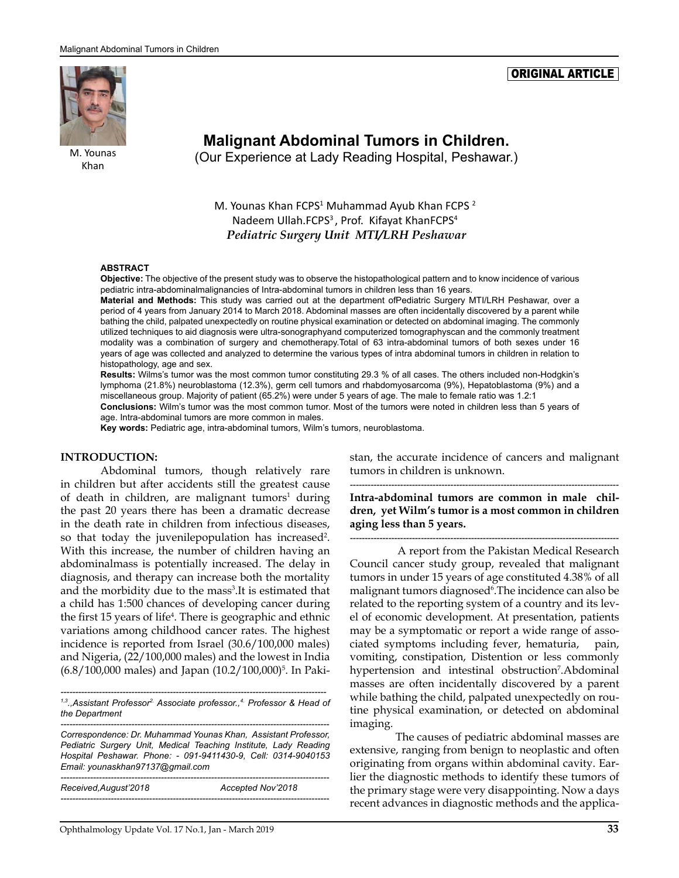

M. Younas Khan

**Malignant Abdominal Tumors in Children.**  (Our Experience at Lady Reading Hospital, Peshawar.)

M. Younas Khan FCPS<sup>1</sup> Muhammad Ayub Khan FCPS<sup>2</sup> Nadeem Ullah.FCPS<sup>3</sup>, Prof. Kifayat KhanFCPS<sup>4</sup> *Pediatric Surgery Unit MTI/LRH Peshawar*

#### **ABSTRACT**

**Objective:** The objective of the present study was to observe the histopathological pattern and to know incidence of various pediatric intra-abdominalmalignancies of Intra-abdominal tumors in children less than 16 years.

**Material and Methods:** This study was carried out at the department ofPediatric Surgery MTI/LRH Peshawar, over a period of 4 years from January 2014 to March 2018. Abdominal masses are often incidentally discovered by a parent while bathing the child, palpated unexpectedly on routine physical examination or detected on abdominal imaging. The commonly utilized techniques to aid diagnosis were ultra-sonographyand computerized tomographyscan and the commonly treatment modality was a combination of surgery and chemotherapy.Total of 63 intra-abdominal tumors of both sexes under 16 years of age was collected and analyzed to determine the various types of intra abdominal tumors in children in relation to histopathology, age and sex.

**Results:** Wilms's tumor was the most common tumor constituting 29.3 % of all cases. The others included non-Hodgkin's lymphoma (21.8%) neuroblastoma (12.3%), germ cell tumors and rhabdomyosarcoma (9%), Hepatoblastoma (9%) and a miscellaneous group. Majority of patient (65.2%) were under 5 years of age. The male to female ratio was 1.2:1

**Conclusions:** Wilm's tumor was the most common tumor. Most of the tumors were noted in children less than 5 years of age. Intra-abdominal tumors are more common in males.

**Key words:** Pediatric age, intra-abdominal tumors, Wilm's tumors, neuroblastoma.

#### **INTRODUCTION:**

Abdominal tumors, though relatively rare in children but after accidents still the greatest cause of death in children, are malignant tumors<sup>1</sup> during the past 20 years there has been a dramatic decrease in the death rate in children from infectious diseases, so that today the juvenilepopulation has increased<sup>2</sup>. With this increase, the number of children having an abdominalmass is potentially increased. The delay in diagnosis, and therapy can increase both the mortality and the morbidity due to the mass<sup>3</sup>. It is estimated that a child has 1:500 chances of developing cancer during the first 15 years of life<sup>4</sup>. There is geographic and ethnic variations among childhood cancer rates. The highest incidence is reported from Israel (30.6/100,000 males) and Nigeria, (22/100,000 males) and the lowest in India (6.8/100,000 males) and Japan (10.2/100,000)<sup>5</sup>. In Paki-

*------------------------------------------------------------------------------------------ 1,3.,Assistant Professor2. Associate professor.,4. Professor & Head of the Department*

*------------------------------------------------------------------------------------------- Correspondence: Dr. Muhammad Younas Khan, Assistant Professor, Pediatric Surgery Unit, Medical Teaching Institute, Lady Reading Hospital Peshawar. Phone: - 091-9411430-9, Cell: 0314-9040153 Email: [younaskhan97137@gmail.com](mailto:younaskhan97137@gmail.com)*

| Received, August'2018 | Accepted Nov'2018 |
|-----------------------|-------------------|
|                       |                   |

stan, the accurate incidence of cancers and malignant tumors in children is unknown.

ORIGINAL ARTICLE

*-------------------------------------------------------------------------------------------* **Intra-abdominal tumors are common in male children, yet Wilm's tumor is a most common in children aging less than 5 years.** 

*-------------------------------------------------------------------------------------------*

 A report from the Pakistan Medical Research Council cancer study group, revealed that malignant tumors in under 15 years of age constituted 4.38% of all malignant tumors diagnosed<sup>6</sup>. The incidence can also be related to the reporting system of a country and its level of economic development. At presentation, patients may be a symptomatic or report a wide range of associated symptoms including fever, hematuria, pain, vomiting, constipation, Distention or less commonly hypertension and intestinal obstruction<sup>7</sup>. Abdominal masses are often incidentally discovered by a parent while bathing the child, palpated unexpectedly on routine physical examination, or detected on abdominal imaging.

 The causes of pediatric abdominal masses are extensive, ranging from benign to neoplastic and often originating from organs within abdominal cavity. Earlier the diagnostic methods to identify these tumors of the primary stage were very disappointing. Now a days recent advances in diagnostic methods and the applica-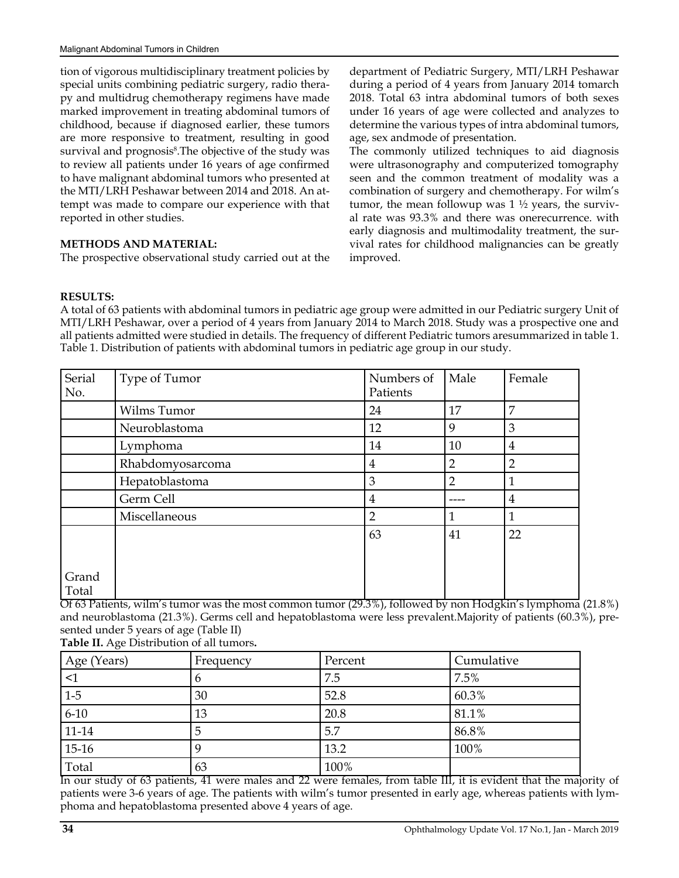tion of vigorous multidisciplinary treatment policies by special units combining pediatric surgery, radio therapy and multidrug chemotherapy regimens have made marked improvement in treating abdominal tumors of childhood, because if diagnosed earlier, these tumors are more responsive to treatment, resulting in good survival and prognosis<sup>8</sup>. The objective of the study was to review all patients under 16 years of age confirmed to have malignant abdominal tumors who presented at the MTI/LRH Peshawar between 2014 and 2018. An attempt was made to compare our experience with that reported in other studies.

#### **METHODS AND MATERIAL:**

The prospective observational study carried out at the

department of Pediatric Surgery, MTI/LRH Peshawar during a period of 4 years from January 2014 tomarch 2018. Total 63 intra abdominal tumors of both sexes under 16 years of age were collected and analyzes to determine the various types of intra abdominal tumors, age, sex andmode of presentation.

The commonly utilized techniques to aid diagnosis were ultrasonography and computerized tomography seen and the common treatment of modality was a combination of surgery and chemotherapy. For wilm's tumor, the mean followup was  $1 \frac{1}{2}$  years, the survival rate was 93.3% and there was onerecurrence. with early diagnosis and multimodality treatment, the survival rates for childhood malignancies can be greatly improved.

#### **RESULTS:**

A total of 63 patients with abdominal tumors in pediatric age group were admitted in our Pediatric surgery Unit of MTI/LRH Peshawar, over a period of 4 years from January 2014 to March 2018. Study was a prospective one and all patients admitted were studied in details. The frequency of different Pediatric tumors aresummarized in table 1. Table 1. Distribution of patients with abdominal tumors in pediatric age group in our study.

| Serial<br>No.  | Type of Tumor    | Numbers of<br>Patients | Male           | Female         |
|----------------|------------------|------------------------|----------------|----------------|
|                | Wilms Tumor      | 24                     | 17             | 7              |
|                | Neuroblastoma    | 12                     | 9              | 3              |
|                | Lymphoma         | 14                     | 10             | 4              |
|                | Rhabdomyosarcoma | 4                      | 2              | $\overline{2}$ |
|                | Hepatoblastoma   | 3                      | $\overline{2}$ | 1              |
|                | Germ Cell        | 4                      |                | 4              |
|                | Miscellaneous    | $\overline{2}$         | 1              | 1              |
|                |                  | 63                     | 41             | 22             |
| Grand<br>Total |                  |                        |                |                |

Of 63 Patients, wilm's tumor was the most common tumor (29.3%), followed by non Hodgkin's lymphoma (21.8%) and neuroblastoma (21.3%). Germs cell and hepatoblastoma were less prevalent.Majority of patients (60.3%), presented under 5 years of age (Table II) **Table II.** Age Distribution of all tumors**.**

| Age (Years)         | Frequency | Percent | Cumulative |
|---------------------|-----------|---------|------------|
| $\leq$ 1            |           | 7.5     | 7.5%       |
| $\vert 1 - 5 \vert$ | 30        | 52.8    | 60.3%      |
| $6-10$              | 13        | 20.8    | 81.1%      |
| $ 11-14 $           | 5         | 5.7     | 86.8%      |
| $15-16$             |           | 13.2    | 100%       |
| Total               | 63        | 100%    |            |

In our study of 63 patients, 41 were males and 22 were females, from table III, it is evident that the majority of patients were 3-6 years of age. The patients with wilm's tumor presented in early age, whereas patients with lymphoma and hepatoblastoma presented above 4 years of age.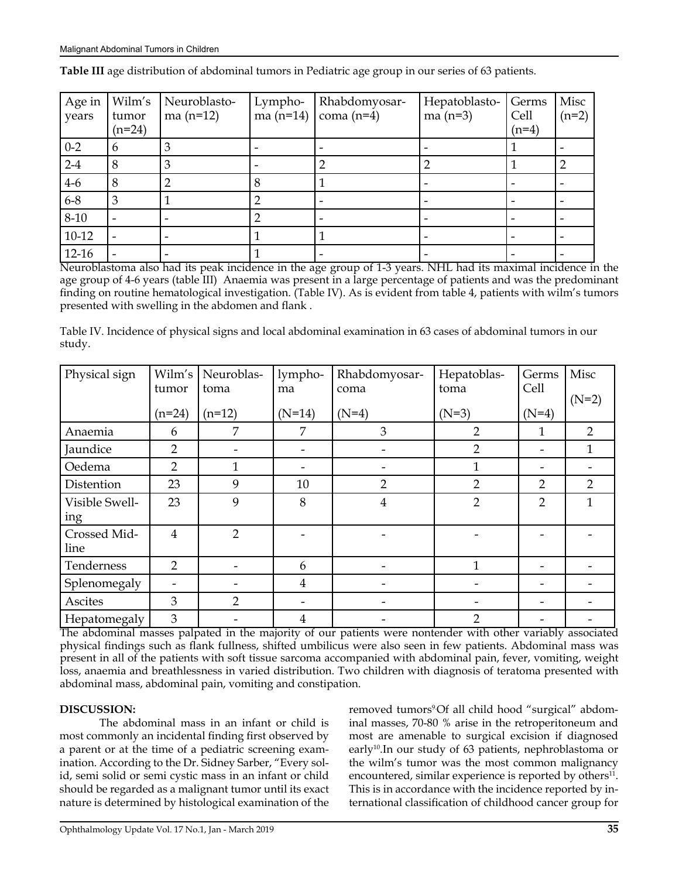| Age in<br>years | Wilm's<br>tumor<br>$(n=24)$ | Neuroblasto-<br>ma $(n=12)$ | Lympho-<br>ma $(n=14)$ | Rhabdomyosar-<br>coma $(n=4)$ | Hepatoblasto-<br>ma $(n=3)$ | Germs<br>Cell<br>$(n=4)$ | Misc<br>$(n=2)$ |
|-----------------|-----------------------------|-----------------------------|------------------------|-------------------------------|-----------------------------|--------------------------|-----------------|
| $0-2$           | <sub>b</sub>                |                             |                        |                               |                             |                          |                 |
| $2-4$           | 8                           |                             |                        |                               |                             |                          |                 |
| $4-6$           | 8                           |                             |                        |                               |                             |                          |                 |
| $6 - 8$         | 3                           |                             |                        |                               |                             |                          |                 |
| $8-10$          |                             |                             |                        |                               |                             |                          |                 |
| $10-12$         |                             |                             |                        |                               |                             |                          |                 |
| $12-16$         |                             |                             |                        |                               |                             |                          |                 |

**Table III** age distribution of abdominal tumors in Pediatric age group in our series of 63 patients.

Neuroblastoma also had its peak incidence in the age group of 1-3 years. NHL had its maximal incidence in the age group of 4-6 years (table III) Anaemia was present in a large percentage of patients and was the predominant finding on routine hematological investigation. (Table IV). As is evident from table 4, patients with wilm's tumors presented with swelling in the abdomen and flank .

Table IV. Incidence of physical signs and local abdominal examination in 63 cases of abdominal tumors in our study.

| Physical sign        | Wilm's         | Neuroblas-     | lympho-                  | Rhabdomyosar-  | Hepatoblas-    | Germs<br>Cell  | Misc           |
|----------------------|----------------|----------------|--------------------------|----------------|----------------|----------------|----------------|
|                      | tumor          | toma           | ma                       | coma           | toma           |                | $(N=2)$        |
|                      | $(n=24)$       | $(n=12)$       | $(N=14)$                 | $(N=4)$        | $(N=3)$        | $(N=4)$        |                |
| Anaemia              | 6              | 7              | 7                        | 3              | $\overline{2}$ | 1              | $\overline{2}$ |
| Jaundice             | $\overline{2}$ |                | $\overline{\phantom{a}}$ |                | $\overline{2}$ | -              | $\mathbf{1}$   |
| Oedema               | $\overline{2}$ |                |                          |                |                |                |                |
| Distention           | 23             | 9              | 10                       | $\overline{2}$ | $\overline{2}$ | $\overline{2}$ | $\overline{2}$ |
| Visible Swell-       | 23             | 9              | 8                        | $\overline{4}$ | $\overline{2}$ | $\overline{2}$ | 1              |
| ing                  |                |                |                          |                |                |                |                |
| Crossed Mid-<br>line | $\overline{4}$ | $\overline{2}$ |                          |                |                |                |                |
| Tenderness           | $\overline{2}$ |                | 6                        |                | 1              |                |                |
| Splenomegaly         |                |                | $\overline{4}$           |                |                |                |                |
| Ascites              | 3              | $\overline{2}$ | $\overline{\phantom{a}}$ |                |                |                |                |
| Hepatomegaly         | 3              |                | $\overline{4}$           |                | $\overline{2}$ |                |                |

The abdominal masses palpated in the majority of our patients were nontender with other variably associated physical findings such as flank fullness, shifted umbilicus were also seen in few patients. Abdominal mass was present in all of the patients with soft tissue sarcoma accompanied with abdominal pain, fever, vomiting, weight loss, anaemia and breathlessness in varied distribution. Two children with diagnosis of teratoma presented with abdominal mass, abdominal pain, vomiting and constipation.

#### **DISCUSSION:**

The abdominal mass in an infant or child is most commonly an incidental finding first observed by a parent or at the time of a pediatric screening examination. According to the Dr. Sidney Sarber, "Every solid, semi solid or semi cystic mass in an infant or child should be regarded as a malignant tumor until its exact nature is determined by histological examination of the removed tumors<sup>9</sup>Of all child hood "surgical" abdominal masses, 70-80 % arise in the retroperitoneum and most are amenable to surgical excision if diagnosed early<sup>10</sup>. In our study of 63 patients, nephroblastoma or the wilm's tumor was the most common malignancy encountered, similar experience is reported by others<sup>11</sup>. This is in accordance with the incidence reported by international classification of childhood cancer group for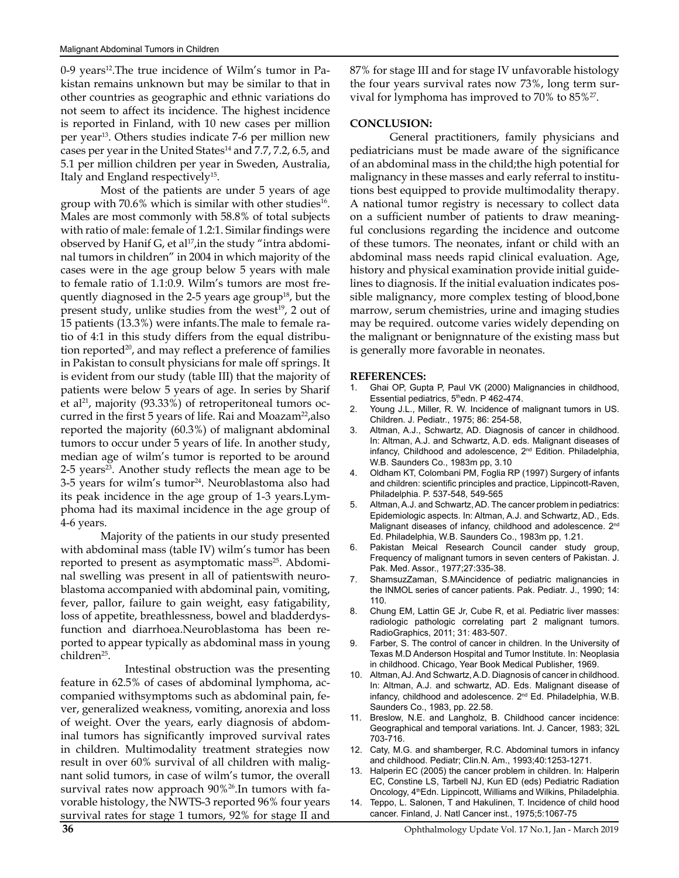0-9 years<sup>12</sup>. The true incidence of Wilm's tumor in Pakistan remains unknown but may be similar to that in other countries as geographic and ethnic variations do not seem to affect its incidence. The highest incidence is reported in Finland, with 10 new cases per million per year13. Others studies indicate 7-6 per million new cases per year in the United States $14$  and 7.7, 7.2, 6.5, and 5.1 per million children per year in Sweden, Australia, Italy and England respectively<sup>15</sup>.

Most of the patients are under 5 years of age group with 70.6% which is similar with other studies<sup>16</sup>. Males are most commonly with 58.8% of total subjects with ratio of male: female of 1.2:1. Similar findings were observed by Hanif G, et al $17$ , in the study "intra abdominal tumors in children" in 2004 in which majority of the cases were in the age group below 5 years with male to female ratio of 1.1:0.9. Wilm's tumors are most frequently diagnosed in the 2-5 years age group<sup>18</sup>, but the present study, unlike studies from the west<sup>19</sup>, 2 out of 15 patients (13.3%) were infants.The male to female ratio of 4:1 in this study differs from the equal distribution reported<sup>20</sup>, and may reflect a preference of families in Pakistan to consult physicians for male off springs. It is evident from our study (table III) that the majority of patients were below 5 years of age. In series by Sharif et al<sup>21</sup>, majority (93.33%) of retroperitoneal tumors occurred in the first 5 years of life. Rai and Moazam<sup>22</sup>, also reported the majority (60.3%) of malignant abdominal tumors to occur under 5 years of life. In another study, median age of wilm's tumor is reported to be around 2-5 years<sup>23</sup>. Another study reflects the mean age to be 3-5 years for wilm's tumor<sup>24</sup>. Neuroblastoma also had its peak incidence in the age group of 1-3 years.Lymphoma had its maximal incidence in the age group of 4-6 years.

Majority of the patients in our study presented with abdominal mass (table IV) wilm's tumor has been reported to present as asymptomatic mass<sup>25</sup>. Abdominal swelling was present in all of patientswith neuroblastoma accompanied with abdominal pain, vomiting, fever, pallor, failure to gain weight, easy fatigability, loss of appetite, breathlessness, bowel and bladderdysfunction and diarrhoea.Neuroblastoma has been reported to appear typically as abdominal mass in young children25.

 Intestinal obstruction was the presenting feature in 62.5% of cases of abdominal lymphoma, accompanied withsymptoms such as abdominal pain, fever, generalized weakness, vomiting, anorexia and loss of weight. Over the years, early diagnosis of abdominal tumors has significantly improved survival rates in children. Multimodality treatment strategies now result in over 60% survival of all children with malignant solid tumors, in case of wilm's tumor, the overall survival rates now approach 90%<sup>26</sup>. In tumors with favorable histology, the NWTS-3 reported 96% four years survival rates for stage 1 tumors, 92% for stage II and

87% for stage III and for stage IV unfavorable histology the four years survival rates now 73%, long term survival for lymphoma has improved to 70% to 85%27.

#### **CONCLUSION:**

General practitioners, family physicians and pediatricians must be made aware of the significance of an abdominal mass in the child;the high potential for malignancy in these masses and early referral to institutions best equipped to provide multimodality therapy. A national tumor registry is necessary to collect data on a sufficient number of patients to draw meaningful conclusions regarding the incidence and outcome of these tumors. The neonates, infant or child with an abdominal mass needs rapid clinical evaluation. Age, history and physical examination provide initial guidelines to diagnosis. If the initial evaluation indicates possible malignancy, more complex testing of blood,bone marrow, serum chemistries, urine and imaging studies may be required. outcome varies widely depending on the malignant or benignnature of the existing mass but is generally more favorable in neonates.

#### **REFERENCES:**

- 1. Ghai OP, Gupta P, Paul VK (2000) Malignancies in childhood, Essential pediatrics, 5thedn. P 462-474.
- 2. Young J.L., Miller, R. W. Incidence of malignant tumors in US. Children. J. Pediatr., 1975; 86: 254-58,
- 3. Altman, A.J., Schwartz, AD. Diagnosis of cancer in childhood. In: Altman, A.J. and Schwartz, A.D. eds. Malignant diseases of infancy, Childhood and adolescence, 2<sup>nd</sup> Edition. Philadelphia, W.B. Saunders Co., 1983m pp, 3.10
- 4. Oldham KT, Colombani PM, Foglia RP (1997) Surgery of infants and children: scientific principles and practice, Lippincott-Raven, Philadelphia. P. 537-548, 549-565
- 5. Altman, A.J. and Schwartz, AD. The cancer problem in pediatrics: Epidemiologic aspects. In: Altman, A.J. and Schwartz, AD., Eds. Malignant diseases of infancy, childhood and adolescence. 2<sup>nd</sup> Ed. Philadelphia, W.B. Saunders Co., 1983m pp, 1.21.
- 6. Pakistan Meical Research Council cander study group, Frequency of malignant tumors in seven centers of Pakistan. J. Pak. Med. Assor., 1977;27:335-38.
- 7. ShamsuzZaman, S.MAincidence of pediatric malignancies in the INMOL series of cancer patients. Pak. Pediatr. J., 1990; 14: 110.
- 8. Chung EM, Lattin GE Jr, Cube R, et al. Pediatric liver masses: radiologic pathologic correlating part 2 malignant tumors. RadioGraphics, 2011; 31: 483-507.
- 9. Farber, S. The control of cancer in children. In the University of Texas M.D Anderson Hospital and Tumor Institute. In: Neoplasia in childhood. Chicago, Year Book Medical Publisher, 1969.
- 10. Altman, AJ. And Schwartz, A.D. Diagnosis of cancer in childhood. In: Altman, A.J. and schwartz, AD. Eds. Malignant disease of infancy, childhood and adolescence. 2<sup>nd</sup> Ed. Philadelphia, W.B. Saunders Co., 1983, pp. 22.58.
- 11. Breslow, N.E. and Langholz, B. Childhood cancer incidence: Geographical and temporal variations. Int. J. Cancer, 1983; 32L 703-716.
- 12. Caty, M.G. and shamberger, R.C. Abdominal tumors in infancy and childhood. Pediatr; Clin.N. Am., 1993;40:1253-1271.
- 13. Halperin EC (2005) the cancer problem in children. In: Halperin EC, Constine LS, Tarbell NJ, Kun ED (eds) Pediatric Radiation Oncology, 4<sup>th</sup>Edn. Lippincott, Williams and Wilkins, Philadelphia.
- 14. Teppo, L. Salonen, T and Hakulinen, T. Incidence of child hood cancer. Finland, J. Natl Cancer inst., 1975;5:1067-75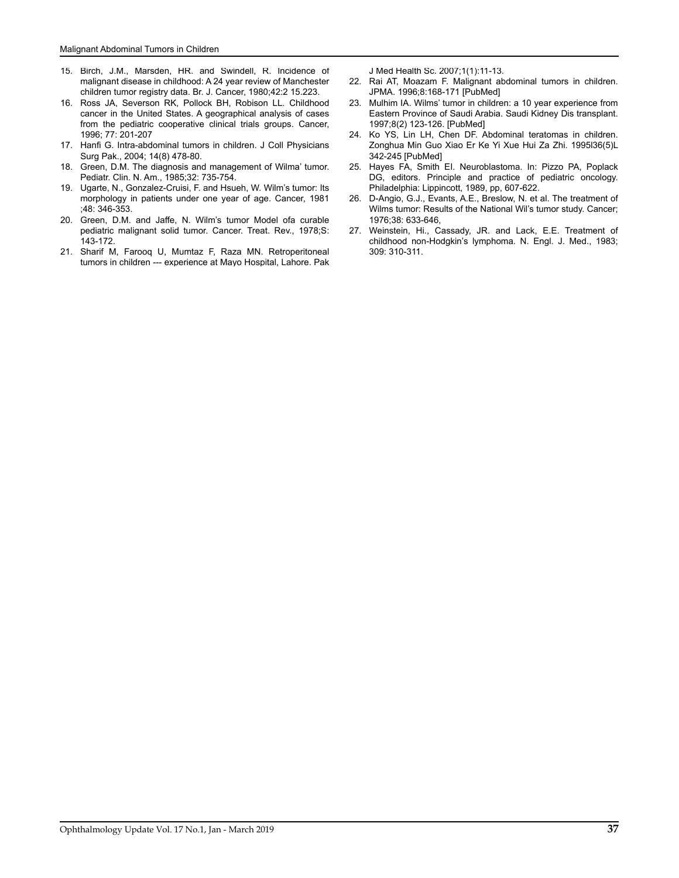- 15. Birch, J.M., Marsden, HR. and Swindell, R. Incidence of malignant disease in childhood: A 24 year review of Manchester children tumor registry data. Br. J. Cancer, 1980;42:2 15.223.
- 16. Ross JA, Severson RK, Pollock BH, Robison LL. Childhood cancer in the United States. A geographical analysis of cases from the pediatric cooperative clinical trials groups. Cancer, 1996; 77: 201-207
- 17. Hanfi G. Intra-abdominal tumors in children. J Coll Physicians Surg Pak., 2004; 14(8) 478-80.
- 18. Green, D.M. The diagnosis and management of Wilma' tumor. Pediatr. Clin. N. Am., 1985;32: 735-754.
- 19. Ugarte, N., Gonzalez-Cruisi, F. and Hsueh, W. Wilm's tumor: Its morphology in patients under one year of age. Cancer, 1981 ;48: 346-353.
- 20. Green, D.M. and Jaffe, N. Wilm's tumor Model ofa curable pediatric malignant solid tumor. Cancer. Treat. Rev., 1978;S: 143-172.
- 21. Sharif M, Farooq U, Mumtaz F, Raza MN. Retroperitoneal tumors in children --- experience at Mayo Hospital, Lahore. Pak

J Med Health Sc. 2007;1(1):11-13.

- 22. Rai AT, Moazam F. Malignant abdominal tumors in children. JPMA. 1996;8:168-171 [PubMed]
- 23. Mulhim IA. Wilms' tumor in children: a 10 year experience from Eastern Province of Saudi Arabia. Saudi Kidney Dis transplant. 1997;8(2) 123-126. [PubMed]
- 24. Ko YS, Lin LH, Chen DF. Abdominal teratomas in children. Zonghua Min Guo Xiao Er Ke Yi Xue Hui Za Zhi. 1995l36(5)L 342-245 [PubMed]
- 25. Hayes FA, Smith EI. Neuroblastoma. In: Pizzo PA, Poplack DG, editors. Principle and practice of pediatric oncology. Philadelphia: Lippincott, 1989, pp, 607-622.
- 26. D-Angio, G.J., Evants, A.E., Breslow, N. et al. The treatment of Wilms tumor: Results of the National Wil's tumor study. Cancer; 1976;38: 633-646,
- 27. Weinstein, Hi., Cassady, JR. and Lack, E.E. Treatment of childhood non-Hodgkin's lymphoma. N. Engl. J. Med., 1983; 309: 310-311.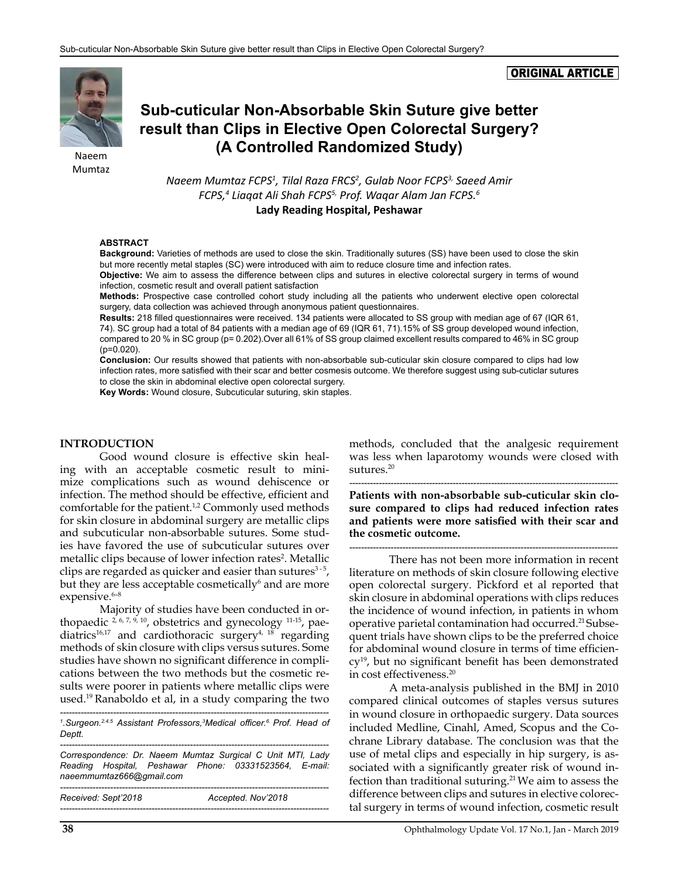#### ORIGINAL ARTICLE



Mumtaz

# **Sub-cuticular Non-Absorbable Skin Suture give better result than Clips in Elective Open Colorectal Surgery? (A Controlled Randomized Study)** (*A* Controlled Randomized Study)

*Naeem Mumtaz FCPS1 , Tilal Raza FRCS2 , Gulab Noor FCPS3, Saeed Amir FCPS,4 Liaqat Ali Shah FCPS5, Prof. Waqar Alam Jan FCPS.6* **Lady Reading Hospital, Peshawar**

#### **ABSTRACT**

**Background:** Varieties of methods are used to close the skin. Traditionally sutures (SS) have been used to close the skin but more recently metal staples (SC) were introduced with aim to reduce closure time and infection rates.

**Objective:** We aim to assess the difference between clips and sutures in elective colorectal surgery in terms of wound infection, cosmetic result and overall patient satisfaction

**Methods:** Prospective case controlled cohort study including all the patients who underwent elective open colorectal surgery, data collection was achieved through anonymous patient questionnaires.

**Results:** 218 filled questionnaires were received. 134 patients were allocated to SS group with median age of 67 (IQR 61, 74). SC group had a total of 84 patients with a median age of 69 (IQR 61, 71).15% of SS group developed wound infection, compared to 20 % in SC group (p= 0.202).Over all 61% of SS group claimed excellent results compared to 46% in SC group (p=0.020).

**Conclusion:** Our results showed that patients with non-absorbable sub-cuticular skin closure compared to clips had low infection rates, more satisfied with their scar and better cosmesis outcome. We therefore suggest using sub-cuticlar sutures to close the skin in abdominal elective open colorectal surgery.

**Key Words:** Wound closure, Subcuticular suturing, skin staples.

#### **INTRODUCTION**

Good wound closure is effective skin healing with an acceptable cosmetic result to minimize complications such as wound dehiscence or infection. The method should be effective, efficient and comfortable for the patient.<sup>1,2</sup> Commonly used methods for skin closure in abdominal surgery are metallic clips and subcuticular non-absorbable sutures. Some studies have favored the use of subcuticular sutures over metallic clips because of lower infection rates<sup>2</sup>. Metallic clips are regarded as quicker and easier than sutures $3-5$ , but they are less acceptable cosmetically<sup>6</sup> and are more expensive.<sup>6-8</sup>

Majority of studies have been conducted in orthopaedic  $^{2, 6, 7, 9, 10}$ , obstetrics and gynecology  $^{11-15}$ , paediatrics<sup>16,17</sup> and cardiothoracic surgery<sup>4, 18</sup> regarding methods of skin closure with clips versus sutures. Some studies have shown no significant difference in complications between the two methods but the cosmetic results were poorer in patients where metallic clips were used.19 Ranaboldo et al, in a study comparing the two

*------------------------------------------------------------------------------------------- 1 .Surgeon.2.4.5 Assistant Professors,3 Medical officer.6. Prof. Head of Deptt.*

*------------------------------------------------------------------------------------------- Correspondence: Dr. Naeem Mumtaz Surgical C Unit MTI, Lady Reading Hospital, Peshawar Phone: 03331523564, E-mail: [naeemmumtaz666@gmail.com](mailto:naeemmumtaz666@gmail.com) -------------------------------------------------------------------------------------------*

| Received: Sept'2018 | Accepted. Nov'2018 |
|---------------------|--------------------|
|                     |                    |

methods, concluded that the analgesic requirement was less when laparotomy wounds were closed with sutures.<sup>20</sup>

*-------------------------------------------------------------------------------------------* **Patients with non-absorbable sub-cuticular skin closure compared to clips had reduced infection rates and patients were more satisfied with their scar and the cosmetic outcome.** 

*-------------------------------------------------------------------------------------------*

There has not been more information in recent literature on methods of skin closure following elective open colorectal surgery. Pickford et al reported that skin closure in abdominal operations with clips reduces the incidence of wound infection, in patients in whom operative parietal contamination had occurred.<sup>21</sup> Subsequent trials have shown clips to be the preferred choice for abdominal wound closure in terms of time efficiency19, but no significant benefit has been demonstrated in cost effectiveness.20

A meta-analysis published in the BMJ in 2010 compared clinical outcomes of staples versus sutures in wound closure in orthopaedic surgery. Data sources included Medline, Cinahl, Amed, Scopus and the Cochrane Library database. The conclusion was that the use of metal clips and especially in hip surgery, is associated with a significantly greater risk of wound infection than traditional suturing.<sup>21</sup> We aim to assess the difference between clips and sutures in elective colorectal surgery in terms of wound infection, cosmetic result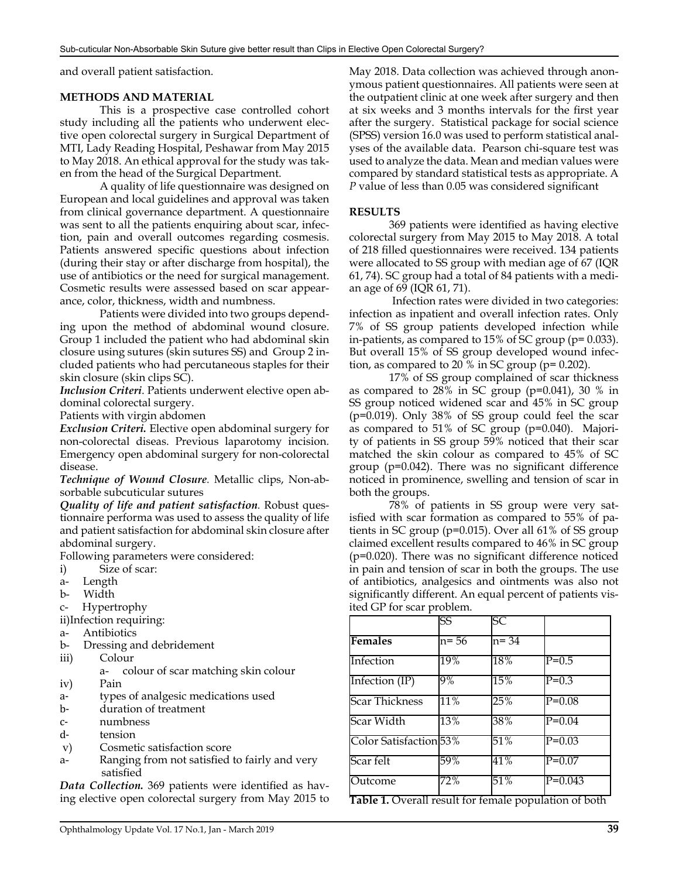and overall patient satisfaction.

#### **METHODS AND MATERIAL**

This is a prospective case controlled cohort study including all the patients who underwent elective open colorectal surgery in Surgical Department of MTI, Lady Reading Hospital, Peshawar from May 2015 to May 2018. An ethical approval for the study was taken from the head of the Surgical Department.

A quality of life questionnaire was designed on European and local guidelines and approval was taken from clinical governance department. A questionnaire was sent to all the patients enquiring about scar, infection, pain and overall outcomes regarding cosmesis. Patients answered specific questions about infection (during their stay or after discharge from hospital), the use of antibiotics or the need for surgical management. Cosmetic results were assessed based on scar appearance, color, thickness, width and numbness.

Patients were divided into two groups depending upon the method of abdominal wound closure. Group 1 included the patient who had abdominal skin closure using sutures (skin sutures SS) and Group 2 included patients who had percutaneous staples for their skin closure (skin clips SC).

*Inclusion Criteri*. Patients underwent elective open abdominal colorectal surgery.

Patients with virgin abdomen

*Exclusion Criteri.* Elective open abdominal surgery for non-colorectal diseas. Previous laparotomy incision*.*  Emergency open abdominal surgery for non-colorectal disease.

*Technique of Wound Closure.* Metallic clips, Non-absorbable subcuticular sutures

*Quality of life and patient satisfaction.* Robust questionnaire performa was used to assess the quality of life and patient satisfaction for abdominal skin closure after abdominal surgery.

Following parameters were considered:

- i) Size of scar:
- a- Length
- b- Width
- c- Hypertrophy
- ii)Infection requiring:
- a- Antibiotics
- b- Dressing and debridement
- iii) Colour
	- a- colour of scar matching skin colour
- iv) Pain
- a- types of analgesic medications used
- b- duration of treatment
- c- numbness<br>d- tension
- 
- d- tension<br>v) Cosmet Cosmetic satisfaction score
- a- Ranging from not satisfied to fairly and very satisfied

*Data Collection.* 369 patients were identified as having elective open colorectal surgery from May 2015 to May 2018. Data collection was achieved through anonymous patient questionnaires. All patients were seen at the outpatient clinic at one week after surgery and then at six weeks and 3 months intervals for the first year after the surgery. Statistical package for social science (SPSS) version 16.0 was used to perform statistical analyses of the available data. Pearson chi-square test was used to analyze the data. Mean and median values were compared by standard statistical tests as appropriate. A *P* value of less than 0.05 was considered significant

#### **RESULTS**

369 patients were identified as having elective colorectal surgery from May 2015 to May 2018. A total of 218 filled questionnaires were received. 134 patients were allocated to SS group with median age of 67 (IQR 61, 74). SC group had a total of 84 patients with a median age of 69 (IQR 61, 71).

 Infection rates were divided in two categories: infection as inpatient and overall infection rates. Only 7% of SS group patients developed infection while in-patients, as compared to  $15\%$  of SC group ( $p=0.033$ ). But overall 15% of SS group developed wound infection, as compared to 20  $\%$  in SC group (p= 0.202).

17% of SS group complained of scar thickness as compared to 28% in SC group (p=0.041), 30 % in SS group noticed widened scar and 45% in SC group (p=0.019). Only 38% of SS group could feel the scar as compared to 51% of SC group (p=0.040). Majority of patients in SS group 59% noticed that their scar matched the skin colour as compared to 45% of SC group (p=0.042). There was no significant difference noticed in prominence, swelling and tension of scar in both the groups.

78% of patients in SS group were very satisfied with scar formation as compared to 55% of patients in SC group (p=0.015). Over all 61% of SS group claimed excellent results compared to 46% in SC group (p=0.020). There was no significant difference noticed in pain and tension of scar in both the groups. The use of antibiotics, analgesics and ointments was also not significantly different. An equal percent of patients visited GP for scar problem.

|                                                      | $\overline{\text{SS}}$ | $\overline{\text{SC}}$ |            |  |  |  |
|------------------------------------------------------|------------------------|------------------------|------------|--|--|--|
| <b>Females</b>                                       | $n=56$                 | $n = 34$               |            |  |  |  |
| Infection                                            | 19%                    | 18%                    | $P=0.5$    |  |  |  |
| Infection $(\text{IP})$                              | $9\%$                  | 15%                    | $P=0.3$    |  |  |  |
| <b>Scar Thickness</b>                                | 11%                    | 25%                    | $P=0.08$   |  |  |  |
| Scar Width                                           | 13%                    | 38%                    | $P=0.04$   |  |  |  |
| Color Satisfaction <sup>53%</sup>                    |                        | 51%                    | $P=0.03$   |  |  |  |
| Scar felt                                            | 59%                    | 41%                    | $P = 0.07$ |  |  |  |
| Outcome                                              | 72%                    | 51%                    | $P=0.043$  |  |  |  |
| Table 1 Overall recult for female population of both |                        |                        |            |  |  |  |

**Table 1.** Overall result for female population of both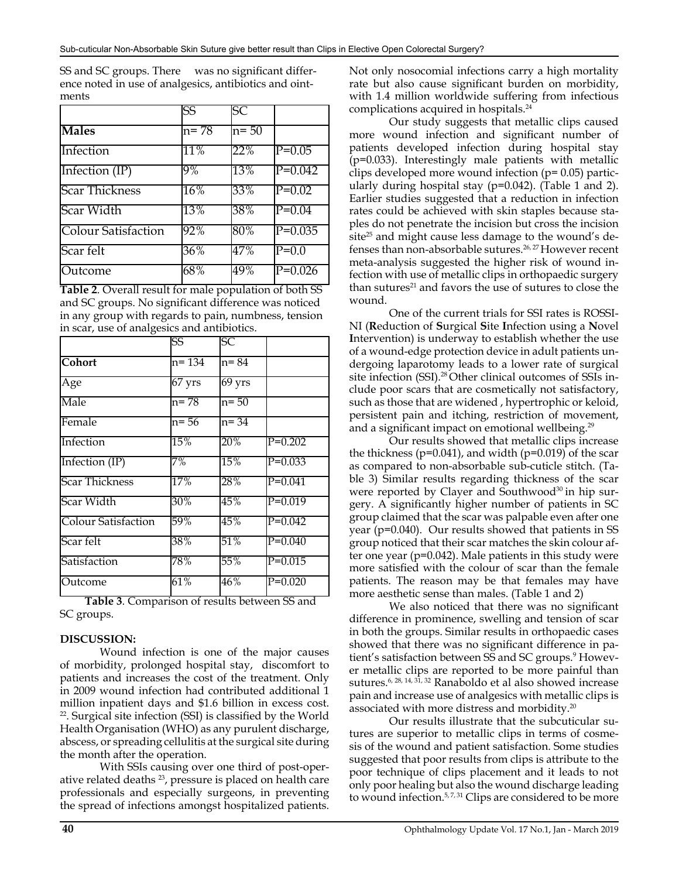SS and SC groups. There was no significant difference noted in use of analgesics, antibiotics and ointments

|                            | SS     | SC       |           |
|----------------------------|--------|----------|-----------|
| <b>Males</b>               | $n=78$ | $n = 50$ |           |
| Infection                  | 11%    | 22%      | $P=0.05$  |
| Infection $(IP)$           | 9%     | 13%      | $P=0.042$ |
| <b>Scar Thickness</b>      | $16\%$ | 33%      | $P=0.02$  |
| Scar Width                 | 13%    | 38%      | $P=0.04$  |
| <b>Colour Satisfaction</b> | 92%    | 80%      | $P=0.035$ |
| Scar felt                  | 36%    | 47%      | $P=0.0$   |
| Outcome                    | 68%    | 49%      | $P=0.026$ |

**Table 2**. Overall result for male population of both SS and SC groups. No significant difference was noticed in any group with regards to pain, numbness, tension in scar, use of analgesics and antibiotics.

|                            | SS       | SС               |           |
|----------------------------|----------|------------------|-----------|
| <b>Cohort</b>              | n= 134   | $n = 84$         |           |
| Age                        | $67$ yrs | $69 \text{ yrs}$ |           |
| Male                       | $n = 78$ | n= 50            |           |
| Female                     | $n = 56$ | $n = 34$         |           |
| Infection                  | 15%      | 20%              | $P=0.202$ |
| Infection (IP)             | 7%       | 15%              | $P=0.033$ |
| <b>Scar Thickness</b>      | 17%      | 28%              | $P=0.041$ |
| Scar Width                 | 30%      | 45%              | $P=0.019$ |
| <b>Colour Satisfaction</b> | 59%      | 45%              | $P=0.042$ |
| Scar felt                  | 38%      | 51%              | $P=0.040$ |
| Satisfaction               | 78%      | 55%              | $P=0.015$ |
| Outcome                    | 61%      | $46\%$           | $P=0.020$ |

**Table 3**. Comparison of results between SS and SC groups.

#### **DISCUSSION:**

Wound infection is one of the major causes of morbidity, prolonged hospital stay, discomfort to patients and increases the cost of the treatment. Only in 2009 wound infection had contributed additional 1 million inpatient days and \$1.6 billion in excess cost. <sup>22</sup>. Surgical site infection (SSI) is classified by the World Health Organisation (WHO) as any purulent discharge, abscess, or spreading cellulitis at the surgical site during the month after the operation.

With SSIs causing over one third of post-operative related deaths 23, pressure is placed on health care professionals and especially surgeons, in preventing the spread of infections amongst hospitalized patients.

Not only nosocomial infections carry a high mortality rate but also cause significant burden on morbidity, with 1.4 million worldwide suffering from infectious complications acquired in hospitals.24

Our study suggests that metallic clips caused more wound infection and significant number of patients developed infection during hospital stay  $(p=0.033)$ . Interestingly male patients with metallic clips developed more wound infection (p= 0.05) particularly during hospital stay (p=0.042). (Table 1 and 2). Earlier studies suggested that a reduction in infection rates could be achieved with skin staples because staples do not penetrate the incision but cross the incision site<sup>25</sup> and might cause less damage to the wound's defenses than non-absorbable sutures.26, 27 However recent meta-analysis suggested the higher risk of wound infection with use of metallic clips in orthopaedic surgery than sutures<sup>21</sup> and favors the use of sutures to close the wound.

One of the current trials for SSI rates is ROSSI-NI (**R**eduction of **S**urgical **S**ite **I**nfection using a **N**ovel **I**ntervention) is underway to establish whether the use of a wound-edge protection device in adult patients undergoing laparotomy leads to a lower rate of surgical site infection (SSI).<sup>28</sup> Other clinical outcomes of SSIs include poor scars that are cosmetically not satisfactory, such as those that are widened , hypertrophic or keloid, persistent pain and itching, restriction of movement, and a significant impact on emotional wellbeing.<sup>29</sup>

Our results showed that metallic clips increase the thickness ( $p=0.041$ ), and width ( $p=0.019$ ) of the scar as compared to non-absorbable sub-cuticle stitch. (Table 3) Similar results regarding thickness of the scar were reported by Clayer and Southwood<sup>30</sup> in hip surgery. A significantly higher number of patients in SC group claimed that the scar was palpable even after one year (p=0.040). Our results showed that patients in SS group noticed that their scar matches the skin colour after one year (p=0.042). Male patients in this study were more satisfied with the colour of scar than the female patients. The reason may be that females may have more aesthetic sense than males. (Table 1 and 2)

We also noticed that there was no significant difference in prominence, swelling and tension of scar in both the groups. Similar results in orthopaedic cases showed that there was no significant difference in patient's satisfaction between SS and SC groups.<sup>9</sup> However metallic clips are reported to be more painful than sutures.6, 28, 14, 31, 32 Ranaboldo et al also showed increase pain and increase use of analgesics with metallic clips is associated with more distress and morbidity.20

Our results illustrate that the subcuticular sutures are superior to metallic clips in terms of cosmesis of the wound and patient satisfaction. Some studies suggested that poor results from clips is attribute to the poor technique of clips placement and it leads to not only poor healing but also the wound discharge leading to wound infection.<sup>5,7,31</sup> Clips are considered to be more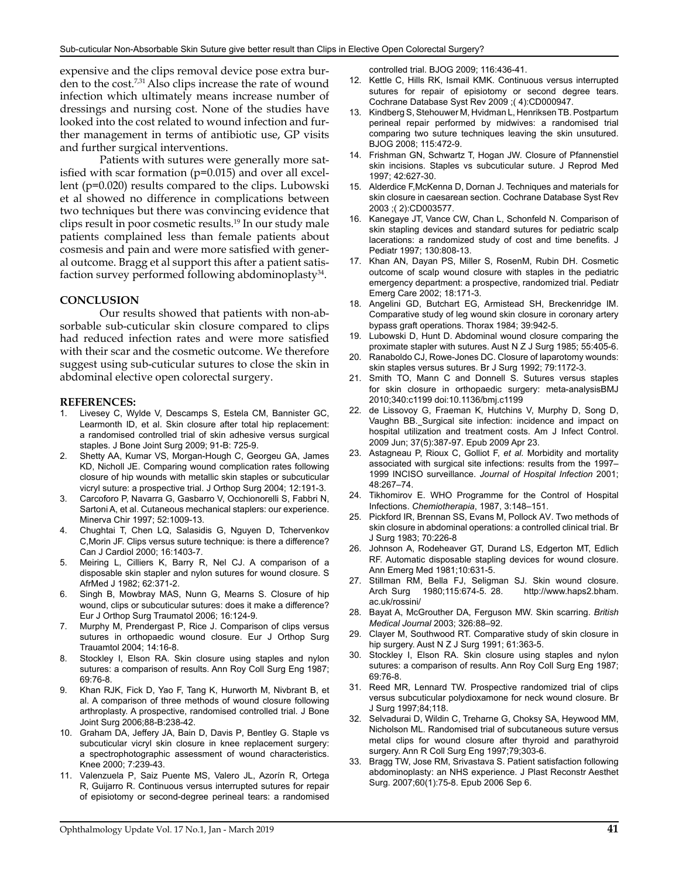expensive and the clips removal device pose extra burden to the cost.<sup>7,31</sup> Also clips increase the rate of wound infection which ultimately means increase number of dressings and nursing cost. None of the studies have looked into the cost related to wound infection and further management in terms of antibiotic use, GP visits and further surgical interventions.

Patients with sutures were generally more satisfied with scar formation (p=0.015) and over all excellent (p=0.020) results compared to the clips. Lubowski et al showed no difference in complications between two techniques but there was convincing evidence that clips result in poor cosmetic results.19 In our study male patients complained less than female patients about cosmesis and pain and were more satisfied with general outcome. Bragg et al support this after a patient satisfaction survey performed following abdominoplasty<sup>34</sup>.

#### **CONCLUSION**

Our results showed that patients with non-absorbable sub-cuticular skin closure compared to clips had reduced infection rates and were more satisfied with their scar and the cosmetic outcome. We therefore suggest using sub-cuticular sutures to close the skin in abdominal elective open colorectal surgery.

#### **REFERENCES:**

- 1. Livesey C, Wylde V, Descamps S, Estela CM, Bannister GC, Learmonth ID, et al. Skin closure after total hip replacement: a randomised controlled trial of skin adhesive versus surgical staples. J Bone Joint Surg 2009; 91-B: 725-9.
- 2. Shetty AA, Kumar VS, Morgan-Hough C, Georgeu GA, James KD, Nicholl JE. Comparing wound complication rates following closure of hip wounds with metallic skin staples or subcuticular vicryl suture: a prospective trial. J Orthop Surg 2004; 12:191-3.
- 3. Carcoforo P, Navarra G, Gasbarro V, Occhionorelli S, Fabbri N, Sartoni A, et al. Cutaneous mechanical staplers: our experience. Minerva Chir 1997; 52:1009-13.
- 4. Chughtai T, Chen LQ, Salasidis G, Nguyen D, Tchervenkov C,Morin JF. Clips versus suture technique: is there a difference? Can J Cardiol 2000; 16:1403-7.
- 5. Meiring L, Cilliers K, Barry R, Nel CJ. A comparison of a disposable skin stapler and nylon sutures for wound closure. S AfrMed J 1982; 62:371-2.
- 6. Singh B, Mowbray MAS, Nunn G, Mearns S. Closure of hip wound, clips or subcuticular sutures: does it make a difference? Eur J Orthop Surg Traumatol 2006; 16:124-9.
- 7. Murphy M, Prendergast P, Rice J. Comparison of clips versus sutures in orthopaedic wound closure. Eur J Orthop Surg Trauamtol 2004; 14:16-8.
- 8. Stockley I, Elson RA. Skin closure using staples and nylon sutures: a comparison of results. Ann Roy Coll Surg Eng 1987; 69:76-8.
- 9. Khan RJK, Fick D, Yao F, Tang K, Hurworth M, Nivbrant B, et al. A comparison of three methods of wound closure following arthroplasty. A prospective, randomised controlled trial. J Bone Joint Surg 2006;88-B:238-42.
- 10. Graham DA, Jeffery JA, Bain D, Davis P, Bentley G. Staple vs subcuticular vicryl skin closure in knee replacement surgery: a spectrophotographic assessment of wound characteristics. Knee 2000; 7:239-43.
- 11. Valenzuela P, Saiz Puente MS, Valero JL, Azorín R, Ortega R, Guijarro R. Continuous versus interrupted sutures for repair of episiotomy or second-degree perineal tears: a randomised

controlled trial. BJOG 2009; 116:436-41.

- 12. Kettle C, Hills RK, Ismail KMK. Continuous versus interrupted sutures for repair of episiotomy or second degree tears. Cochrane Database Syst Rev 2009 ;( 4):CD000947.
- 13. Kindberg S, Stehouwer M, Hvidman L, Henriksen TB. Postpartum perineal repair performed by midwives: a randomised trial comparing two suture techniques leaving the skin unsutured. BJOG 2008; 115:472-9.
- 14. Frishman GN, Schwartz T, Hogan JW. Closure of Pfannenstiel skin incisions. Staples vs subcuticular suture. J Reprod Med 1997; 42:627-30.
- 15. Alderdice F,McKenna D, Dornan J. Techniques and materials for skin closure in caesarean section. Cochrane Database Syst Rev 2003 ;( 2):CD003577.
- 16. Kanegaye JT, Vance CW, Chan L, Schonfeld N. Comparison of skin stapling devices and standard sutures for pediatric scalp lacerations: a randomized study of cost and time benefits. J Pediatr 1997; 130:808-13.
- 17. Khan AN, Dayan PS, Miller S, RosenM, Rubin DH. Cosmetic outcome of scalp wound closure with staples in the pediatric emergency department: a prospective, randomized trial. Pediatr Emerg Care 2002; 18:171-3.
- 18. Angelini GD, Butchart EG, Armistead SH, Breckenridge IM. Comparative study of leg wound skin closure in coronary artery bypass graft operations. Thorax 1984; 39:942-5.
- 19. Lubowski D, Hunt D. Abdominal wound closure comparing the proximate stapler with sutures. Aust N Z J Surg 1985; 55:405-6.
- 20. Ranaboldo CJ, Rowe-Jones DC. Closure of laparotomy wounds: skin staples versus sutures. Br J Surg 1992; 79:1172-3.
- 21. Smith TO, Mann C and Donnell S. Sutures versus staples for skin closure in orthopaedic surgery: meta-analysisBMJ 2010;340:c1199 doi:10.1136/bmj.c1199
- 22. [de Lissovoy G,](https://web.nhs.net/owa/redir.aspx?C=a1234b76839e4ee0bbe459e5c7377d93&URL=https%3a%2f%2fweb.nhs.net%2fowa%2fredir.aspx%3fC%3de95d9f9e9dbd4399ad0cddfc08cacfaf%26URL%3dhttp%253a%252f%252fwww.ncbi.nlm.nih.gov%252fpubmed%253fterm%253d%252522de%252520Lissovoy%252520G%252522%25255BAuthor%25255D) [Fraeman K,](https://web.nhs.net/owa/redir.aspx?C=a1234b76839e4ee0bbe459e5c7377d93&URL=https%3a%2f%2fweb.nhs.net%2fowa%2fredir.aspx%3fC%3de95d9f9e9dbd4399ad0cddfc08cacfaf%26URL%3dhttp%253a%252f%252fwww.ncbi.nlm.nih.gov%252fpubmed%253fterm%253d%252522Fraeman%252520K%252522%25255BAuthor%25255D) [Hutchins V](https://web.nhs.net/owa/redir.aspx?C=a1234b76839e4ee0bbe459e5c7377d93&URL=https%3a%2f%2fweb.nhs.net%2fowa%2fredir.aspx%3fC%3de95d9f9e9dbd4399ad0cddfc08cacfaf%26URL%3dhttp%253a%252f%252fwww.ncbi.nlm.nih.gov%252fpubmed%253fterm%253d%252522Hutchins%252520V%252522%25255BAuthor%25255D), [Murphy D,](https://web.nhs.net/owa/redir.aspx?C=a1234b76839e4ee0bbe459e5c7377d93&URL=https%3a%2f%2fweb.nhs.net%2fowa%2fredir.aspx%3fC%3de95d9f9e9dbd4399ad0cddfc08cacfaf%26URL%3dhttp%253a%252f%252fwww.ncbi.nlm.nih.gov%252fpubmed%253fterm%253d%252522Murphy%252520D%252522%25255BAuthor%25255D) [Song D,](https://web.nhs.net/owa/redir.aspx?C=a1234b76839e4ee0bbe459e5c7377d93&URL=https%3a%2f%2fweb.nhs.net%2fowa%2fredir.aspx%3fC%3de95d9f9e9dbd4399ad0cddfc08cacfaf%26URL%3dhttp%253a%252f%252fwww.ncbi.nlm.nih.gov%252fpubmed%253fterm%253d%252522Song%252520D%252522%25255BAuthor%25255D) [Vaughn BB.](https://web.nhs.net/owa/redir.aspx?C=a1234b76839e4ee0bbe459e5c7377d93&URL=https%3a%2f%2fweb.nhs.net%2fowa%2fredir.aspx%3fC%3de95d9f9e9dbd4399ad0cddfc08cacfaf%26URL%3dhttp%253a%252f%252fwww.ncbi.nlm.nih.gov%252fpubmed%253fterm%253d%252522Vaughn%252520BB%252522%25255BAuthor%25255D) Surgical site infection: incidence and impact on hospital utilization and treatment costs. [Am J Infect Control.](https://web.nhs.net/owa/redir.aspx?C=a1234b76839e4ee0bbe459e5c7377d93&URL=https%3a%2f%2fweb.nhs.net%2fowa%2fredir.aspx%3fC%3de95d9f9e9dbd4399ad0cddfc08cacfaf%26URL%3dhttp%253a%252f%252fwww.ncbi.nlm.nih.gov%252fpubmed%252f19398246)  2009 Jun; 37(5):387-97. Epub 2009 Apr 23.
- 23. Astagneau P, Rioux C, Golliot F, *et al.* Morbidity and mortality associated with surgical site infections: results from the 1997– 1999 INCISO surveillance. *Journal of Hospital Infection* 2001; 48:267–74.
- 24. Tikhomirov E. WHO Programme for the Control of Hospital Infections. *Chemiotherapia*, 1987, 3:148–151.
- 25. Pickford IR, Brennan SS, Evans M, Pollock AV. Two methods of skin closure in abdominal operations: a controlled clinical trial. Br J Surg 1983; 70:226-8
- 26. Johnson A, Rodeheaver GT, Durand LS, Edgerton MT, Edlich RF. Automatic disposable stapling devices for wound closure. Ann Emerg Med 1981;10:631-5.
- 27. Stillman RM, Bella FJ, Seligman SJ. Skin wound closure.<br>Arch Surg 1980;115:674-5. 28. http://www.haps2.bham. Arch Surg 1980;115:674-5. 28. http://www.haps2.bham. ac.uk/rossini/
- 28. Bayat A, McGrouther DA, Ferguson MW. Skin scarring. *British Medical Journal* 2003; 326:88–92.
- 29. Clayer M, Southwood RT. Comparative study of skin closure in hip surgery. Aust N Z J Surg 1991; 61:363-5.
- 30. Stockley I, Elson RA. Skin closure using staples and nylon sutures: a comparison of results. Ann Roy Coll Surg Eng 1987; 69:76-8.
- 31. Reed MR, Lennard TW. Prospective randomized trial of clips versus subcuticular polydioxamone for neck wound closure. Br J Surg 1997;84;118.
- 32. Selvadurai D, Wildin C, Treharne G, Choksy SA, Heywood MM, Nicholson ML. Randomised trial of subcutaneous suture versus metal clips for wound closure after thyroid and parathyroid surgery. Ann R Coll Surg Eng 1997;79;303-6.
- 33. [Bragg TW](https://web.nhs.net/owa/redir.aspx?C=a1234b76839e4ee0bbe459e5c7377d93&URL=http%3a%2f%2fwww.ncbi.nlm.nih.gov%2fpubmed%3fterm%3d%2522Bragg%2520TW%2522%255BAuthor%255D), [Jose RM](https://web.nhs.net/owa/redir.aspx?C=a1234b76839e4ee0bbe459e5c7377d93&URL=http%3a%2f%2fwww.ncbi.nlm.nih.gov%2fpubmed%3fterm%3d%2522Jose%2520RM%2522%255BAuthor%255D), [Srivastava S](https://web.nhs.net/owa/redir.aspx?C=a1234b76839e4ee0bbe459e5c7377d93&URL=http%3a%2f%2fwww.ncbi.nlm.nih.gov%2fpubmed%3fterm%3d%2522Srivastava%2520S%2522%255BAuthor%255D). Patient satisfaction following abdominoplasty: an NHS experience. [J Plast Reconstr Aesthet](https://web.nhs.net/owa/redir.aspx?C=a1234b76839e4ee0bbe459e5c7377d93&URL=http%3a%2f%2fwww.ncbi.nlm.nih.gov%2fpubmed%2f17126270)  [Surg.](https://web.nhs.net/owa/redir.aspx?C=a1234b76839e4ee0bbe459e5c7377d93&URL=http%3a%2f%2fwww.ncbi.nlm.nih.gov%2fpubmed%2f17126270) 2007;60(1):75-8. Epub 2006 Sep 6.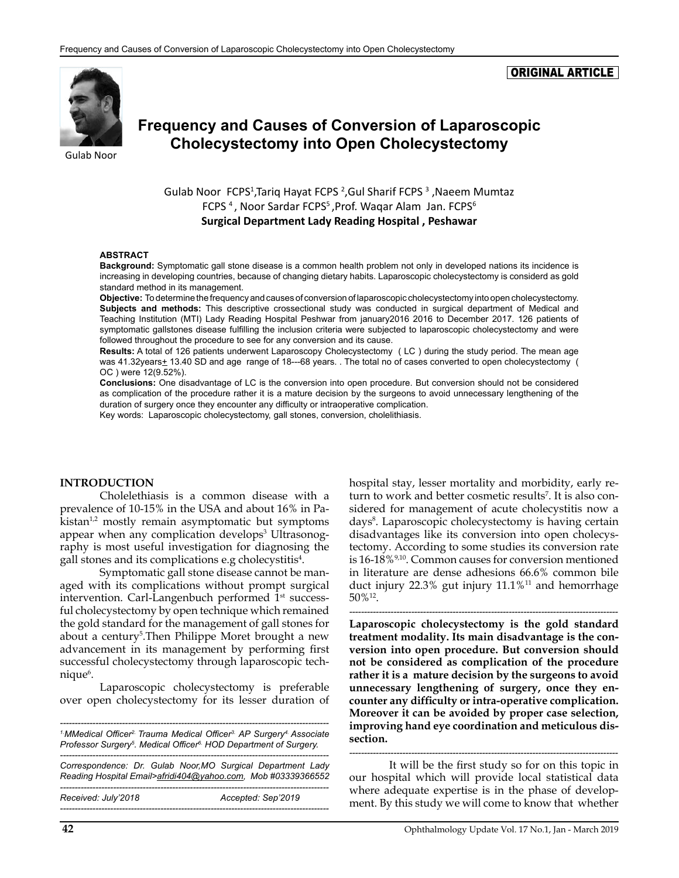#### ORIGINAL ARTICLE



# **Frequency and Causes of Conversion of Laparoscopic Cholecystectomy into Open Cholecystectomy**

Gulab Noor FCPS<sup>1</sup>, Tariq Hayat FCPS<sup>2</sup>, Gul Sharif FCPS<sup>3</sup>, Naeem Mumtaz FCPS<sup>4</sup>, Noor Sardar FCPS<sup>5</sup>, Prof. Waqar Alam Jan. FCPS<sup>6</sup> **Surgical Department Lady Reading Hospital , Peshawar**

#### **ABSTRACT**

**Background:** Symptomatic gall stone disease is a common health problem not only in developed nations its incidence is increasing in developing countries, because of changing dietary habits. Laparoscopic cholecystectomy is considerd as gold standard method in its management.

**Objective:** To determine the frequency and causes of conversion of laparoscopic cholecystectomy into open cholecystectomy. **Subjects and methods:** This descriptive crossectional study was conducted in surgical department of Medical and Teaching Institution (MTI) Lady Reading Hospital Peshwar from january2016 2016 to December 2017. 126 patients of symptomatic gallstones disease fulfilling the inclusion criteria were subjected to laparoscopic cholecystectomy and were followed throughout the procedure to see for any conversion and its cause.

**Results:** A total of 126 patients underwent Laparoscopy Cholecystectomy ( LC ) during the study period. The mean age was 41.32years+ 13.40 SD and age range of 18---68 years. . The total no of cases converted to open cholecystectomy ( OC ) were 12(9.52%).

**Conclusions:** One disadvantage of LC is the conversion into open procedure. But conversion should not be considered as complication of the procedure rather it is a mature decision by the surgeons to avoid unnecessary lengthening of the duration of surgery once they encounter any difficulty or intraoperative complication.

Key words: Laparoscopic cholecystectomy, gall stones, conversion, cholelithiasis.

#### **INTRODUCTION**

Cholelethiasis is a common disease with a prevalence of 10-15% in the USA and about 16% in Pakistan<sup>1,2</sup> mostly remain asymptomatic but symptoms appear when any complication develops<sup>3</sup> Ultrasonography is most useful investigation for diagnosing the gall stones and its complications e.g cholecystitis<sup>4</sup>.

Symptomatic gall stone disease cannot be managed with its complications without prompt surgical intervention. Carl-Langenbuch performed 1<sup>st</sup> successful cholecystectomy by open technique which remained the gold standard for the management of gall stones for about a century<sup>5</sup>. Then Philippe Moret brought a new advancement in its management by performing first successful cholecystectomy through laparoscopic technique<sup>6</sup>.

Laparoscopic cholecystectomy is preferable over open cholecystectomy for its lesser duration of

*------------------------------------------------------------------------------------------- 1.MMedical Officer2. Trauma Medical Officer3. AP Surgery4. Associate Professor Surgery5 . Medical Officer6. HOD Department of Surgery. ------------------------------------------------------------------------------------------- Correspondence: Dr. Gulab Noor,MO Surgical Department Lady Reading Hospital Email>[afridi404@yahoo.com,](mailto:afridi404@yahoo.com) Mob #03339366552 ------------------------------------------------------------------------------------------- Received: July'2018 Accepted: Sep'2019 -------------------------------------------------------------------------------------------*

hospital stay, lesser mortality and morbidity, early return to work and better cosmetic results<sup>7</sup>. It is also considered for management of acute cholecystitis now a days8 . Laparoscopic cholecystectomy is having certain disadvantages like its conversion into open cholecystectomy. According to some studies its conversion rate is 16-18%9,10. Common causes for conversion mentioned in literature are dense adhesions 66.6% common bile duct injury 22.3% gut injury 11.1%<sup>11</sup> and hemorrhage 50%12.

**Laparoscopic cholecystectomy is the gold standard treatment modality. Its main disadvantage is the conversion into open procedure. But conversion should not be considered as complication of the procedure rather it is a mature decision by the surgeons to avoid unnecessary lengthening of surgery, once they encounter any difficulty or intra-operative complication. Moreover it can be avoided by proper case selection, improving hand eye coordination and meticulous dissection.** 

*-------------------------------------------------------------------------------------------*

*-------------------------------------------------------------------------------------------* It will be the first study so for on this topic in our hospital which will provide local statistical data where adequate expertise is in the phase of development. By this study we will come to know that whether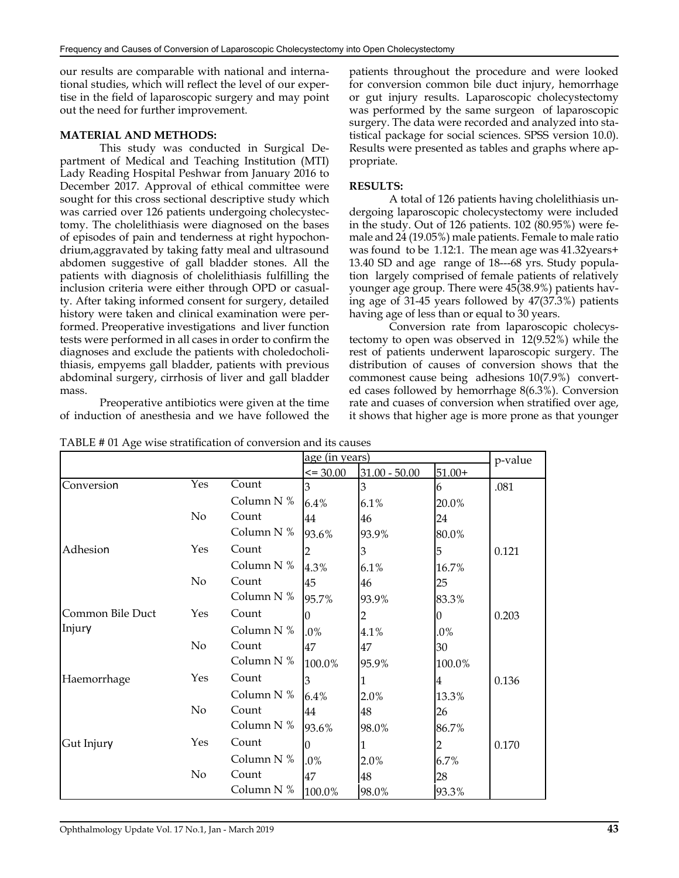our results are comparable with national and international studies, which will reflect the level of our expertise in the field of laparoscopic surgery and may point out the need for further improvement.

#### **MATERIAL AND METHODS:**

This study was conducted in Surgical Department of Medical and Teaching Institution (MTI) Lady Reading Hospital Peshwar from January 2016 to December 2017. Approval of ethical committee were sought for this cross sectional descriptive study which was carried over 126 patients undergoing cholecystectomy. The cholelithiasis were diagnosed on the bases of episodes of pain and tenderness at right hypochondrium,aggravated by taking fatty meal and ultrasound abdomen suggestive of gall bladder stones. All the patients with diagnosis of cholelithiasis fulfilling the inclusion criteria were either through OPD or casualty. After taking informed consent for surgery, detailed history were taken and clinical examination were performed. Preoperative investigations and liver function tests were performed in all cases in order to confirm the diagnoses and exclude the patients with choledocholithiasis, empyems gall bladder, patients with previous abdominal surgery, cirrhosis of liver and gall bladder mass.

Preoperative antibiotics were given at the time of induction of anesthesia and we have followed the patients throughout the procedure and were looked for conversion common bile duct injury, hemorrhage or gut injury results. Laparoscopic cholecystectomy was performed by the same surgeon of laparoscopic surgery. The data were recorded and analyzed into statistical package for social sciences. SPSS version 10.0). Results were presented as tables and graphs where appropriate.

#### **RESULTS:**

A total of 126 patients having cholelithiasis undergoing laparoscopic cholecystectomy were included in the study. Out of 126 patients. 102 (80.95%) were female and 24 (19.05%) male patients. Female to male ratio was found to be 1.12:1. The mean age was 41.32years+ 13.40 SD and age range of 18---68 yrs. Study population largely comprised of female patients of relatively younger age group. There were 45(38.9%) patients having age of 31-45 years followed by 47(37.3%) patients having age of less than or equal to 30 years.

Conversion rate from laparoscopic cholecystectomy to open was observed in 12(9.52%) while the rest of patients underwent laparoscopic surgery. The distribution of causes of conversion shows that the commonest cause being adhesions 10(7.9%) converted cases followed by hemorrhage 8(6.3%). Conversion rate and cuases of conversion when stratified over age, it shows that higher age is more prone as that younger

| ပ                |     |              |                | age (in years)  |                |         |
|------------------|-----|--------------|----------------|-----------------|----------------|---------|
|                  |     |              | $\leq$ = 30.00 | $31.00 - 50.00$ | $51.00+$       | p-value |
| Conversion       | Yes | Count        | 3              | 3               | 6              | .081    |
|                  |     | Column N %   | 6.4%           | 6.1%            | 20.0%          |         |
|                  | No  | Count        | 44             | 46              | 24             |         |
|                  |     | Column N %   | 93.6%          | 93.9%           | 80.0%          |         |
| Adhesion         | Yes | Count        |                | 3               | 5              | 0.121   |
|                  |     | Column N %   | 4.3%           | 6.1%            | 16.7%          |         |
|                  | No  | Count        | 45             | 46              | 25             |         |
|                  |     | Column N %   | 95.7%          | 93.9%           | 83.3%          |         |
| Common Bile Duct | Yes | Count        | Ю              | $\overline{2}$  | $\overline{0}$ | 0.203   |
| Injury           |     | Column N %   | $.0\%$         | 4.1%            | .0%            |         |
|                  | No  | Count        | 47             | 47              | 30             |         |
|                  |     | Column $N$ % | 100.0%         | 95.9%           | 100.0%         |         |
| Haemorrhage      | Yes | Count        | 3              | 1               | 4              | 0.136   |
|                  |     | Column N %   | 6.4%           | 2.0%            | 13.3%          |         |
|                  | No  | Count        | 44             | 48              | 26             |         |
|                  |     | Column $N$ % | 93.6%          | 98.0%           | 86.7%          |         |
| Gut Injury       | Yes | Count        | 10             | 1               | $\overline{c}$ | 0.170   |
|                  |     | Column N %   | $.0\%$         | 2.0%            | 6.7%           |         |
|                  | No  | Count        | 47             | 48              | 28             |         |
|                  |     | Column $N$ % | 100.0%         | 98.0%           | 93.3%          |         |

TABLE # 01 Age wise stratification of conversion and its causes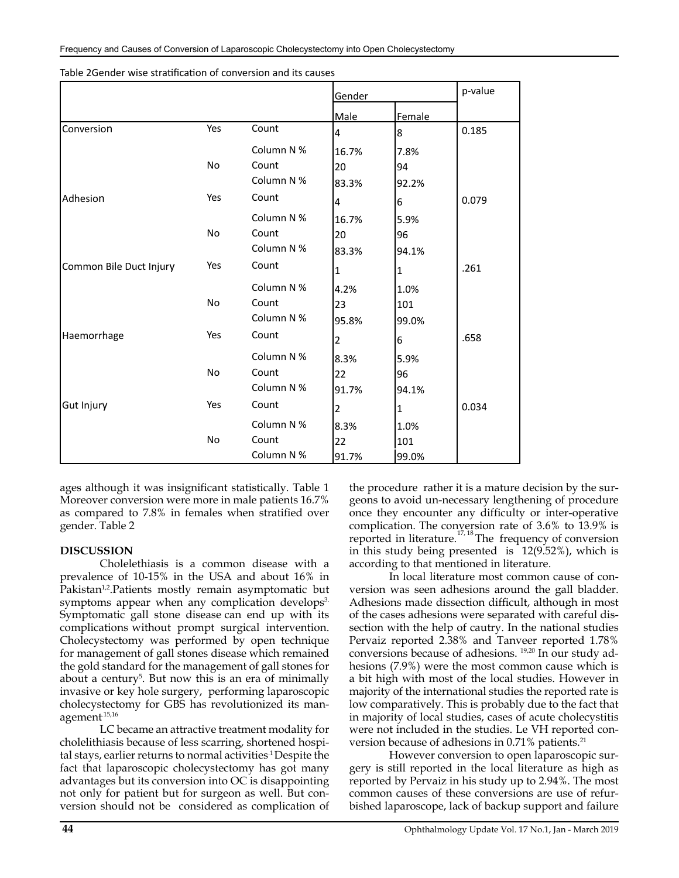|                         |           |            | Gender         |        |       |
|-------------------------|-----------|------------|----------------|--------|-------|
|                         |           |            | Male           | Female |       |
| Conversion              | Yes       | Count      | 4              | 8      | 0.185 |
|                         |           | Column N % | 16.7%          | 7.8%   |       |
|                         | <b>No</b> | Count      | 20             | 94     |       |
|                         |           | Column N % | 83.3%          | 92.2%  |       |
| Adhesion                | Yes       | Count      | 4              | 6      | 0.079 |
|                         |           | Column N % | 16.7%          | 5.9%   |       |
|                         | No        | Count      | 20             | 96     |       |
|                         |           | Column N % | 83.3%          | 94.1%  |       |
| Common Bile Duct Injury | Yes       | Count      | $\vert$ 1      | 1      | .261  |
|                         |           | Column N % | 4.2%           | 1.0%   |       |
|                         | <b>No</b> | Count      | 23             | 101    |       |
|                         |           | Column N % | 95.8%          | 99.0%  |       |
| Haemorrhage             | Yes       | Count      | $\overline{2}$ | 6      | .658  |
|                         |           | Column N % | 8.3%           | 5.9%   |       |
|                         | <b>No</b> | Count      | 22             | 96     |       |
|                         |           | Column N % | 91.7%          | 94.1%  |       |
| Gut Injury              | Yes       | Count      | 2              | 1      | 0.034 |
|                         |           | Column N % | 8.3%           | 1.0%   |       |
|                         | <b>No</b> | Count      | 22             | 101    |       |
|                         |           | Column N % | 91.7%          | 99.0%  |       |

| Table 2Gender wise stratification of conversion and its causes |  |  |
|----------------------------------------------------------------|--|--|
|----------------------------------------------------------------|--|--|

ages although it was insignificant statistically. Table 1 Moreover conversion were more in male patients 16.7% as compared to 7.8% in females when stratified over gender. Table 2

#### **DISCUSSION**

Cholelethiasis is a common disease with a prevalence of 10-15% in the USA and about 16% in Pakistan<sup>1,2</sup>.Patients mostly remain asymptomatic but symptoms appear when any complication develops<sup>3.</sup> Symptomatic gall stone disease can end up with its complications without prompt surgical intervention. Cholecystectomy was performed by open technique for management of gall stones disease which remained the gold standard for the management of gall stones for about a century<sup>5</sup>. But now this is an era of minimally invasive or key hole surgery, performing laparoscopic cholecystectomy for GBS has revolutionized its management.15,16

LC became an attractive treatment modality for cholelithiasis because of less scarring, shortened hospital stays, earlier returns to normal activities<sup>1</sup> Despite the fact that laparoscopic cholecystectomy has got many advantages but its conversion into OC is disappointing not only for patient but for surgeon as well. But conversion should not be considered as complication of

the procedure rather it is a mature decision by the surgeons to avoid un-necessary lengthening of procedure once they encounter any difficulty or inter-operative complication. The conversion rate of 3.6% to 13.9% is reported in literature.<sup>17, 18</sup> The frequency of conversion in this study being presented is 12(9.52%), which is according to that mentioned in literature.

In local literature most common cause of conversion was seen adhesions around the gall bladder. Adhesions made dissection difficult, although in most of the cases adhesions were separated with careful dissection with the help of cautry. In the national studies Pervaiz reported 2.38% and Tanveer reported 1.78% conversions because of adhesions. 19,20 In our study adhesions (7.9%) were the most common cause which is a bit high with most of the local studies. However in majority of the international studies the reported rate is low comparatively. This is probably due to the fact that in majority of local studies, cases of acute cholecystitis were not included in the studies. Le VH reported conversion because of adhesions in 0.71% patients.<sup>21</sup>

However conversion to open laparoscopic surgery is still reported in the local literature as high as reported by Pervaiz in his study up to 2.94%. The most common causes of these conversions are use of refurbished laparoscope, lack of backup support and failure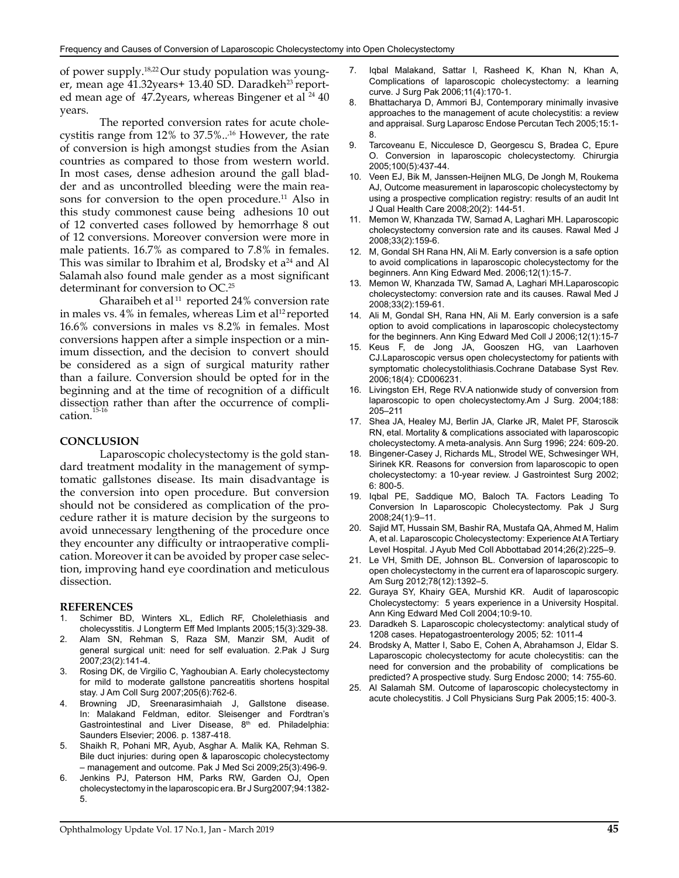of power supply.18,22 Our study population was younger, mean age 41.32years+ 13.40 SD. Daradkeh<sup>23</sup> reported mean age of  $47.2$ years, whereas Bingener et al  $^{24}$  40 years.

The reported conversion rates for acute cholecystitis range from  $12\%$  to  $37.5\%$ ..<sup>16</sup> However, the rate of conversion is high amongst studies from the Asian countries as compared to those from western world. In most cases, dense adhesion around the gall bladder and as uncontrolled bleeding were the main reasons for conversion to the open procedure.<sup>11</sup> Also in this study commonest cause being adhesions 10 out of 12 converted cases followed by hemorrhage 8 out of 12 conversions. Moreover conversion were more in male patients. 16.7% as compared to 7.8% in females. This was similar to Ibrahim et al, Brodsky et  $a^{24}$  and Al Salamah also found male gender as a most significant determinant for conversion to OC.<sup>25</sup>

Gharaibeh et al  $11$  reported 24% conversion rate in males vs. 4% in females, whereas Lim et al<sup>12</sup> reported 16.6% conversions in males vs 8.2% in females. Most conversions happen after a simple inspection or a minimum dissection, and the decision to convert should be considered as a sign of surgical maturity rather than a failure. Conversion should be opted for in the beginning and at the time of recognition of a difficult dissection rather than after the occurrence of complication.<sup>15</sup>

#### **CONCLUSION**

Laparoscopic cholecystectomy is the gold standard treatment modality in the management of symptomatic gallstones disease. Its main disadvantage is the conversion into open procedure. But conversion should not be considered as complication of the procedure rather it is mature decision by the surgeons to avoid unnecessary lengthening of the procedure once they encounter any difficulty or intraoperative complication. Moreover it can be avoided by proper case selection, improving hand eye coordination and meticulous dissection.

#### **REFERENCES**

- 1. Schimer BD, Winters XL, Edlich RF, Cholelethiasis and cholecysstitis. J Longterm Eff Med Implants 2005;15(3):329-38.
- 2. Alam SN, Rehman S, Raza SM, Manzir SM, Audit of general surgical unit: need for self evaluation. 2.Pak J Surg 2007;23(2):141-4.
- 3. Rosing DK, de Virgilio C, Yaghoubian A. Early cholecystectomy for mild to moderate gallstone pancreatitis shortens hospital stay. J Am Coll Surg 2007;205(6):762-6.
- 4. Browning JD, Sreenarasimhaiah J, Gallstone disease. In: Malakand Feldman, editor. Sleisenger and Fordtran's Gastrointestinal and Liver Disease, 8<sup>th</sup> ed. Philadelphia: Saunders Elsevier; 2006. p. 1387-418.
- 5. Shaikh R, Pohani MR, Ayub, Asghar A. Malik KA, Rehman S. Bile duct injuries: during open & laparoscopic cholecystectomy – management and outcome. Pak J Med Sci 2009;25(3):496-9.
- 6. Jenkins PJ, Paterson HM, Parks RW, Garden OJ, Open cholecystectomy in the laparoscopic era. Br J Surg2007;94:1382- 5.
- 7. Iqbal Malakand, Sattar I, Rasheed K, Khan N, Khan A, Complications of laparoscopic cholecystectomy: a learning curve. J Surg Pak 2006;11(4):170-1.
- 8. Bhattacharya D, Ammori BJ, Contemporary minimally invasive approaches to the management of acute cholecystitis: a review and appraisal. Surg Laparosc Endose Percutan Tech 2005;15:1- 8.
- 9. Tarcoveanu E, Nicculesce D, Georgescu S, Bradea C, Epure O. Conversion in laparoscopic cholecystectomy. Chirurgia 2005;100(5):437-44.
- 10. Veen EJ, Bik M, Janssen-Heijnen MLG, De Jongh M, Roukema AJ, Outcome measurement in laparoscopic cholecystectomy by using a prospective complication registry: results of an audit Int J Qual Health Care 2008;20(2): 144-51.
- 11. Memon W, Khanzada TW, Samad A, Laghari MH. Laparoscopic cholecystectomy conversion rate and its causes. Rawal Med J 2008;33(2):159-6.
- 12. M, Gondal SH Rana HN, Ali M. Early conversion is a safe option to avoid complications in laparoscopic cholecystectomy for the beginners. Ann King Edward Med. 2006;12(1):15-7.
- 13. Memon W, Khanzada TW, Samad A, Laghari MH.Laparoscopic cholecystectomy: conversion rate and its causes. Rawal Med J 2008;33(2):159-61.
- 14. Ali M, Gondal SH, Rana HN, Ali M. Early conversion is a safe option to avoid complications in laparoscopic cholecystectomy for the beginners. [Ann King Edward Med Coll](http://www.pakmedinet.com/AnnalsKEMC) J 2006;12(1):15-7
- 15. Keus F, de Jong JA, Gooszen HG, van Laarhoven CJ.Laparoscopic versus open cholecystectomy for patients with symptomatic cholecystolithiasis.Cochrane Database Syst Rev. 2006;18(4): CD006231.
- 16. Livingston EH, Rege RV.A nationwide study of conversion from laparoscopic to open cholecystectomy.Am J Surg. 2004;188: 205–211
- 17. Shea JA, Healey MJ, Berlin JA, Clarke JR, Malet PF, Staroscik RN, etal. Mortality & complications associated with laparoscopic cholecystectomy. A meta-analysis. Ann Surg 1996; 224: 609-20.
- 18. Bingener-Casey J, Richards ML, Strodel WE, Schwesinger WH, Sirinek KR. Reasons for conversion from laparoscopic to open cholecystectomy: a 10-year review. J Gastrointest Surg 2002; 6: 800-5.
- 19. Iqbal PE, Saddique MO, Baloch TA. Factors Leading To Conversion In Laparoscopic Cholecystectomy. Pak J Surg 2008;24(1):9–11.
- 20. Sajid MT, Hussain SM, Bashir RA, Mustafa QA, Ahmed M, Halim A, et al. Laparoscopic Cholecystectomy: Experience At A Tertiary Level Hospital. J Ayub Med Coll Abbottabad 2014;26(2):225–9.
- 21. Le VH, Smith DE, Johnson BL. Conversion of laparoscopic to open cholecystectomy in the current era of laparoscopic surgery. Am Surg 2012;78(12):1392–5.
- 22. Guraya SY, Khairy GEA, Murshid KR. Audit of laparoscopic Cholecystectomy: 5 years experience in a University Hospital. Ann King Edward Med Coll 2004;10:9-10.
- 23. Daradkeh S. Laparoscopic cholecystectomy: analytical study of 1208 cases. Hepatogastroenterology 2005; 52: 1011-4
- 24. Brodsky A, Matter I, Sabo E, Cohen A, Abrahamson J, Eldar S. Laparoscopic cholecystectomy for acute cholecystitis: can the need for conversion and the probability of complications be predicted? A prospective study. Surg Endosc 2000; 14: 755-60.
- 25. Al Salamah SM. Outcome of laparoscopic cholecystectomy in acute cholecystitis. J Coll Physicians Surg Pak 2005;15: 400-3.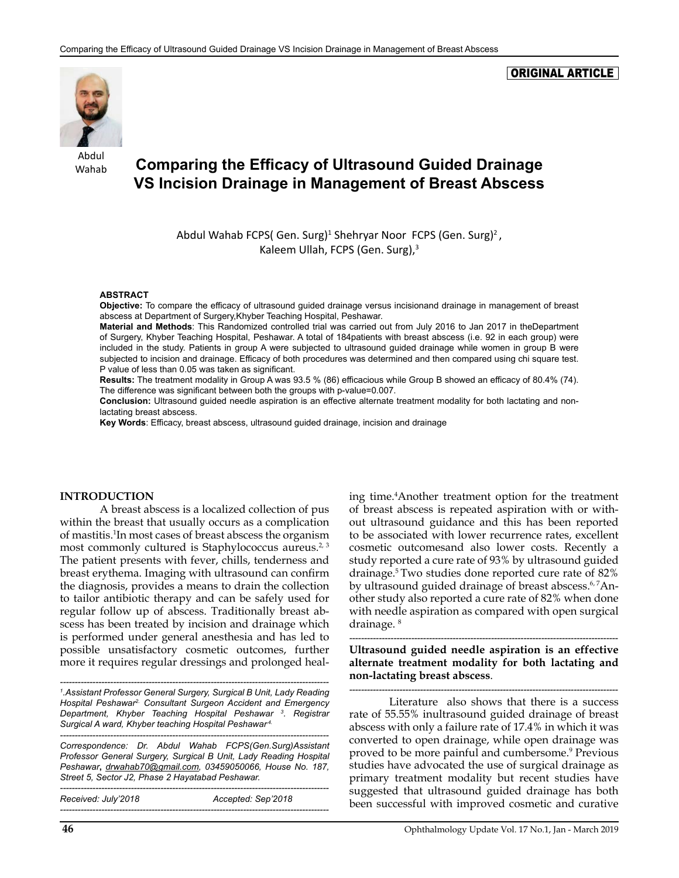#### ORIGINAL ARTICLE



Abdul Wahab

# **Comparing the Efficacy of Ultrasound Guided Drainage VS Incision Drainage in Management of Breast Abscess**

Abdul Wahab FCPS(Gen. Surg)<sup>1</sup> Shehryar Noor FCPS (Gen. Surg)<sup>2</sup>, Kaleem Ullah, FCPS (Gen. Surg),<sup>3</sup>

#### **ABSTRACT**

**Objective:** To compare the efficacy of ultrasound guided drainage versus incisionand drainage in management of breast abscess at Department of Surgery,Khyber Teaching Hospital, Peshawar.

**Material and Methods**: This Randomized controlled trial was carried out from July 2016 to Jan 2017 in theDepartment of Surgery, Khyber Teaching Hospital, Peshawar. A total of 184patients with breast abscess (i.e. 92 in each group) were included in the study. Patients in group A were subjected to ultrasound guided drainage while women in group B were subjected to incision and drainage. Efficacy of both procedures was determined and then compared using chi square test. P value of less than 0.05 was taken as significant.

**Results:** The treatment modality in Group A was 93.5 % (86) efficacious while Group B showed an efficacy of 80.4% (74). The difference was significant between both the groups with p-value=0.007.

**Conclusion:** Ultrasound guided needle aspiration is an effective alternate treatment modality for both lactating and nonlactating breast abscess.

**Key Words**: Efficacy, breast abscess, ultrasound guided drainage, incision and drainage

#### **INTRODUCTION**

A breast abscess is a localized collection of pus within the breast that usually occurs as a complication of mastitis.1 In most cases of breast abscess the organism most commonly cultured is Staphylococcus aureus.<sup>2, 3</sup> The patient presents with fever, chills, tenderness and breast erythema. Imaging with ultrasound can confirm the diagnosis, provides a means to drain the collection to tailor antibiotic therapy and can be safely used for regular follow up of abscess. Traditionally breast abscess has been treated by incision and drainage which is performed under general anesthesia and has led to possible unsatisfactory cosmetic outcomes, further more it requires regular dressings and prolonged heal-

*------------------------------------------------------------------------------------------- 1 .Assistant Professor General Surgery, Surgical B Unit, Lady Reading Hospital Peshawar2. Consultant Surgeon Accident and Emergency Department, Khyber Teaching Hospital Peshawar 3 . Registrar Surgical A ward, Khyber teaching Hospital Peshawar.4.*

*Correspondence: Dr. Abdul Wahab FCPS(Gen.Surg)Assistant Professor General Surgery, Surgical B Unit, Lady Reading Hospital Peshawar***,** *[drwahab70@gmail.com](mailto:drwahab70@gmail.com), 03459050066, House No. 187, Street 5, Sector J2, Phase 2 Hayatabad Peshawar.*

*-------------------------------------------------------------------------------------------*

*------------------------------------------------------------------------------------------- Received: July'2018 Accepted: Sep'2018 -------------------------------------------------------------------------------------------*

ing time.4 Another treatment option for the treatment of breast abscess is repeated aspiration with or without ultrasound guidance and this has been reported to be associated with lower recurrence rates, excellent cosmetic outcomesand also lower costs. Recently a study reported a cure rate of 93% by ultrasound guided drainage.5 Two studies done reported cure rate of 82% by ultrasound guided drainage of breast abscess.<sup>6,7</sup>Another study also reported a cure rate of 82% when done with needle aspiration as compared with open surgical drainage. 8

*-------------------------------------------------------------------------------------------* **Ultrasound guided needle aspiration is an effective alternate treatment modality for both lactating and non-lactating breast abscess**.

*-------------------------------------------------------------------------------------------* Literature also shows that there is a success rate of 55.55% inultrasound guided drainage of breast abscess with only a failure rate of 17.4% in which it was converted to open drainage, while open drainage was proved to be more painful and cumbersome.9 Previous studies have advocated the use of surgical drainage as primary treatment modality but recent studies have suggested that ultrasound guided drainage has both been successful with improved cosmetic and curative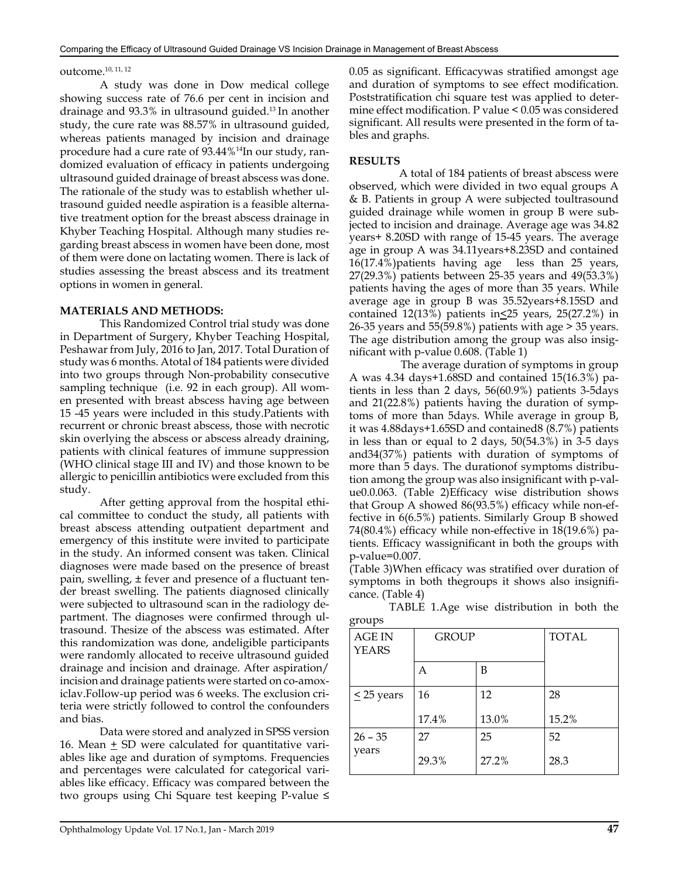### outcome.10, 11, 12

A study was done in Dow medical college showing success rate of 76.6 per cent in incision and drainage and 93.3% in ultrasound guided.13 In another study, the cure rate was 88.57% in ultrasound guided, whereas patients managed by incision and drainage procedure had a cure rate of 93.44%14In our study, randomized evaluation of efficacy in patients undergoing ultrasound guided drainage of breast abscess was done. The rationale of the study was to establish whether ultrasound guided needle aspiration is a feasible alternative treatment option for the breast abscess drainage in Khyber Teaching Hospital. Although many studies regarding breast abscess in women have been done, most of them were done on lactating women. There is lack of studies assessing the breast abscess and its treatment options in women in general.

#### **MATERIALS AND METHODS:**

This Randomized Control trial study was done in Department of Surgery, Khyber Teaching Hospital, Peshawar from July, 2016 to Jan, 2017. Total Duration of study was 6 months. Atotal of 184 patients were divided into two groups through Non-probability consecutive sampling technique (i.e. 92 in each group). All women presented with breast abscess having age between 15 -45 years were included in this study.Patients with recurrent or chronic breast abscess, those with necrotic skin overlying the abscess or abscess already draining, patients with clinical features of immune suppression (WHO clinical stage III and IV) and those known to be allergic to penicillin antibiotics were excluded from this study.

After getting approval from the hospital ethical committee to conduct the study, all patients with breast abscess attending outpatient department and emergency of this institute were invited to participate in the study. An informed consent was taken. Clinical diagnoses were made based on the presence of breast pain, swelling, ± fever and presence of a fluctuant tender breast swelling. The patients diagnosed clinically were subjected to ultrasound scan in the radiology department. The diagnoses were confirmed through ultrasound. Thesize of the abscess was estimated. After this randomization was done, andeligible participants were randomly allocated to receive ultrasound guided drainage and incision and drainage. After aspiration/ incision and drainage patients were started on co-amoxiclav.Follow-up period was 6 weeks. The exclusion criteria were strictly followed to control the confounders and bias.

Data were stored and analyzed in SPSS version 16. Mean  $\pm$  SD were calculated for quantitative variables like age and duration of symptoms. Frequencies and percentages were calculated for categorical variables like efficacy. Efficacy was compared between the two groups using Chi Square test keeping P-value ≤ 0.05 as significant. Efficacywas stratified amongst age and duration of symptoms to see effect modification. Poststratification chi square test was applied to determine effect modification. P value < 0.05 was considered significant. All results were presented in the form of tables and graphs.

#### **RESULTS**

 A total of 184 patients of breast abscess were observed, which were divided in two equal groups A & B. Patients in group A were subjected toultrasound guided drainage while women in group B were subjected to incision and drainage. Average age was 34.82 years+ 8.20SD with range of 15-45 years. The average age in group A was 34.11years+8.23SD and contained 16(17.4%)patients having age less than 25 years, 27(29.3%) patients between 25-35 years and 49(53.3%) patients having the ages of more than 35 years. While average age in group B was 35.52years+8.15SD and contained  $12(13%)$  patients in  $\leq 25$  years,  $25(27.2%)$  in 26-35 years and 55(59.8%) patients with age > 35 years. The age distribution among the group was also insignificant with p-value 0.608. (Table 1)

 The average duration of symptoms in group A was 4.34 days+1.68SD and contained 15(16.3%) patients in less than 2 days, 56(60.9%) patients 3-5days and 21(22.8%) patients having the duration of symptoms of more than 5days. While average in group B, it was 4.88days+1.65SD and contained8 (8.7%) patients in less than or equal to 2 days, 50(54.3%) in 3-5 days and34(37%) patients with duration of symptoms of more than 5 days. The durationof symptoms distribution among the group was also insignificant with p-value0.0.063. (Table 2)Efficacy wise distribution shows that Group A showed 86(93.5%) efficacy while non-effective in 6(6.5%) patients. Similarly Group B showed 74(80.4%) efficacy while non-effective in 18(19.6%) patients. Efficacy wassignificant in both the groups with p-value=0.007.

(Table 3)When efficacy was stratified over duration of symptoms in both thegroups it shows also insignificance. (Table 4)

| $\circ$<br>. . <b>.</b> .     |              |       |              |
|-------------------------------|--------------|-------|--------------|
| <b>AGE IN</b><br><b>YEARS</b> | <b>GROUP</b> |       | <b>TOTAL</b> |
|                               | А            | B     |              |
| $\leq$ 25 years               | 16           | 12    | 28           |
|                               | 17.4%        | 13.0% | 15.2%        |
| $26 - 35$                     | 27           | 25    | 52           |
| years                         | 29.3%        | 27.2% | 28.3         |

TABLE 1.Age wise distribution in both the groups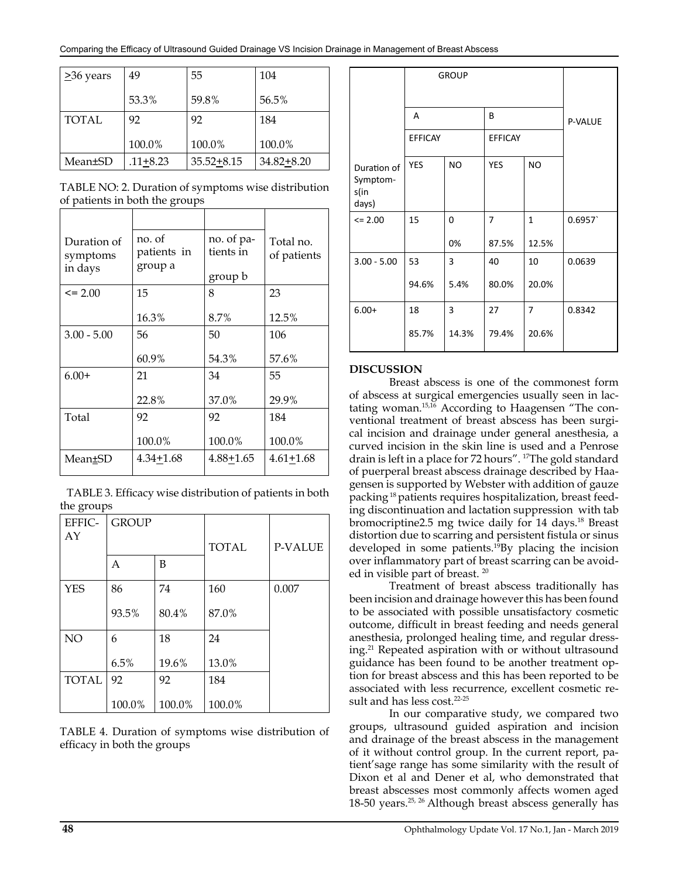| $\geq$ 36 years | 49       | 55             | 104            |
|-----------------|----------|----------------|----------------|
|                 | 53.3%    | 59.8%          | 56.5%          |
| <b>TOTAL</b>    | 92       | 92             | 184            |
|                 | 100.0%   | 100.0%         | 100.0%         |
| Mean±SD         | .11+8.23 | $35.52 + 8.15$ | $34.82 + 8.20$ |

TABLE NO: 2. Duration of symptoms wise distribution of patients in both the groups

| Duration of<br>symptoms<br>in days | no. of<br>patients in<br>group a | no. of pa-<br>tients in<br>group b | Total no.<br>of patients |
|------------------------------------|----------------------------------|------------------------------------|--------------------------|
| $\leq$ 2.00                        | 15                               | 8                                  | 23                       |
|                                    | 16.3%                            | 8.7%                               | 12.5%                    |
| $3.00 - 5.00$                      | 56                               | 50                                 | 106                      |
|                                    | 60.9%                            | 54.3%                              | 57.6%                    |
| $6.00+$                            | 21                               | 34                                 | 55                       |
|                                    | 22.8%                            | 37.0%                              | 29.9%                    |
| Total                              | 92                               | 92                                 | 184                      |
|                                    | 100.0%                           | 100.0%                             | 100.0%                   |
| Mean±SD                            | 4.34+1.68                        | 4.88+1.65                          | $4.61 + 1.68$            |

 TABLE 3. Efficacy wise distribution of patients in both the groups

| EFFIC-<br>AY | <b>GROUP</b> |        | <b>TOTAL</b> | <b>P-VALUE</b> |
|--------------|--------------|--------|--------------|----------------|
|              | A            | B      |              |                |
| <b>YES</b>   | 86           | 74     | 160          | 0.007          |
|              | 93.5%        | 80.4%  | 87.0%        |                |
| NO           | 6            | 18     | 24           |                |
|              | 6.5%         | 19.6%  | 13.0%        |                |
| <b>TOTAL</b> | 92           | 92     | 184          |                |
|              | 100.0%       | 100.0% | 100.0%       |                |

TABLE 4. Duration of symptoms wise distribution of efficacy in both the groups

|                                          | <b>GROUP</b>   |            |                         |                         |         |
|------------------------------------------|----------------|------------|-------------------------|-------------------------|---------|
|                                          | A              |            | B                       |                         | P-VALUE |
|                                          | <b>EFFICAY</b> |            | <b>EFFICAY</b>          |                         |         |
| Duration of<br>Symptom-<br>s(in<br>days) | <b>YES</b>     | <b>NO</b>  | YES                     | <b>NO</b>               |         |
| $\leq$ 2.00                              | 15             | 0<br>0%    | $\overline{7}$<br>87.5% | $\mathbf{1}$<br>12.5%   | 0.6957  |
| $3.00 - 5.00$                            | 53<br>94.6%    | 3<br>5.4%  | 40<br>80.0%             | 10<br>20.0%             | 0.0639  |
| $6.00+$                                  | 18<br>85.7%    | 3<br>14.3% | 27<br>79.4%             | $\overline{7}$<br>20.6% | 0.8342  |

#### **DISCUSSION**

Breast abscess is one of the commonest form of abscess at surgical emergencies usually seen in lactating woman.15,16 According to Haagensen "The conventional treatment of breast abscess has been surgical incision and drainage under general anesthesia, a curved incision in the skin line is used and a Penrose drain is left in a place for 72 hours". 17The gold standard of puerperal breast abscess drainage described by Haagensen is supported by Webster with addition of gauze packing 18 patients requires hospitalization, breast feeding discontinuation and lactation suppression with tab bromocriptine2.5 mg twice daily for 14 days.<sup>18</sup> Breast distortion due to scarring and persistent fistula or sinus developed in some patients.19By placing the incision over inflammatory part of breast scarring can be avoided in visible part of breast. 20

Treatment of breast abscess traditionally has been incision and drainage however this has been found to be associated with possible unsatisfactory cosmetic outcome, difficult in breast feeding and needs general anesthesia, prolonged healing time, and regular dressing.21 Repeated aspiration with or without ultrasound guidance has been found to be another treatment option for breast abscess and this has been reported to be associated with less recurrence, excellent cosmetic result and has less cost.<sup>22-25</sup>

In our comparative study, we compared two groups, ultrasound guided aspiration and incision and drainage of the breast abscess in the management of it without control group. In the current report, patient'sage range has some similarity with the result of Dixon et al and Dener et al, who demonstrated that breast abscesses most commonly affects women aged 18-50 years.<sup>25, 26</sup> Although breast abscess generally has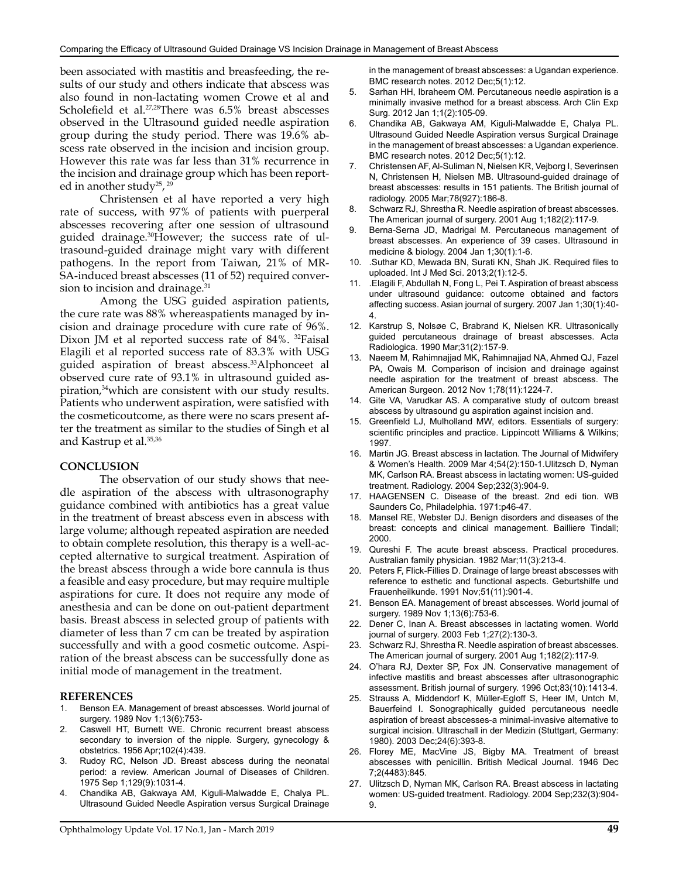been associated with mastitis and breasfeeding, the results of our study and others indicate that abscess was also found in non-lactating women Crowe et al and Scholefield et al.<sup>27,28</sup>There was 6.5% breast abscesses observed in the Ultrasound guided needle aspiration group during the study period. There was 19.6% abscess rate observed in the incision and incision group. However this rate was far less than 31% recurrence in the incision and drainage group which has been reported in another study<sup>25</sup>,<sup>29</sup>

Christensen et al have reported a very high rate of success, with 97% of patients with puerperal abscesses recovering after one session of ultrasound guided drainage.30However; the success rate of ultrasound-guided drainage might vary with different pathogens. In the report from Taiwan, 21% of MR-SA-induced breast abscesses (11 of 52) required conversion to incision and drainage.<sup>31</sup>

Among the USG guided aspiration patients, the cure rate was 88% whereaspatients managed by incision and drainage procedure with cure rate of 96%. Dixon JM et al reported success rate of 84%. 32Faisal Elagili et al reported success rate of 83.3% with USG guided aspiration of breast abscess.33Alphonceet al observed cure rate of 93.1% in ultrasound guided aspiration,<sup>34</sup>which are consistent with our study results. Patients who underwent aspiration, were satisfied with the cosmeticoutcome, as there were no scars present after the treatment as similar to the studies of Singh et al and Kastrup et al.35,36

#### **CONCLUSION**

The observation of our study shows that needle aspiration of the abscess with ultrasonography guidance combined with antibiotics has a great value in the treatment of breast abscess even in abscess with large volume; although repeated aspiration are needed to obtain complete resolution, this therapy is a well-accepted alternative to surgical treatment. Aspiration of the breast abscess through a wide bore cannula is thus a feasible and easy procedure, but may require multiple aspirations for cure. It does not require any mode of anesthesia and can be done on out-patient department basis. Breast abscess in selected group of patients with diameter of less than 7 cm can be treated by aspiration successfully and with a good cosmetic outcome. Aspiration of the breast abscess can be successfully done as initial mode of management in the treatment.

#### **REFERENCES**

- Benson EA. Management of breast abscesses. World journal of surgery. 1989 Nov 1;13(6):753-
- 2. Caswell HT, Burnett WE. Chronic recurrent breast abscess secondary to inversion of the nipple. Surgery, gynecology & obstetrics. 1956 Apr;102(4):439.
- 3. Rudoy RC, Nelson JD. Breast abscess during the neonatal period: a review. American Journal of Diseases of Children. 1975 Sep 1;129(9):1031-4.
- 4. Chandika AB, Gakwaya AM, Kiguli-Malwadde E, Chalya PL. Ultrasound Guided Needle Aspiration versus Surgical Drainage
- 5. Sarhan HH, Ibraheem OM. Percutaneous needle aspiration is a minimally invasive method for a breast abscess. Arch Clin Exp Surg. 2012 Jan 1;1(2):105-09.
- 6. Chandika AB, Gakwaya AM, Kiguli-Malwadde E, Chalya PL. Ultrasound Guided Needle Aspiration versus Surgical Drainage in the management of breast abscesses: a Ugandan experience. BMC research notes. 2012 Dec;5(1):12.
- 7. Christensen AF, Al-Suliman N, Nielsen KR, Vejborg I, Severinsen N, Christensen H, Nielsen MB. Ultrasound-guided drainage of breast abscesses: results in 151 patients. The British journal of radiology. 2005 Mar;78(927):186-8.
- 8. Schwarz RJ, Shrestha R. Needle aspiration of breast abscesses. The American journal of surgery. 2001 Aug 1;182(2):117-9.
- 9. Berna-Serna JD, Madrigal M. Percutaneous management of breast abscesses. An experience of 39 cases. Ultrasound in medicine & biology. 2004 Jan 1;30(1):1-6.
- 10. .Suthar KD, Mewada BN, Surati KN, Shah JK. Required files to uploaded. Int J Med Sci. 2013;2(1):12-5.
- 11. .Elagili F, Abdullah N, Fong L, Pei T. Aspiration of breast abscess under ultrasound guidance: outcome obtained and factors affecting success. Asian journal of surgery. 2007 Jan 1;30(1):40- 4.
- 12. Karstrup S, Nolsøe C, Brabrand K, Nielsen KR. Ultrasonically guided percutaneous drainage of breast abscesses. Acta Radiologica. 1990 Mar;31(2):157-9.
- 13. Naeem M, Rahimnajjad MK, Rahimnajjad NA, Ahmed QJ, Fazel PA, Owais M. Comparison of incision and drainage against needle aspiration for the treatment of breast abscess. The American Surgeon. 2012 Nov 1;78(11):1224-7.
- 14. Gite VA, Varudkar AS. A comparative study of outcom breast abscess by ultrasound gu aspiration against incision and.
- 15. Greenfield LJ, Mulholland MW, editors. Essentials of surgery: scientific principles and practice. Lippincott Williams & Wilkins; 1997.
- 16. Martin JG. Breast abscess in lactation. The Journal of Midwifery & Women's Health. 2009 Mar 4;54(2):150-1.Ulitzsch D, Nyman MK, Carlson RA. Breast abscess in lactating women: US-guided treatment. Radiology. 2004 Sep;232(3):904-9.
- 17. HAAGENSEN C. Disease of the breast. 2nd edi tion. WB Saunders Co, Philadelphia. 1971:p46-47.
- 18. Mansel RE, Webster DJ. Benign disorders and diseases of the breast: concepts and clinical management. Bailliere Tindall; 2000.
- 19. Qureshi F. The acute breast abscess. Practical procedures. Australian family physician. 1982 Mar;11(3):213-4.
- 20. Peters F, Flick-Fillies D. Drainage of large breast abscesses with reference to esthetic and functional aspects. Geburtshilfe und Frauenheilkunde. 1991 Nov;51(11):901-4.
- 21. Benson EA. Management of breast abscesses. World journal of surgery. 1989 Nov 1;13(6):753-6.
- 22. Dener C, Inan A. Breast abscesses in lactating women. World journal of surgery. 2003 Feb 1;27(2):130-3.
- 23. Schwarz RJ, Shrestha R. Needle aspiration of breast abscesses. The American journal of surgery. 2001 Aug 1;182(2):117-9.
- 24. O'hara RJ, Dexter SP, Fox JN. Conservative management of infective mastitis and breast abscesses after ultrasonographic assessment. British journal of surgery. 1996 Oct;83(10):1413-4.
- 25. Strauss A, Middendorf K, Müller-Egloff S, Heer IM, Untch M, Bauerfeind I. Sonographically guided percutaneous needle aspiration of breast abscesses-a minimal-invasive alternative to surgical incision. Ultraschall in der Medizin (Stuttgart, Germany: 1980). 2003 Dec;24(6):393-8.
- 26. Florey ME, MacVine JS, Bigby MA. Treatment of breast abscesses with penicillin. British Medical Journal. 1946 Dec 7;2(4483):845.
- 27. Ulitzsch D, Nyman MK, Carlson RA. Breast abscess in lactating women: US-guided treatment. Radiology. 2004 Sep;232(3):904- 9.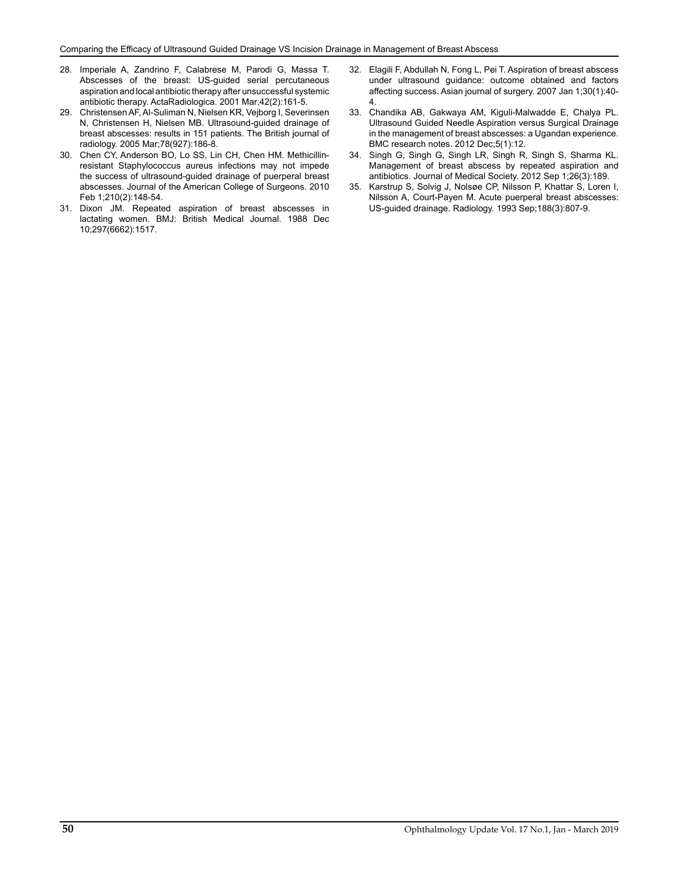- 28. Imperiale A, Zandrino F, Calabrese M, Parodi G, Massa T. Abscesses of the breast: US-guided serial percutaneous aspiration and local antibiotic therapy after unsuccessful systemic antibiotic therapy. ActaRadiologica. 2001 Mar;42(2):161-5.
- 29. Christensen AF, Al-Suliman N, Nielsen KR, Vejborg I, Severinsen N, Christensen H, Nielsen MB. Ultrasound-guided drainage of breast abscesses: results in 151 patients. The British journal of radiology. 2005 Mar;78(927):186-8.
- 30. Chen CY, Anderson BO, Lo SS, Lin CH, Chen HM. Methicillinresistant Staphylococcus aureus infections may not impede the success of ultrasound-guided drainage of puerperal breast abscesses. Journal of the American College of Surgeons. 2010 Feb 1;210(2):148-54.
- 31. Dixon JM. Repeated aspiration of breast abscesses in lactating women. BMJ: British Medical Journal. 1988 Dec 10;297(6662):1517.
- 32. Elagili F, Abdullah N, Fong L, Pei T. Aspiration of breast abscess under ultrasound guidance: outcome obtained and factors affecting success. Asian journal of surgery. 2007 Jan 1;30(1):40- 4.
- 33. Chandika AB, Gakwaya AM, Kiguli-Malwadde E, Chalya PL. Ultrasound Guided Needle Aspiration versus Surgical Drainage in the management of breast abscesses: a Ugandan experience. BMC research notes. 2012 Dec;5(1):12.
- 34. Singh G, Singh G, Singh LR, Singh R, Singh S, Sharma KL. Management of breast abscess by repeated aspiration and antibiotics. Journal of Medical Society. 2012 Sep 1;26(3):189.
- 35. Karstrup S, Solvig J, Nolsøe CP, Nilsson P, Khattar S, Loren I, Nilsson A, Court-Payen M. Acute puerperal breast abscesses: US-guided drainage. Radiology. 1993 Sep;188(3):807-9.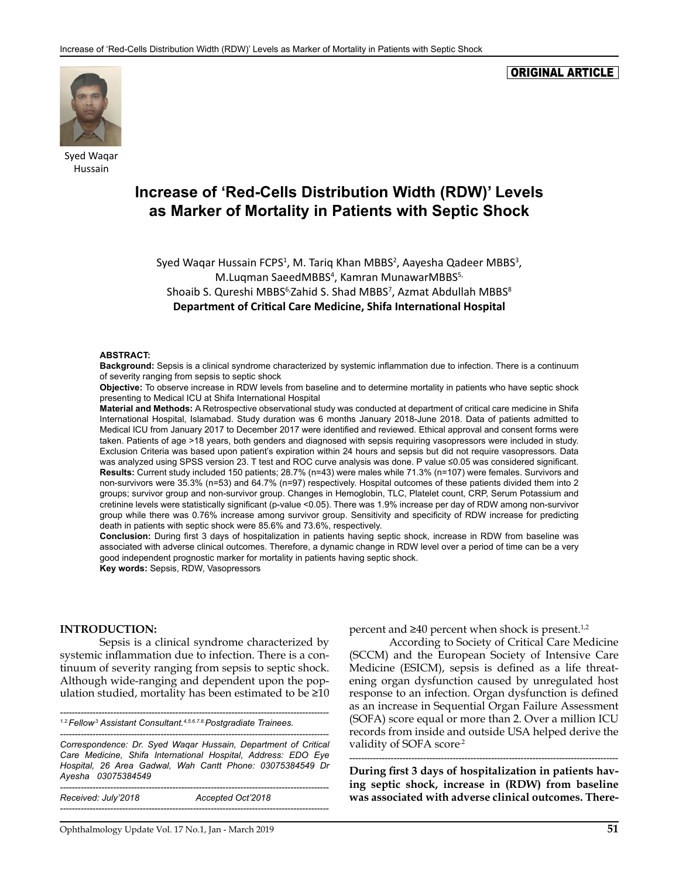#### ORIGINAL ARTICLE



Syed Waqar Hussain

# **Increase of 'Red-Cells Distribution Width (RDW)' Levels as Marker of Mortality in Patients with Septic Shock**

Syed Waqar Hussain FCPS<sup>1</sup>, M. Tariq Khan MBBS<sup>2</sup>, Aayesha Qadeer MBBS<sup>3</sup>, M.Luqman SaeedMBBS<sup>4</sup>, Kamran MunawarMBBS<sup>5,</sup> Shoaib S. Qureshi MBBS<sup>6,</sup>Zahid S. Shad MBBS<sup>7</sup>, Azmat Abdullah MBBS<sup>8</sup> **Department of Critical Care Medicine, Shifa International Hospital**

#### **ABSTRACT:**

**Background:** Sepsis is a clinical syndrome characterized by systemic inflammation due to infection. There is a continuum of severity ranging from sepsis to septic shock

**Objective:** To observe increase in RDW levels from baseline and to determine mortality in patients who have septic shock presenting to Medical ICU at Shifa International Hospital

**Material and Methods:** A Retrospective observational study was conducted at department of critical care medicine in Shifa International Hospital, Islamabad. Study duration was 6 months January 2018-June 2018. Data of patients admitted to Medical ICU from January 2017 to December 2017 were identified and reviewed. Ethical approval and consent forms were taken. Patients of age >18 years, both genders and diagnosed with sepsis requiring vasopressors were included in study. Exclusion Criteria was based upon patient's expiration within 24 hours and sepsis but did not require vasopressors. Data was analyzed using SPSS version 23. T test and ROC curve analysis was done. P value ≤0.05 was considered significant. **Results:** Current study included 150 patients; 28.7% (n=43) were males while 71.3% (n=107) were females. Survivors and non-survivors were 35.3% (n=53) and 64.7% (n=97) respectively. Hospital outcomes of these patients divided them into 2 groups; survivor group and non-survivor group. Changes in Hemoglobin, TLC, Platelet count, CRP, Serum Potassium and cretinine levels were statistically significant (p-value <0.05). There was 1.9% increase per day of RDW among non-survivor group while there was 0.76% increase among survivor group. Sensitivity and specificity of RDW increase for predicting death in patients with septic shock were 85.6% and 73.6%, respectively.

**Conclusion:** During first 3 days of hospitalization in patients having septic shock, increase in RDW from baseline was associated with adverse clinical outcomes. Therefore, a dynamic change in RDW level over a period of time can be a very good independent prognostic marker for mortality in patients having septic shock. **Key words:** Sepsis, RDW, Vasopressors

#### **INTRODUCTION:**

Sepsis is a clinical syndrome characterized by systemic inflammation due to infection. There is a continuum of severity ranging from sepsis to septic shock. Although wide-ranging and dependent upon the population studied, mortality has been estimated to be  $\geq 10$ 

*-------------------------------------------------------------------------------------------*

*1.2.Fellow,3 Assistant Consultant.4,5.6.7.8.Postgradiate Trainees.* 

*------------------------------------------------------------------------------------------- Correspondence: Dr. Syed Waqar Hussain, Department of Critical Care Medicine, Shifa International Hospital, Address: EDO Eye Hospital, 26 Area Gadwal, Wah Cantt Phone: 03075384549 Dr Ayesha 03075384549*

| Received: July'2018 | Accepted Oct'2018 |
|---------------------|-------------------|
|                     |                   |

percent and  $\geq 40$  percent when shock is present.<sup>1,2</sup>

According to Society of Critical Care Medicine (SCCM) and the European Society of Intensive Care Medicine (ESICM), sepsis is defined as a life threatening organ dysfunction caused by unregulated host response to an infection. Organ dysfunction is defined as an increase in Sequential Organ Failure Assessment (SOFA) score equal or more than 2. Over a million ICU records from inside and outside USA helped derive the validity of SOFA score<sup>2</sup>

**During first 3 days of hospitalization in patients having septic shock, increase in (RDW) from baseline was associated with adverse clinical outcomes. There-**

*-------------------------------------------------------------------------------------------*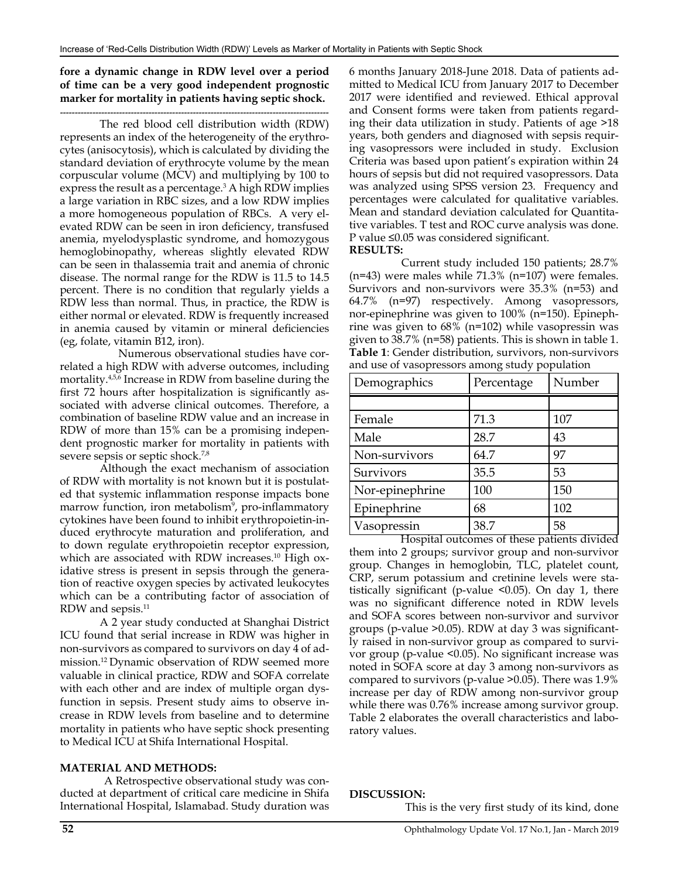#### **fore a dynamic change in RDW level over a period of time can be a very good independent prognostic marker for mortality in patients having septic shock.**

## *-------------------------------------------------------------------------------------------*

The red blood cell distribution width (RDW) represents an index of the heterogeneity of the erythrocytes (anisocytosis), which is calculated by dividing the standard deviation of erythrocyte volume by the mean corpuscular volume (MCV) and multiplying by 100 to express the result as a percentage.<sup>3</sup> A high RDW implies a large variation in RBC sizes, and a low RDW implies a more homogeneous population of RBCs. A very elevated RDW can be seen in iron deficiency, transfused anemia, myelodysplastic syndrome, and homozygous hemoglobinopathy, whereas slightly elevated RDW can be seen in thalassemia trait and anemia of chronic disease. The normal range for the RDW is 11.5 to 14.5 percent. There is no condition that regularly yields a RDW less than normal. Thus, in practice, the RDW is either normal or elevated. RDW is frequently increased in anemia caused by vitamin or mineral deficiencies (eg, folate, vitamin B12, iron).

 Numerous observational studies have correlated a high RDW with adverse outcomes, including mortality.4,5,6 Increase in RDW from baseline during the first 72 hours after hospitalization is significantly associated with adverse clinical outcomes. Therefore, a combination of baseline RDW value and an increase in RDW of more than 15% can be a promising independent prognostic marker for mortality in patients with severe sepsis or septic shock.7,8

Although the exact mechanism of association of RDW with mortality is not known but it is postulated that systemic inflammation response impacts bone marrow function, iron metabolism<sup>9</sup>, pro-inflammatory cytokines have been found to inhibit erythropoietin-induced erythrocyte maturation and proliferation, and to down regulate erythropoietin receptor expression, which are associated with RDW increases.<sup>10</sup> High oxidative stress is present in sepsis through the generation of reactive oxygen species by activated leukocytes which can be a contributing factor of association of RDW and sepsis.11

A 2 year study conducted at Shanghai District ICU found that serial increase in RDW was higher in non-survivors as compared to survivors on day 4 of admission.12 Dynamic observation of RDW seemed more valuable in clinical practice, RDW and SOFA correlate with each other and are index of multiple organ dysfunction in sepsis. Present study aims to observe increase in RDW levels from baseline and to determine mortality in patients who have septic shock presenting to Medical ICU at Shifa International Hospital.

#### **MATERIAL AND METHODS:**

 A Retrospective observational study was conducted at department of critical care medicine in Shifa International Hospital, Islamabad. Study duration was

6 months January 2018-June 2018. Data of patients admitted to Medical ICU from January 2017 to December 2017 were identified and reviewed. Ethical approval and Consent forms were taken from patients regarding their data utilization in study. Patients of age >18 years, both genders and diagnosed with sepsis requiring vasopressors were included in study. Exclusion Criteria was based upon patient's expiration within 24 hours of sepsis but did not required vasopressors. Data was analyzed using SPSS version 23. Frequency and percentages were calculated for qualitative variables. Mean and standard deviation calculated for Quantitative variables. T test and ROC curve analysis was done. P value ≤0.05 was considered significant. **RESULTS:**

 Current study included 150 patients; 28.7% (n=43) were males while 71.3% (n=107) were females. Survivors and non-survivors were 35.3% (n=53) and 64.7% (n=97) respectively. Among vasopressors, nor-epinephrine was given to 100% (n=150). Epinephrine was given to 68% (n=102) while vasopressin was given to 38.7% (n=58) patients. This is shown in table 1. **Table 1**: Gender distribution, survivors, non-survivors and use of vasopressors among study population

| Demographics    | Percentage | Number |
|-----------------|------------|--------|
|                 |            |        |
| Female          | 71.3       | 107    |
| Male            | 28.7       | 43     |
| Non-survivors   | 64.7       | 97     |
| Survivors       | 35.5       | 53     |
| Nor-epinephrine | 100        | 150    |
| Epinephrine     | 68         | 102    |
| Vasopressin     | 38.7       | 58     |

 Hospital outcomes of these patients divided them into 2 groups; survivor group and non-survivor group. Changes in hemoglobin, TLC, platelet count, CRP, serum potassium and cretinine levels were statistically significant (p-value <0.05). On day 1, there was no significant difference noted in RDW levels and SOFA scores between non-survivor and survivor groups (p-value >0.05). RDW at day 3 was significantly raised in non-survivor group as compared to survivor group (p-value <0.05). No significant increase was noted in SOFA score at day 3 among non-survivors as compared to survivors (p-value >0.05). There was 1.9% increase per day of RDW among non-survivor group while there was 0.76% increase among survivor group. Table 2 elaborates the overall characteristics and laboratory values.

#### **DISCUSSION:**

This is the very first study of its kind, done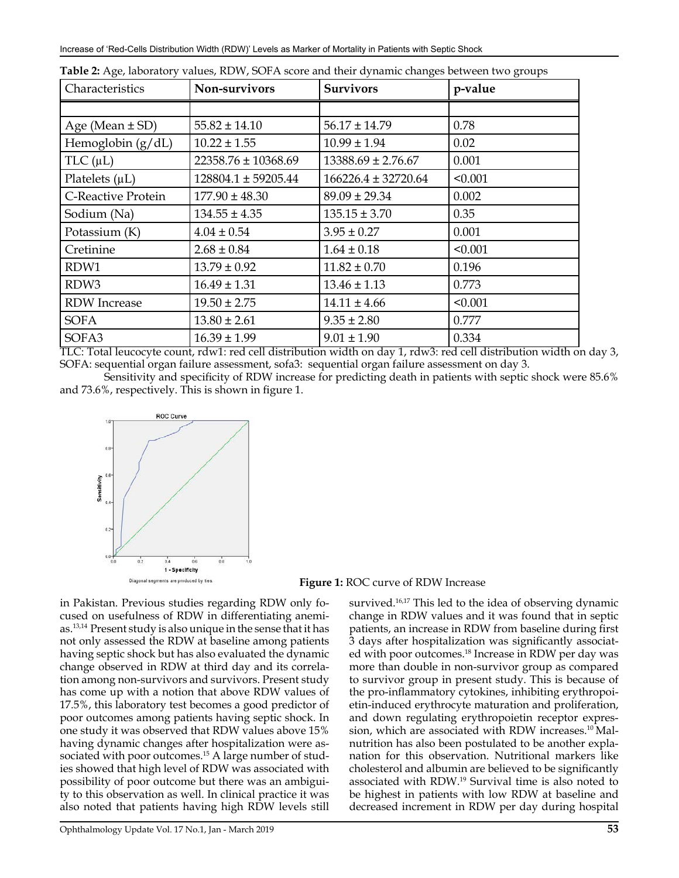| Characteristics           | Non-survivors<br><b>Survivors</b> |                         | p-value |  |
|---------------------------|-----------------------------------|-------------------------|---------|--|
|                           |                                   |                         |         |  |
| Age (Mean $\pm$ SD)       | $55.82 \pm 14.10$                 | $56.17 \pm 14.79$       | 0.78    |  |
| Hemoglobin $(g/dL)$       | $10.22 \pm 1.55$                  | $10.99 \pm 1.94$        | 0.02    |  |
| TLC $(\mu L)$             | $22358.76 \pm 10368.69$           | $13388.69 \pm 2.76.67$  | 0.001   |  |
| Platelets $(\mu L)$       | 128804.1 ± 59205.44               | $166226.4 \pm 32720.64$ | < 0.001 |  |
| <b>C-Reactive Protein</b> | $177.90 \pm 48.30$                | $89.09 \pm 29.34$       | 0.002   |  |
| Sodium (Na)               | $134.55 \pm 4.35$                 | $135.15 \pm 3.70$       | 0.35    |  |
| Potassium (K)             | $4.04 \pm 0.54$                   | $3.95 \pm 0.27$         | 0.001   |  |
| Cretinine                 | $2.68 \pm 0.84$                   | $1.64 \pm 0.18$         | < 0.001 |  |
| RDW1                      | $13.79 \pm 0.92$                  | $11.82 \pm 0.70$        | 0.196   |  |
| RDW3                      | $16.49 \pm 1.31$                  | $13.46 \pm 1.13$        | 0.773   |  |
| <b>RDW</b> Increase       | $19.50 \pm 2.75$                  | $14.11 \pm 4.66$        | < 0.001 |  |
| <b>SOFA</b>               | $13.80 \pm 2.61$                  | $9.35 \pm 2.80$         | 0.777   |  |
| SOFA3                     | $16.39 \pm 1.99$                  | $9.01 \pm 1.90$         | 0.334   |  |

|  | Table 2: Age, laboratory values, RDW, SOFA score and their dynamic changes between two groups |  |  |  |  |
|--|-----------------------------------------------------------------------------------------------|--|--|--|--|
|--|-----------------------------------------------------------------------------------------------|--|--|--|--|

TLC: Total leucocyte count, rdw1: red cell distribution width on day 1, rdw3: red cell distribution width on day 3, SOFA: sequential organ failure assessment, sofa3: sequential organ failure assessment on day 3.

 Sensitivity and specificity of RDW increase for predicting death in patients with septic shock were 85.6% and 73.6%, respectively. This is shown in figure 1.



**Figure 1:** ROC curve of RDW Increase

in Pakistan. Previous studies regarding RDW only focused on usefulness of RDW in differentiating anemias.13,14 Present study is also unique in the sense that it has not only assessed the RDW at baseline among patients having septic shock but has also evaluated the dynamic change observed in RDW at third day and its correlation among non-survivors and survivors. Present study has come up with a notion that above RDW values of 17.5%, this laboratory test becomes a good predictor of poor outcomes among patients having septic shock. In one study it was observed that RDW values above 15% having dynamic changes after hospitalization were associated with poor outcomes.<sup>15</sup> A large number of studies showed that high level of RDW was associated with possibility of poor outcome but there was an ambiguity to this observation as well. In clinical practice it was also noted that patients having high RDW levels still survived.<sup>16,17</sup> This led to the idea of observing dynamic change in RDW values and it was found that in septic patients, an increase in RDW from baseline during first 3 days after hospitalization was significantly associated with poor outcomes.18 Increase in RDW per day was more than double in non-survivor group as compared to survivor group in present study. This is because of the pro-inflammatory cytokines, inhibiting erythropoietin-induced erythrocyte maturation and proliferation, and down regulating erythropoietin receptor expression, which are associated with RDW increases.<sup>10</sup> Malnutrition has also been postulated to be another explanation for this observation. Nutritional markers like cholesterol and albumin are believed to be significantly associated with RDW.19 Survival time is also noted to be highest in patients with low RDW at baseline and decreased increment in RDW per day during hospital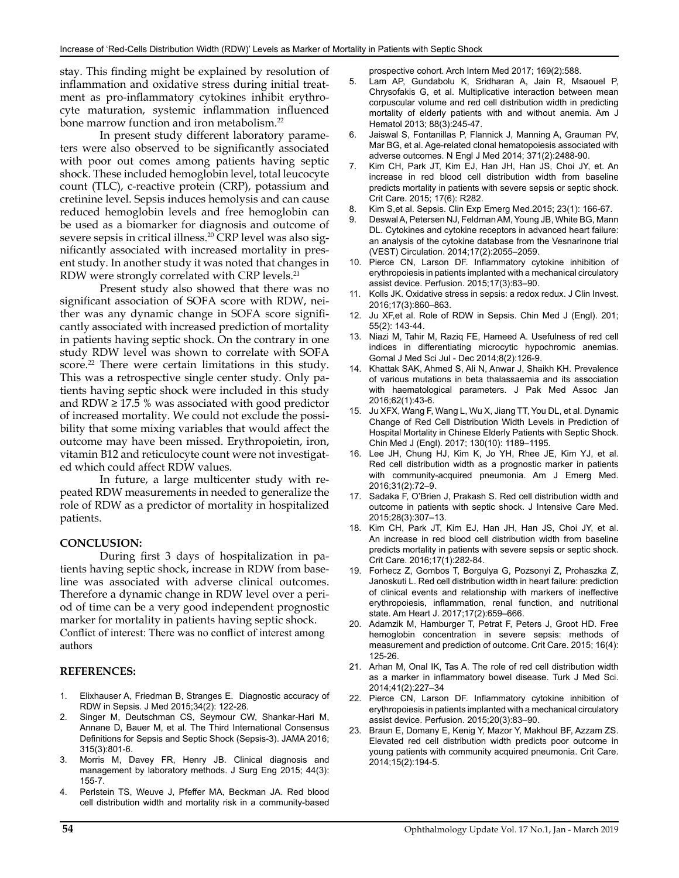stay. This finding might be explained by resolution of inflammation and oxidative stress during initial treatment as pro-inflammatory cytokines inhibit erythrocyte maturation, systemic inflammation influenced bone marrow function and iron metabolism.<sup>22</sup>

In present study different laboratory parameters were also observed to be significantly associated with poor out comes among patients having septic shock. These included hemoglobin level, total leucocyte count (TLC), c-reactive protein (CRP), potassium and cretinine level. Sepsis induces hemolysis and can cause reduced hemoglobin levels and free hemoglobin can be used as a biomarker for diagnosis and outcome of severe sepsis in critical illness.20 CRP level was also significantly associated with increased mortality in present study. In another study it was noted that changes in RDW were strongly correlated with CRP levels.21

Present study also showed that there was no significant association of SOFA score with RDW, neither was any dynamic change in SOFA score significantly associated with increased prediction of mortality in patients having septic shock. On the contrary in one study RDW level was shown to correlate with SOFA score.<sup>22</sup> There were certain limitations in this study. This was a retrospective single center study. Only patients having septic shock were included in this study and RDW  $\geq$  17.5 % was associated with good predictor of increased mortality. We could not exclude the possibility that some mixing variables that would affect the outcome may have been missed. Erythropoietin, iron, vitamin B12 and reticulocyte count were not investigated which could affect RDW values.

In future, a large multicenter study with repeated RDW measurements in needed to generalize the role of RDW as a predictor of mortality in hospitalized patients.

#### **CONCLUSION:**

During first 3 days of hospitalization in patients having septic shock, increase in RDW from baseline was associated with adverse clinical outcomes. Therefore a dynamic change in RDW level over a period of time can be a very good independent prognostic marker for mortality in patients having septic shock. Conflict of interest: There was no conflict of interest among authors

#### **REFERENCES:**

- 1. Elixhauser A, Friedman B, Stranges E. Diagnostic accuracy of RDW in Sepsis. J Med 2015;34(2): 122-26.
- 2. Singer M, Deutschman CS, Seymour CW, Shankar-Hari M, Annane D, Bauer M, et al. The Third International Consensus Definitions for Sepsis and Septic Shock (Sepsis-3). JAMA 2016; 315(3):801-6.
- 3. Morris M, Davey FR, Henry JB. Clinical diagnosis and management by laboratory methods. J Surg Eng 2015; 44(3): 155-7.
- 4. Perlstein TS, Weuve J, Pfeffer MA, Beckman JA. Red blood cell distribution width and mortality risk in a community-based

prospective cohort. Arch Intern Med 2017; 169(2):588.

- 5. Lam AP, Gundabolu K, Sridharan A, Jain R, Msaouel P, Chrysofakis G, et al. Multiplicative interaction between mean corpuscular volume and red cell distribution width in predicting mortality of elderly patients with and without anemia. Am J Hematol 2013; 88(3):245-47.
- 6. Jaiswal S, Fontanillas P, Flannick J, Manning A, Grauman PV, Mar BG, et al. Age-related clonal hematopoiesis associated with adverse outcomes. N Engl J Med 2014; 371(2):2488-90.
- 7. Kim CH, Park JT, Kim EJ, Han JH, Han JS, Choi JY, et. An increase in red blood cell distribution width from baseline predicts mortality in patients with severe sepsis or septic shock. Crit Care. 2015; 17(6): R282.
- 8. Kim S,et al. Sepsis. Clin Exp Emerg Med.2015; 23(1): 166-67.
- Deswal A, Petersen NJ, Feldman AM, Young JB, White BG, Mann DL. Cytokines and cytokine receptors in advanced heart failure: an analysis of the cytokine database from the Vesnarinone trial (VEST) Circulation. 2014;17(2):2055–2059.
- 10. Pierce CN, Larson DF. Inflammatory cytokine inhibition of erythropoiesis in patients implanted with a mechanical circulatory assist device. Perfusion. 2015;17(3):83–90.
- 11. Kolls JK. Oxidative stress in sepsis: a redox redux. J Clin Invest. 2016;17(3):860–863.
- 12. Ju XF,et al. Role of RDW in Sepsis. Chin Med J (Engl). 201; 55(2): 143-44.
- 13. Niazi M, Tahir M, Raziq FE, Hameed A. Usefulness of red cell indices in differentiating microcytic hypochromic anemias. Gomal J Med Sci Jul - Dec 2014;8(2):126-9.
- 14. Khattak SAK, Ahmed S, Ali N, Anwar J, Shaikh KH. Prevalence of various mutations in beta thalassaemia and its association with haematological parameters. J Pak Med Assoc Jan 2016;62(1):43-6.
- 15. Ju XFX, Wang F, Wang L, Wu X, Jiang TT, You DL, et al. Dynamic Change of Red Cell Distribution Width Levels in Prediction of Hospital Mortality in Chinese Elderly Patients with Septic Shock. Chin Med J (Engl). 2017; 130(10): 1189–1195.
- 16. Lee JH, Chung HJ, Kim K, Jo YH, Rhee JE, Kim YJ, et al. Red cell distribution width as a prognostic marker in patients with community-acquired pneumonia. Am J Emerg Med. 2016;31(2):72–9.
- 17. Sadaka F, O'Brien J, Prakash S. Red cell distribution width and outcome in patients with septic shock. J Intensive Care Med. 2015;28(3):307–13.
- 18. Kim CH, Park JT, Kim EJ, Han JH, Han JS, Choi JY, et al. An increase in red blood cell distribution width from baseline predicts mortality in patients with severe sepsis or septic shock. Crit Care. 2016;17(1):282-84.
- 19. Forhecz Z, Gombos T, Borgulya G, Pozsonyi Z, Prohaszka Z, Janoskuti L. Red cell distribution width in heart failure: prediction of clinical events and relationship with markers of ineffective erythropoiesis, inflammation, renal function, and nutritional state. Am Heart J. 2017;17(2):659–666.
- 20. Adamzik M, Hamburger T, Petrat F, Peters J, Groot HD. Free hemoglobin concentration in severe sepsis: methods of measurement and prediction of outcome. Crit Care. 2015; 16(4): 125-26.
- 21. Arhan M, Onal IK, Tas A. The role of red cell distribution width as a marker in inflammatory bowel disease. Turk J Med Sci. 2014;41(2):227–34
- 22. Pierce CN, Larson DF. Inflammatory cytokine inhibition of erythropoiesis in patients implanted with a mechanical circulatory assist device. Perfusion. 2015;20(3):83–90.
- 23. Braun E, Domany E, Kenig Y, Mazor Y, Makhoul BF, Azzam ZS. Elevated red cell distribution width predicts poor outcome in young patients with community acquired pneumonia. Crit Care. 2014;15(2):194-5.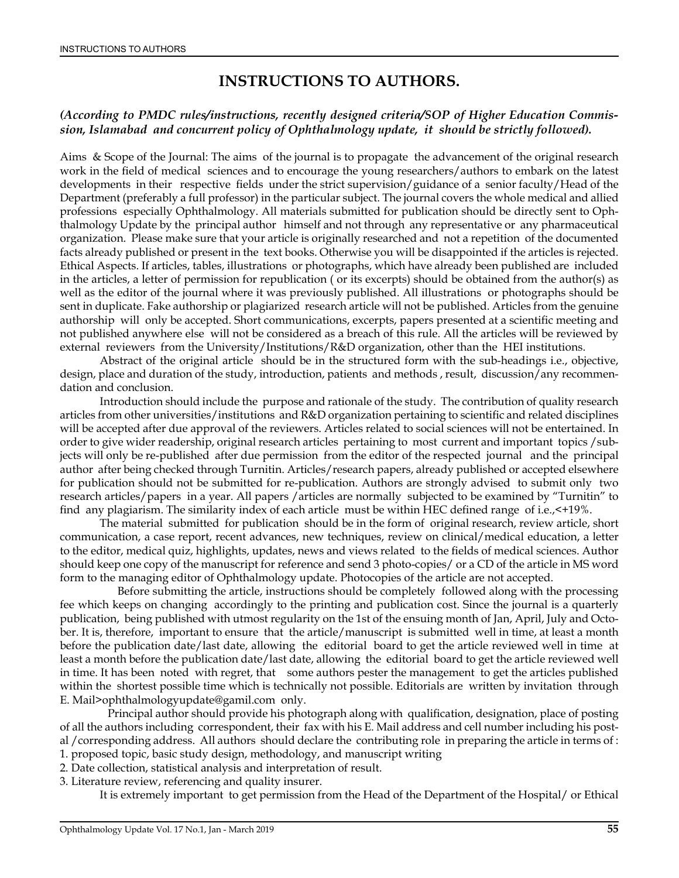# **INSTRUCTIONS TO AUTHORS.**

#### *(According to PMDC rules/instructions, recently designed criteria/SOP of Higher Education Commission, Islamabad and concurrent policy of Ophthalmology update, it should be strictly followed).*

Aims & Scope of the Journal: The aims of the journal is to propagate the advancement of the original research work in the field of medical sciences and to encourage the young researchers/authors to embark on the latest developments in their respective fields under the strict supervision/guidance of a senior faculty/Head of the Department (preferably a full professor) in the particular subject. The journal covers the whole medical and allied professions especially Ophthalmology. All materials submitted for publication should be directly sent to Ophthalmology Update by the principal author himself and not through any representative or any pharmaceutical organization. Please make sure that your article is originally researched and not a repetition of the documented facts already published or present in the text books. Otherwise you will be disappointed if the articles is rejected. Ethical Aspects. If articles, tables, illustrations or photographs, which have already been published are included in the articles, a letter of permission for republication ( or its excerpts) should be obtained from the author(s) as well as the editor of the journal where it was previously published. All illustrations or photographs should be sent in duplicate. Fake authorship or plagiarized research article will not be published. Articles from the genuine authorship will only be accepted. Short communications, excerpts, papers presented at a scientific meeting and not published anywhere else will not be considered as a breach of this rule. All the articles will be reviewed by external reviewers from the University/Institutions/R&D organization, other than the HEI institutions.

Abstract of the original article should be in the structured form with the sub-headings i.e., objective, design, place and duration of the study, introduction, patients and methods , result, discussion/any recommendation and conclusion.

Introduction should include the purpose and rationale of the study. The contribution of quality research articles from other universities/institutions and R&D organization pertaining to scientific and related disciplines will be accepted after due approval of the reviewers. Articles related to social sciences will not be entertained. In order to give wider readership, original research articles pertaining to most current and important topics /subjects will only be re-published after due permission from the editor of the respected journal and the principal author after being checked through Turnitin. Articles/research papers, already published or accepted elsewhere for publication should not be submitted for re-publication. Authors are strongly advised to submit only two research articles/papers in a year. All papers /articles are normally subjected to be examined by "Turnitin" to find any plagiarism. The similarity index of each article must be within HEC defined range of i.e.,<+19%.

The material submitted for publication should be in the form of original research, review article, short communication, a case report, recent advances, new techniques, review on clinical/medical education, a letter to the editor, medical quiz, highlights, updates, news and views related to the fields of medical sciences. Author should keep one copy of the manuscript for reference and send 3 photo-copies/ or a CD of the article in MS word form to the managing editor of Ophthalmology update. Photocopies of the article are not accepted.

 Before submitting the article, instructions should be completely followed along with the processing fee which keeps on changing accordingly to the printing and publication cost. Since the journal is a quarterly publication, being published with utmost regularity on the 1st of the ensuing month of Jan, April, July and October. It is, therefore, important to ensure that the article/manuscript is submitted well in time, at least a month before the publication date/last date, allowing the editorial board to get the article reviewed well in time at least a month before the publication date/last date, allowing the editorial board to get the article reviewed well in time. It has been noted with regret, that some authors pester the management to get the articles published within the shortest possible time which is technically not possible. Editorials are written by invitation through E. Mail>ophthalmologyupdate@gamil.com only.

 Principal author should provide his photograph along with qualification, designation, place of posting of all the authors including correspondent, their fax with his E. Mail address and cell number including his postal /corresponding address. All authors should declare the contributing role in preparing the article in terms of :

- 1. proposed topic, basic study design, methodology, and manuscript writing 2. Date collection, statistical analysis and interpretation of result.
- 3. Literature review, referencing and quality insurer.

It is extremely important to get permission from the Head of the Department of the Hospital/ or Ethical